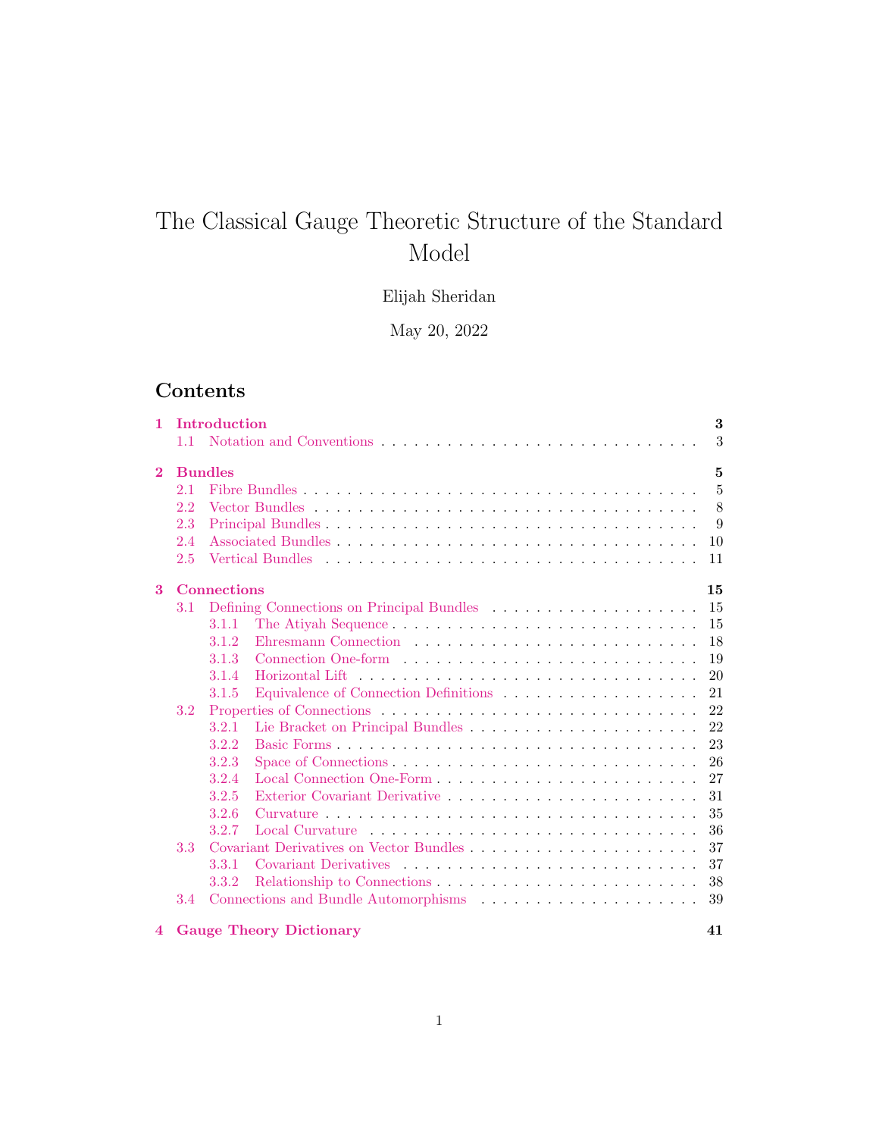# <span id="page-0-0"></span>The Classical Gauge Theoretic Structure of the Standard Model

# Elijah Sheridan

May 20, 2022

# Contents

| 1.             | 1.1 | Introduction   | 3<br>3                 |
|----------------|-----|----------------|------------------------|
| $\overline{2}$ |     | <b>Bundles</b> | 5                      |
|                | 2.1 |                | $\overline{5}$         |
|                | 2.2 |                | 8                      |
|                | 2.3 |                | 9                      |
|                | 2.4 |                | 10                     |
|                | 2.5 |                | Vertical Bundles<br>11 |
| $\mathbf{3}$   |     | Connections    | 15                     |
|                | 3.1 |                | 15                     |
|                |     | 3.1.1          | 15                     |
|                |     | 3.1.2          | 18                     |
|                |     | 3.1.3          | 19                     |
|                |     | 3.1.4          | 20<br>Horizontal Lift  |
|                |     | 3.1.5          | 21                     |
|                | 3.2 |                | 22                     |
|                |     | 3.2.1          | 22                     |
|                |     | 3.2.2          | 23                     |
|                |     | 3.2.3          | 26                     |
|                |     | 3.2.4          | 27                     |
|                |     | 3.2.5          | 31                     |
|                |     | 3.2.6          | 35                     |
|                |     | 3.2.7          | 36                     |
|                | 3.3 |                | 37                     |
|                |     | 3.3.1          | 37                     |
|                |     | 3.3.2          | 38                     |
|                | 3.4 |                | 39                     |
|                |     |                |                        |

#### [4 Gauge Theory Dictionary](#page-40-0) 41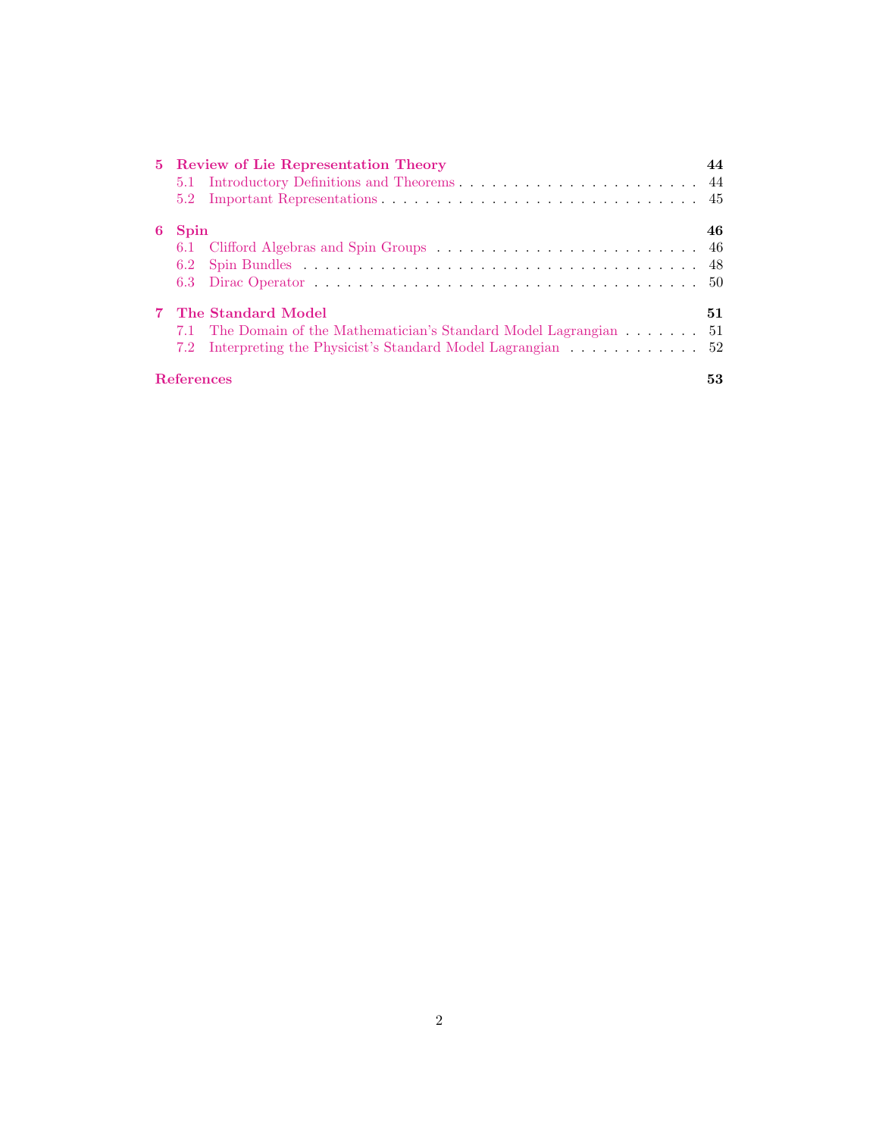|   | 5 Review of Lie Representation Theory |                                                               |    |  |  |  |
|---|---------------------------------------|---------------------------------------------------------------|----|--|--|--|
|   |                                       |                                                               |    |  |  |  |
|   | 5.2                                   |                                                               |    |  |  |  |
| 6 | <b>Spin</b>                           |                                                               |    |  |  |  |
|   |                                       |                                                               |    |  |  |  |
|   | 6.2                                   |                                                               |    |  |  |  |
|   |                                       |                                                               |    |  |  |  |
|   | 7 The Standard Model                  |                                                               |    |  |  |  |
|   | 7.1                                   | The Domain of the Mathematician's Standard Model Lagrangian   | 51 |  |  |  |
|   |                                       | 7.2 Interpreting the Physicist's Standard Model Lagrangian 52 |    |  |  |  |
|   | References                            |                                                               | 53 |  |  |  |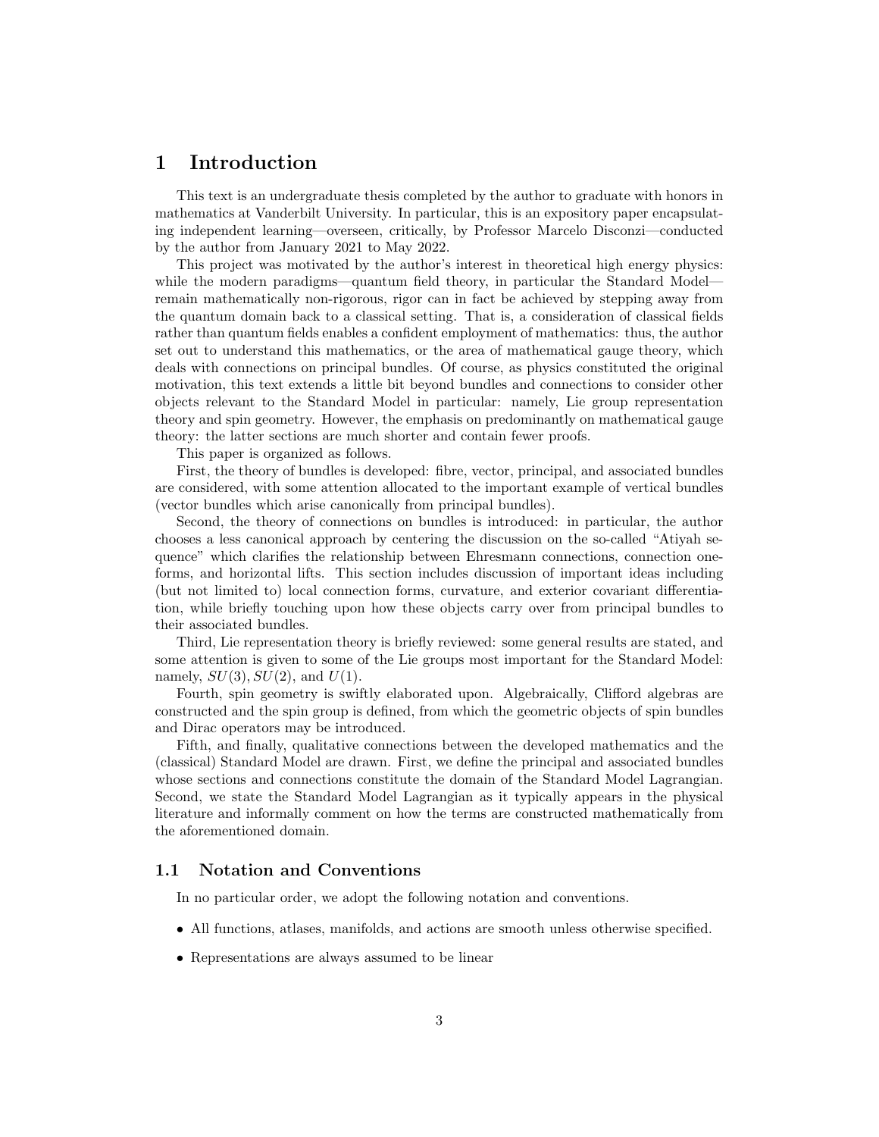## <span id="page-2-0"></span>1 Introduction

This text is an undergraduate thesis completed by the author to graduate with honors in mathematics at Vanderbilt University. In particular, this is an expository paper encapsulating independent learning—overseen, critically, by Professor Marcelo Disconzi—conducted by the author from January 2021 to May 2022.

This project was motivated by the author's interest in theoretical high energy physics: while the modern paradigms—quantum field theory, in particular the Standard Model remain mathematically non-rigorous, rigor can in fact be achieved by stepping away from the quantum domain back to a classical setting. That is, a consideration of classical fields rather than quantum fields enables a confident employment of mathematics: thus, the author set out to understand this mathematics, or the area of mathematical gauge theory, which deals with connections on principal bundles. Of course, as physics constituted the original motivation, this text extends a little bit beyond bundles and connections to consider other objects relevant to the Standard Model in particular: namely, Lie group representation theory and spin geometry. However, the emphasis on predominantly on mathematical gauge theory: the latter sections are much shorter and contain fewer proofs.

This paper is organized as follows.

First, the theory of bundles is developed: fibre, vector, principal, and associated bundles are considered, with some attention allocated to the important example of vertical bundles (vector bundles which arise canonically from principal bundles).

Second, the theory of connections on bundles is introduced: in particular, the author chooses a less canonical approach by centering the discussion on the so-called "Atiyah sequence" which clarifies the relationship between Ehresmann connections, connection oneforms, and horizontal lifts. This section includes discussion of important ideas including (but not limited to) local connection forms, curvature, and exterior covariant differentiation, while briefly touching upon how these objects carry over from principal bundles to their associated bundles.

Third, Lie representation theory is briefly reviewed: some general results are stated, and some attention is given to some of the Lie groups most important for the Standard Model: namely,  $SU(3)$ ,  $SU(2)$ , and  $U(1)$ .

Fourth, spin geometry is swiftly elaborated upon. Algebraically, Clifford algebras are constructed and the spin group is defined, from which the geometric objects of spin bundles and Dirac operators may be introduced.

Fifth, and finally, qualitative connections between the developed mathematics and the (classical) Standard Model are drawn. First, we define the principal and associated bundles whose sections and connections constitute the domain of the Standard Model Lagrangian. Second, we state the Standard Model Lagrangian as it typically appears in the physical literature and informally comment on how the terms are constructed mathematically from the aforementioned domain.

#### <span id="page-2-1"></span>1.1 Notation and Conventions

In no particular order, we adopt the following notation and conventions.

- All functions, atlases, manifolds, and actions are smooth unless otherwise specified.
- Representations are always assumed to be linear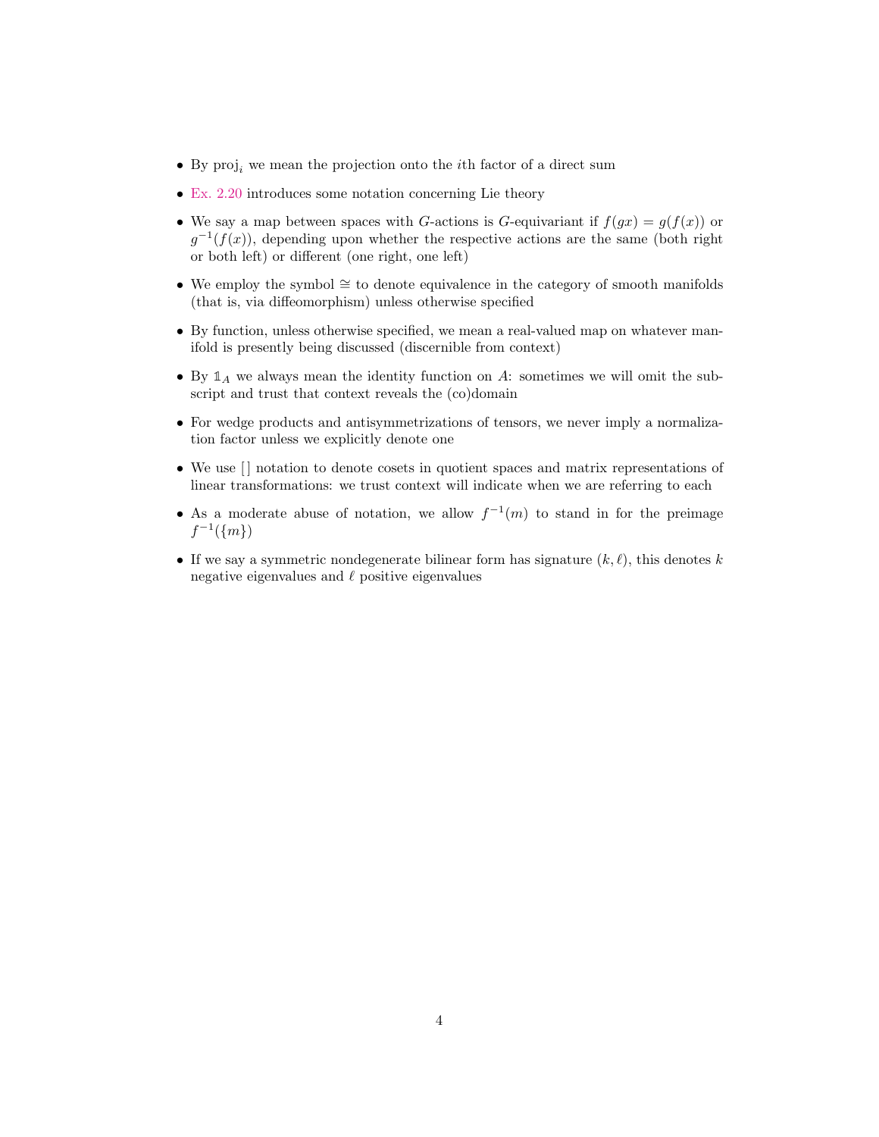- $\bullet~$  By  $\text{proj}_i$  we mean the projection onto the  $i\text{th}$  factor of a direct sum
- [Ex. 2.20](#page-9-1) introduces some notation concerning Lie theory
- We say a map between spaces with G-actions is G-equivariant if  $f(gx) = g(f(x))$  or  $g^{-1}(f(x))$ , depending upon whether the respective actions are the same (both right or both left) or different (one right, one left)
- We employ the symbol ≅ to denote equivalence in the category of smooth manifolds (that is, via diffeomorphism) unless otherwise specified
- By function, unless otherwise specified, we mean a real-valued map on whatever manifold is presently being discussed (discernible from context)
- By  $\mathbb{1}_A$  we always mean the identity function on A: sometimes we will omit the subscript and trust that context reveals the (co)domain
- For wedge products and antisymmetrizations of tensors, we never imply a normalization factor unless we explicitly denote one
- We use  $\lceil \rceil$  notation to denote cosets in quotient spaces and matrix representations of linear transformations: we trust context will indicate when we are referring to each
- As a moderate abuse of notation, we allow  $f^{-1}(m)$  to stand in for the preimage  $f^{-1}(\{m\})$
- If we say a symmetric nondegenerate bilinear form has signature  $(k, \ell)$ , this denotes k negative eigenvalues and  $\ell$  positive eigenvalues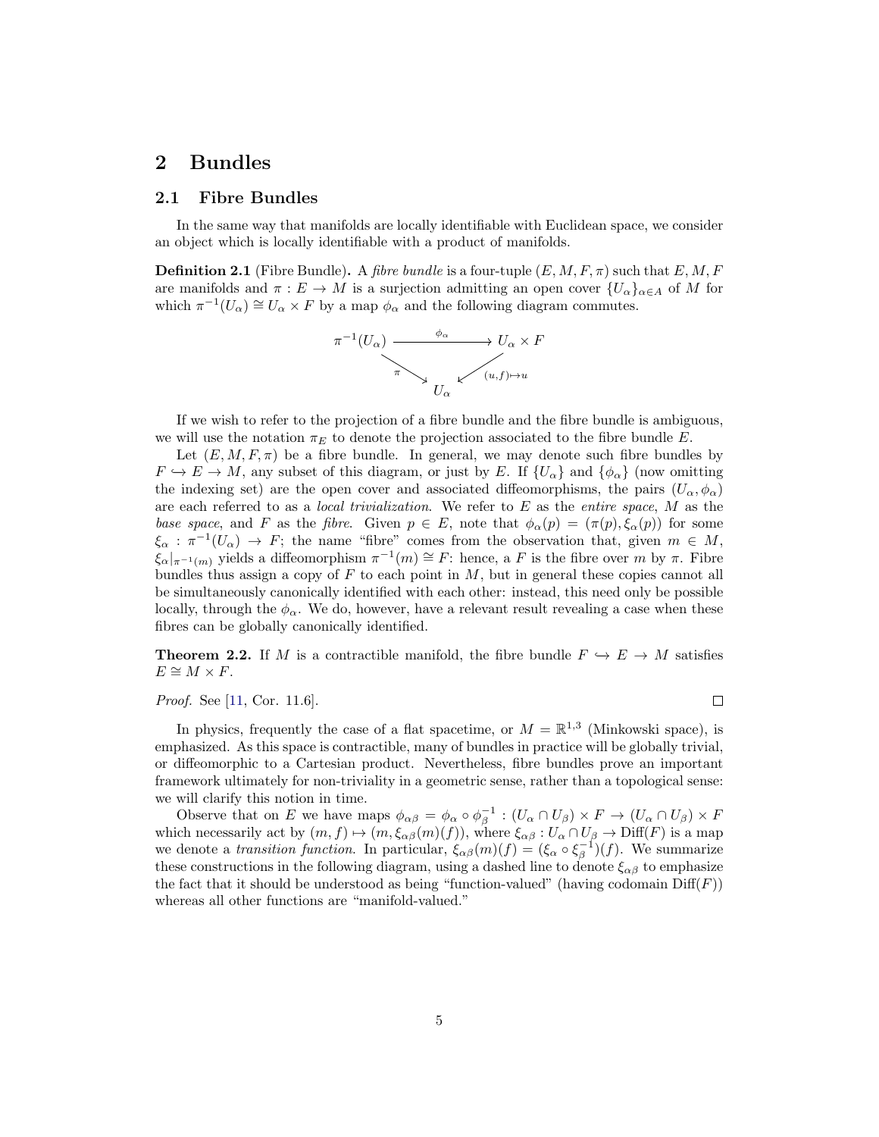## <span id="page-4-0"></span>2 Bundles

### <span id="page-4-1"></span>2.1 Fibre Bundles

In the same way that manifolds are locally identifiable with Euclidean space, we consider an object which is locally identifiable with a product of manifolds.

<span id="page-4-2"></span>**Definition 2.1** (Fibre Bundle). A fibre bundle is a four-tuple  $(E, M, F, \pi)$  such that  $E, M, F$ are manifolds and  $\pi : E \to M$  is a surjection admitting an open cover  $\{U_{\alpha}\}_{{\alpha \in A}}$  of M for which  $\pi^{-1}(U_\alpha) \cong U_\alpha \times F$  by a map  $\phi_\alpha$  and the following diagram commutes.



If we wish to refer to the projection of a fibre bundle and the fibre bundle is ambiguous, we will use the notation  $\pi_E$  to denote the projection associated to the fibre bundle E.

Let  $(E, M, F, \pi)$  be a fibre bundle. In general, we may denote such fibre bundles by  $F \hookrightarrow E \to M$ , any subset of this diagram, or just by E. If  $\{U_\alpha\}$  and  $\{\phi_\alpha\}$  (now omitting the indexing set) are the open cover and associated diffeomorphisms, the pairs  $(U_{\alpha}, \phi_{\alpha})$ are each referred to as a *local trivialization*. We refer to  $E$  as the *entire space*,  $M$  as the base space, and F as the fibre. Given  $p \in E$ , note that  $\phi_{\alpha}(p) = (\pi(p), \xi_{\alpha}(p))$  for some  $\xi_{\alpha} : \pi^{-1}(U_{\alpha}) \to F$ ; the name "fibre" comes from the observation that, given  $m \in M$ ,  $\zeta_{\alpha}|_{\pi^{-1}(m)}$  yields a diffeomorphism  $\pi^{-1}(m) \cong F$ : hence, a F is the fibre over m by  $\pi$ . Fibre bundles thus assign a copy of  $F$  to each point in  $M$ , but in general these copies cannot all be simultaneously canonically identified with each other: instead, this need only be possible locally, through the  $\phi_{\alpha}$ . We do, however, have a relevant result revealing a case when these fibres can be globally canonically identified.

<span id="page-4-3"></span>**Theorem 2.2.** If M is a contractible manifold, the fibre bundle  $F \hookrightarrow E \to M$  satisfies  $E \cong M \times F$ .

#### Proof. See [\[11,](#page-52-1) Cor. 11.6].

 $\Box$ 

In physics, frequently the case of a flat spacetime, or  $M = \mathbb{R}^{1,3}$  (Minkowski space), is emphasized. As this space is contractible, many of bundles in practice will be globally trivial, or diffeomorphic to a Cartesian product. Nevertheless, fibre bundles prove an important framework ultimately for non-triviality in a geometric sense, rather than a topological sense: we will clarify this notion in time.

Observe that on E we have maps  $\phi_{\alpha\beta} = \phi_{\alpha} \circ \phi_{\beta}^{-1} : (U_{\alpha} \cap U_{\beta}) \times F \to (U_{\alpha} \cap U_{\beta}) \times F$ which necessarily act by  $(m, f) \mapsto (m, \xi_{\alpha\beta}(m)(f))$ , where  $\xi_{\alpha\beta} : U_{\alpha} \cap U_{\beta} \to \text{Diff}(F)$  is a map we denote a transition function. In particular,  $\xi_{\alpha\beta}(m)(f) = (\xi_{\alpha} \circ \xi_{\beta}^{-1})(f)$ . We summarize these constructions in the following diagram, using a dashed line to denote  $\xi_{\alpha\beta}$  to emphasize the fact that it should be understood as being "function-valued" (having codomain  $\text{Diff}(F)$ ) whereas all other functions are "manifold-valued."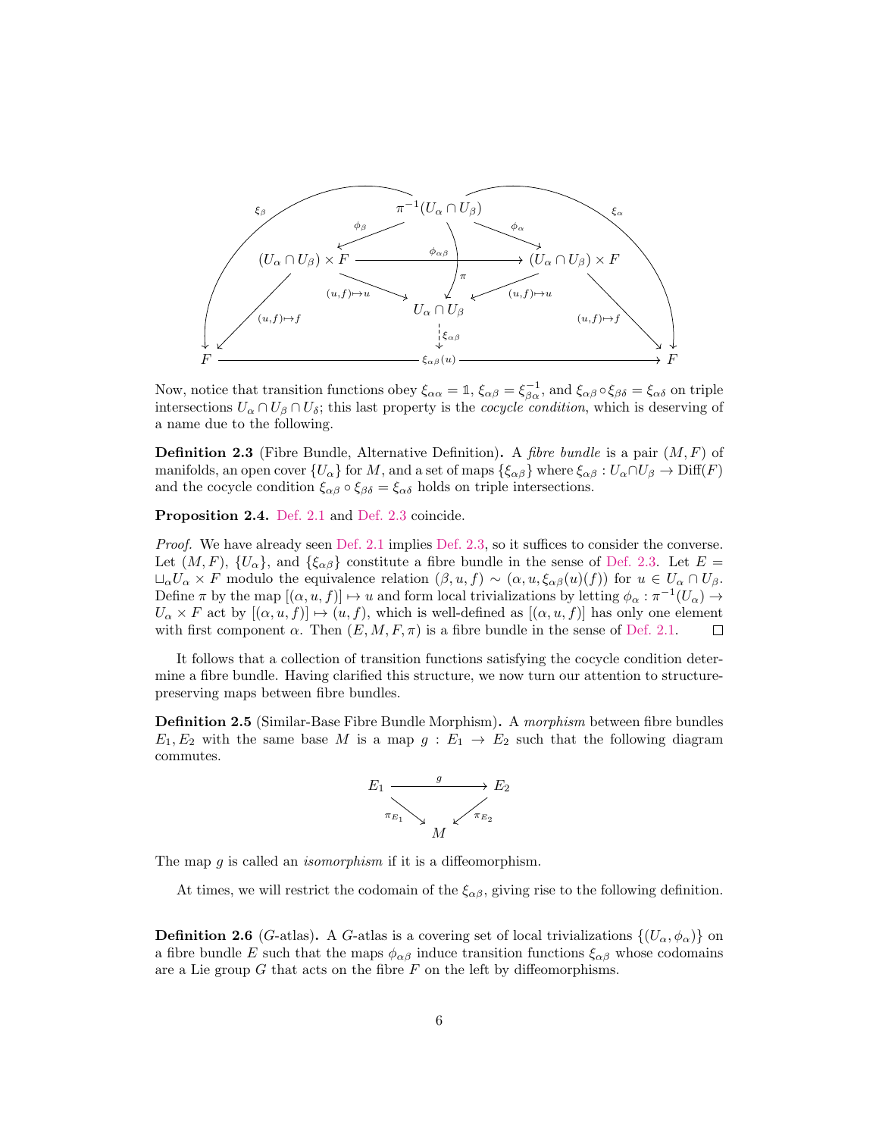

Now, notice that transition functions obey  $\xi_{\alpha\alpha} = \mathbb{1}$ ,  $\xi_{\alpha\beta} = \xi_{\beta\alpha}^{-1}$ , and  $\xi_{\alpha\beta} \circ \xi_{\beta\delta} = \xi_{\alpha\delta}$  on triple intersections  $U_{\alpha} \cap U_{\beta} \cap U_{\delta}$ ; this last property is the *cocycle condition*, which is deserving of a name due to the following.

<span id="page-5-0"></span>**Definition 2.3** (Fibre Bundle, Alternative Definition). A *fibre bundle* is a pair  $(M, F)$  of manifolds, an open cover  $\{U_\alpha\}$  for M, and a set of maps  $\{\xi_{\alpha\beta}\}\$  where  $\xi_{\alpha\beta}: U_\alpha \cap U_\beta \to \text{Diff}(F)$ and the cocycle condition  $\xi_{\alpha\beta} \circ \xi_{\beta\delta} = \xi_{\alpha\delta}$  holds on triple intersections.

Proposition 2.4. [Def. 2.1](#page-4-2) and [Def. 2.3](#page-5-0) coincide.

Proof. We have already seen [Def. 2.1](#page-4-2) implies [Def. 2.3,](#page-5-0) so it suffices to consider the converse. Let  $(M, F)$ ,  $\{U_{\alpha}\}\$ , and  $\{\xi_{\alpha\beta}\}\$ constitute a fibre bundle in the sense of [Def. 2.3.](#page-5-0) Let  $E =$  $\Box_{\alpha}U_{\alpha} \times F$  modulo the equivalence relation  $(\beta, u, f) \sim (\alpha, u, \xi_{\alpha\beta}(u)(f))$  for  $u \in U_{\alpha} \cap U_{\beta}$ . Define  $\pi$  by the map  $[(\alpha, u, f)] \mapsto u$  and form local trivializations by letting  $\phi_\alpha : \pi^{-1}(U_\alpha) \to$  $U_{\alpha} \times F$  act by  $[(\alpha, u, f)] \mapsto (u, f)$ , which is well-defined as  $[(\alpha, u, f)]$  has only one element with first component  $\alpha$ . Then  $(E, M, F, \pi)$  is a fibre bundle in the sense of [Def. 2.1.](#page-4-2) П

It follows that a collection of transition functions satisfying the cocycle condition determine a fibre bundle. Having clarified this structure, we now turn our attention to structurepreserving maps between fibre bundles.

**Definition 2.5** (Similar-Base Fibre Bundle Morphism). A morphism between fibre bundles  $E_1, E_2$  with the same base M is a map  $g : E_1 \to E_2$  such that the following diagram commutes.



The map  $q$  is called an *isomorphism* if it is a diffeomorphism.

At times, we will restrict the codomain of the  $\xi_{\alpha\beta}$ , giving rise to the following definition.

**Definition 2.6** (G-atlas). A G-atlas is a covering set of local trivializations  $\{(U_\alpha, \phi_\alpha)\}\$  on a fibre bundle E such that the maps  $\phi_{\alpha\beta}$  induce transition functions  $\xi_{\alpha\beta}$  whose codomains are a Lie group  $G$  that acts on the fibre  $F$  on the left by diffeomorphisms.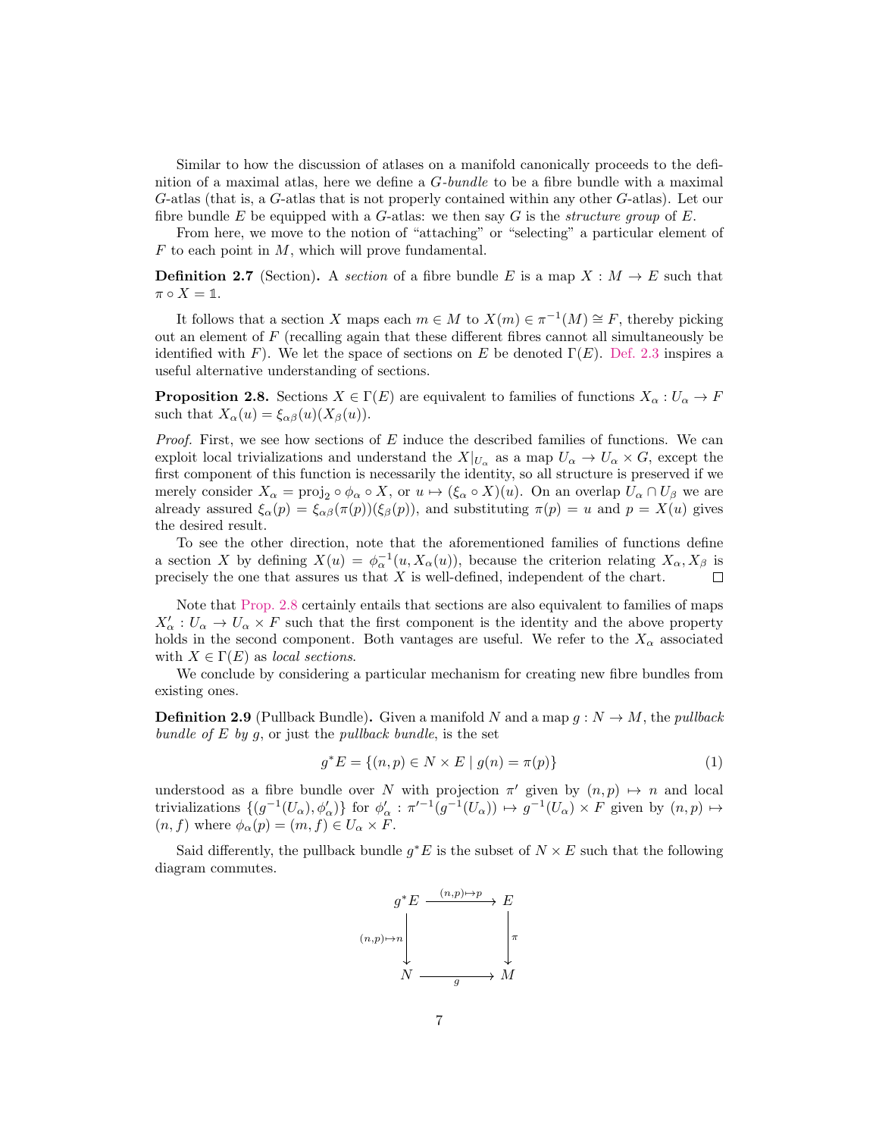Similar to how the discussion of atlases on a manifold canonically proceeds to the definition of a maximal atlas, here we define a  $G\text{-}bundle$  to be a fibre bundle with a maximal G-atlas (that is, a G-atlas that is not properly contained within any other G-atlas). Let our fibre bundle E be equipped with a G-atlas: we then say G is the *structure group* of E.

From here, we move to the notion of "attaching" or "selecting" a particular element of  $F$  to each point in  $M$ , which will prove fundamental.

<span id="page-6-2"></span>**Definition 2.7** (Section). A section of a fibre bundle E is a map  $X : M \to E$  such that  $\pi \circ X = \mathbb{1}.$ 

It follows that a section X maps each  $m \in M$  to  $X(m) \in \pi^{-1}(M) \cong F$ , thereby picking out an element of  $F$  (recalling again that these different fibres cannot all simultaneously be identified with F). We let the space of sections on E be denoted  $\Gamma(E)$ . [Def. 2.3](#page-5-0) inspires a useful alternative understanding of sections.

<span id="page-6-0"></span>**Proposition 2.8.** Sections  $X \in \Gamma(E)$  are equivalent to families of functions  $X_{\alpha}: U_{\alpha} \to F$ such that  $X_{\alpha}(u) = \xi_{\alpha\beta}(u)(X_{\beta}(u)).$ 

*Proof.* First, we see how sections of  $E$  induce the described families of functions. We can exploit local trivializations and understand the  $X|_{U_{\alpha}}$  as a map  $U_{\alpha} \to U_{\alpha} \times G$ , except the first component of this function is necessarily the identity, so all structure is preserved if we merely consider  $X_{\alpha} = \text{proj}_2 \circ \phi_{\alpha} \circ X$ , or  $u \mapsto (\xi_{\alpha} \circ X)(u)$ . On an overlap  $U_{\alpha} \cap U_{\beta}$  we are already assured  $\xi_{\alpha}(p) = \xi_{\alpha\beta}(\pi(p))(\xi_{\beta}(p))$ , and substituting  $\pi(p) = u$  and  $p = X(u)$  gives the desired result.

To see the other direction, note that the aforementioned families of functions define a section X by defining  $X(u) = \phi_{\alpha}^{-1}(u, X_{\alpha}(u))$ , because the criterion relating  $X_{\alpha}, X_{\beta}$  is precisely the one that assures us that  $X$  is well-defined, independent of the chart.  $\Box$ 

Note that [Prop. 2.8](#page-6-0) certainly entails that sections are also equivalent to families of maps  $X'_{\alpha}: U_{\alpha} \to U_{\alpha} \times F$  such that the first component is the identity and the above property holds in the second component. Both vantages are useful. We refer to the  $X_{\alpha}$  associated with  $X \in \Gamma(E)$  as local sections.

We conclude by considering a particular mechanism for creating new fibre bundles from existing ones.

<span id="page-6-1"></span>**Definition 2.9** (Pullback Bundle). Given a manifold N and a map  $g: N \to M$ , the *pullback* bundle of  $E$  by  $g$ , or just the pullback bundle, is the set

$$
g^*E = \{(n, p) \in N \times E \mid g(n) = \pi(p)\}\
$$
 (1)

understood as a fibre bundle over N with projection  $\pi'$  given by  $(n, p) \mapsto n$  and local trivializations  $\{(g^{-1}(U_{\alpha}), \phi'_{\alpha})\}$  for  $\phi'_{\alpha} : \pi'^{-1}(g^{-1}(U_{\alpha})) \mapsto g^{-1}(U_{\alpha}) \times F$  given by  $(n, p) \mapsto$  $(n, f)$  where  $\phi_{\alpha}(p) = (m, f) \in U_{\alpha} \times F$ .

Said differently, the pullback bundle  $g^*E$  is the subset of  $N \times E$  such that the following diagram commutes.

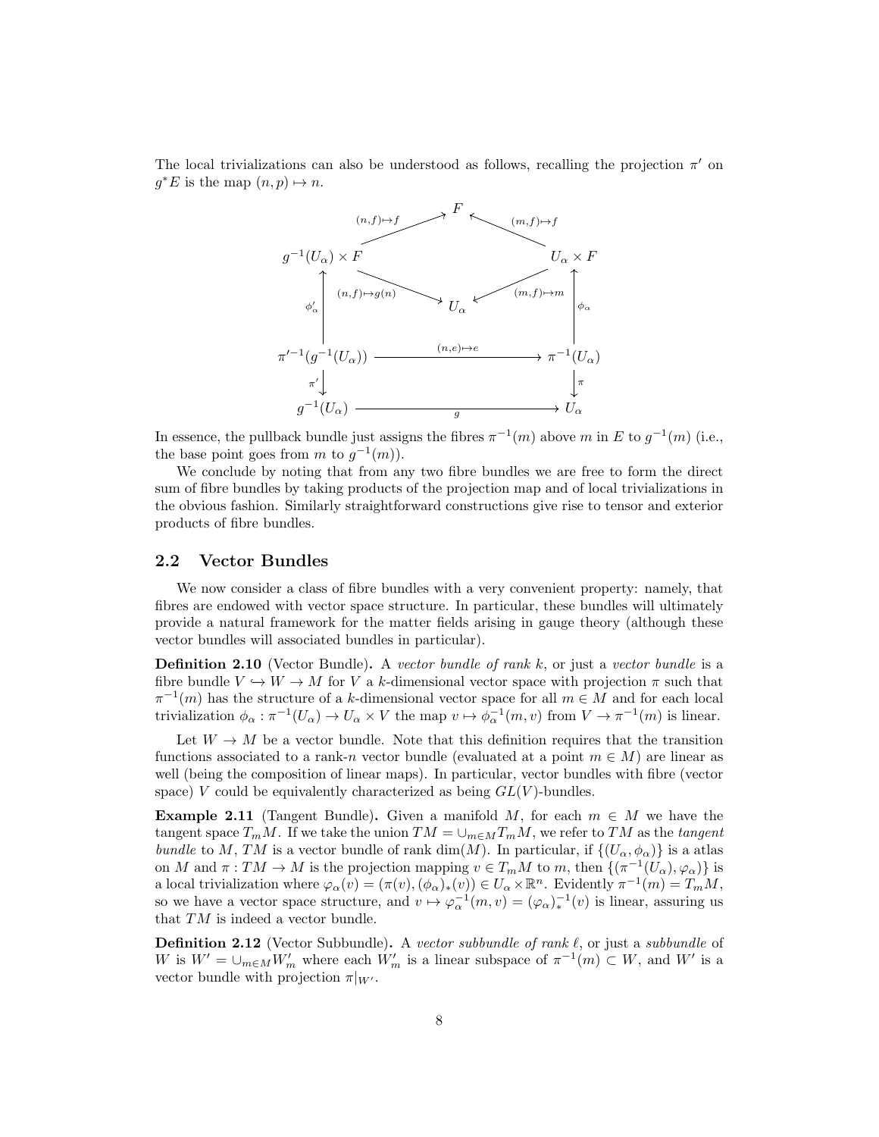The local trivializations can also be understood as follows, recalling the projection  $\pi'$  on  $g^*E$  is the map  $(n, p) \mapsto n$ .



In essence, the pullback bundle just assigns the fibres  $\pi^{-1}(m)$  above m in E to  $g^{-1}(m)$  (i.e., the base point goes from m to  $g^{-1}(m)$ ).

We conclude by noting that from any two fibre bundles we are free to form the direct sum of fibre bundles by taking products of the projection map and of local trivializations in the obvious fashion. Similarly straightforward constructions give rise to tensor and exterior products of fibre bundles.

#### <span id="page-7-0"></span>2.2 Vector Bundles

We now consider a class of fibre bundles with a very convenient property: namely, that fibres are endowed with vector space structure. In particular, these bundles will ultimately provide a natural framework for the matter fields arising in gauge theory (although these vector bundles will associated bundles in particular).

**Definition 2.10** (Vector Bundle). A vector bundle of rank  $k$ , or just a vector bundle is a fibre bundle  $V \hookrightarrow W \to M$  for V a k-dimensional vector space with projection  $\pi$  such that  $\pi^{-1}(m)$  has the structure of a k-dimensional vector space for all  $m \in M$  and for each local trivialization  $\phi_{\alpha} : \pi^{-1}(U_{\alpha}) \to U_{\alpha} \times V$  the map  $v \mapsto \phi_{\alpha}^{-1}(m, v)$  from  $V \to \pi^{-1}(m)$  is linear.

Let  $W \to M$  be a vector bundle. Note that this definition requires that the transition functions associated to a rank-n vector bundle (evaluated at a point  $m \in M$ ) are linear as well (being the composition of linear maps). In particular, vector bundles with fibre (vector space) V could be equivalently characterized as being  $GL(V)$ -bundles.

**Example 2.11** (Tangent Bundle). Given a manifold M, for each  $m \in M$  we have the tangent space  $T_mM$ . If we take the union  $TM = \cup_{m \in M} T_mM$ , we refer to TM as the tangent bundle to M, TM is a vector bundle of rank dim(M). In particular, if  $\{(U_{\alpha}, \phi_{\alpha})\}$  is a atlas on M and  $\pi: TM \to M$  is the projection mapping  $v \in T_mM$  to m, then  $\{(\pi^{-1}(U_\alpha), \varphi_\alpha)\}\$ is a local trivialization where  $\varphi_\alpha(v) = (\pi(v), (\phi_\alpha)_*(v)) \in U_\alpha \times \mathbb{R}^n$ . Evidently  $\pi^{-1}(m) = T_m M$ , so we have a vector space structure, and  $v \mapsto \varphi_{\alpha}^{-1}(m, v) = (\varphi_{\alpha})_*^{-1}(v)$  is linear, assuring us that  $TM$  is indeed a vector bundle.

**Definition 2.12** (Vector Subbundle). A vector subbundle of rank  $\ell$ , or just a subbundle of W is  $W' = \bigcup_{m \in M} W'_m$  where each  $W'_m$  is a linear subspace of  $\pi^{-1}(m) \subset W$ , and W' is a vector bundle with projection  $\pi|_{W'}$ .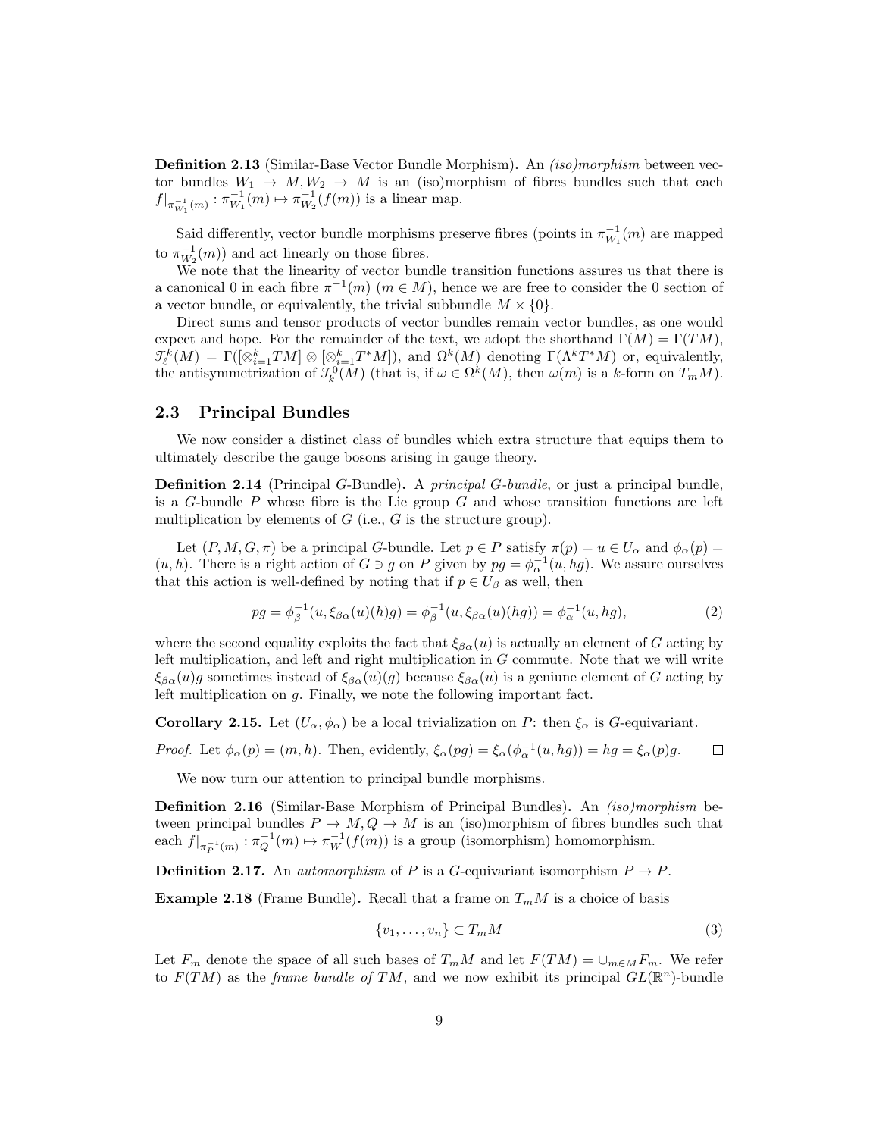Definition 2.13 (Similar-Base Vector Bundle Morphism). An *(iso)morphism* between vector bundles  $W_1 \to M, W_2 \to M$  is an (iso)morphism of fibres bundles such that each  $f|_{\pi_{W_1}^{-1}(m)} : \pi_{W_1}^{-1}(m) \mapsto \pi_{W_2}^{-1}(f(m))$  is a linear map.

Said differently, vector bundle morphisms preserve fibres (points in  $\pi_{W_1}^{-1}(m)$ ) are mapped to  $\pi_{W_2}^{-1}(m)$  and act linearly on those fibres.

We note that the linearity of vector bundle transition functions assures us that there is a canonical 0 in each fibre  $\pi^{-1}(m)$   $(m \in M)$ , hence we are free to consider the 0 section of a vector bundle, or equivalently, the trivial subbundle  $M \times \{0\}$ .

Direct sums and tensor products of vector bundles remain vector bundles, as one would expect and hope. For the remainder of the text, we adopt the shorthand  $\Gamma(M) = \Gamma(TM)$ ,  $\mathcal{J}_{\ell}^{k}(M) = \Gamma([\otimes_{i=1}^{k} T^{M}] \otimes [\otimes_{i=1}^{k} T^{*}M]),$  and  $\Omega^{k}(M)$  denoting  $\Gamma(\Lambda^{k} T^{*}M)$  or, equivalently, the antisymmetrization of  $\mathcal{T}_{k}^{0}(M)$  (that is, if  $\omega \in \Omega^{k}(M)$ , then  $\omega(m)$  is a k-form on  $T_{m}M$ ).

#### <span id="page-8-0"></span>2.3 Principal Bundles

We now consider a distinct class of bundles which extra structure that equips them to ultimately describe the gauge bosons arising in gauge theory.

**Definition 2.14** (Principal G-Bundle). A *principal G-bundle*, or just a principal bundle, is a G-bundle  $P$  whose fibre is the Lie group  $G$  and whose transition functions are left multiplication by elements of  $G$  (i.e.,  $G$  is the structure group).

Let  $(P, M, G, \pi)$  be a principal G-bundle. Let  $p \in P$  satisfy  $\pi(p) = u \in U_\alpha$  and  $\phi_\alpha(p) = u$  $(u, h)$ . There is a right action of  $G \ni g$  on P given by  $pg = \phi_{\alpha}^{-1}(u, hg)$ . We assure ourselves that this action is well-defined by noting that if  $p \in U_\beta$  as well, then

$$
pg = \phi_{\beta}^{-1}(u, \xi_{\beta\alpha}(u)(h)g) = \phi_{\beta}^{-1}(u, \xi_{\beta\alpha}(u)(hg)) = \phi_{\alpha}^{-1}(u, hg),
$$
\n(2)

where the second equality exploits the fact that  $\xi_{\beta\alpha}(u)$  is actually an element of G acting by left multiplication, and left and right multiplication in G commute. Note that we will write  $\xi_{\beta\alpha}(u)g$  sometimes instead of  $\xi_{\beta\alpha}(u)(g)$  because  $\xi_{\beta\alpha}(u)$  is a geniune element of G acting by left multiplication on g. Finally, we note the following important fact.

**Corollary 2.15.** Let  $(U_\alpha, \phi_\alpha)$  be a local trivialization on P: then  $\xi_\alpha$  is G-equivariant.

*Proof.* Let  $\phi_{\alpha}(p) = (m, h)$ . Then, evidently,  $\xi_{\alpha}(pg) = \xi_{\alpha}(\phi_{\alpha}^{-1}(u, hg)) = hg = \xi_{\alpha}(p)g$ .  $\Box$ 

We now turn our attention to principal bundle morphisms.

Definition 2.16 (Similar-Base Morphism of Principal Bundles). An *(iso)morphism* between principal bundles  $P \to M$ ,  $Q \to M$  is an (iso)morphism of fibres bundles such that each  $f|_{\pi_P^{-1}(m)} : \pi_Q^{-1}(m) \to \pi_W^{-1}(f(m))$  is a group (isomorphism) homomorphism.

**Definition 2.17.** An *automorphism* of P is a G-equivariant isomorphism  $P \rightarrow P$ .

**Example 2.18** (Frame Bundle). Recall that a frame on  $T_mM$  is a choice of basis

$$
\{v_1, \ldots, v_n\} \subset T_m M \tag{3}
$$

Let  $F_m$  denote the space of all such bases of  $T_mM$  and let  $F(TM) = \bigcup_{m \in M} F_m$ . We refer to  $F(TM)$  as the *frame bundle of TM*, and we now exhibit its principal  $GL(\mathbb{R}^n)$ -bundle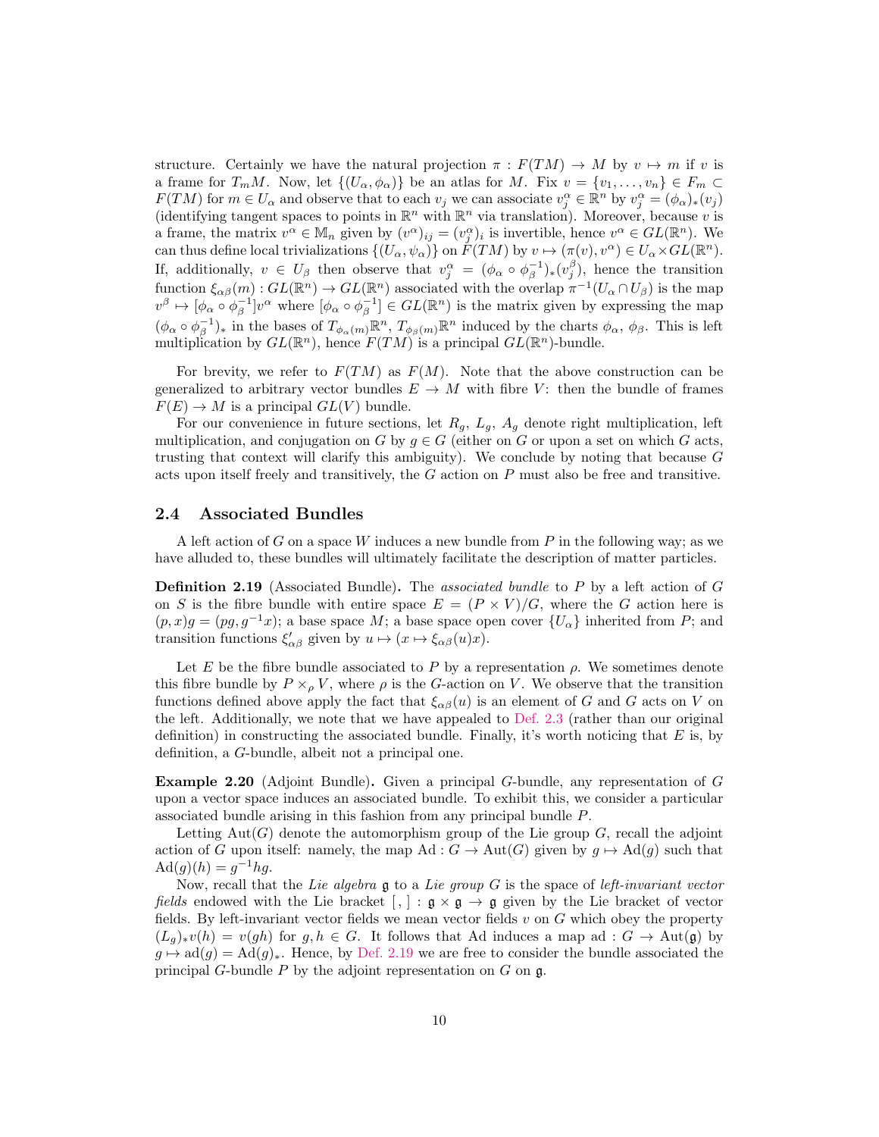structure. Certainly we have the natural projection  $\pi : F(TM) \to M$  by  $v \mapsto m$  if v is a frame for  $T_mM$ . Now, let  $\{(U_\alpha, \phi_\alpha)\}\)$  be an atlas for M. Fix  $v = \{v_1, \ldots, v_n\} \in F_m \subset$  $F(TM)$  for  $m \in U_\alpha$  and observe that to each  $v_j$  we can associate  $v_j^\alpha \in \mathbb{R}^n$  by  $v_j^\alpha = (\phi_\alpha)_*(v_j)$ (identifying tangent spaces to points in  $\mathbb{R}^n$  with  $\mathbb{R}^n$  via translation). Moreover, because v is a frame, the matrix  $v^{\alpha} \in M_n$  given by  $(v^{\alpha})_{ij} = (v_j^{\alpha})_i$  is invertible, hence  $v^{\alpha} \in GL(\mathbb{R}^n)$ . We can thus define local trivializations  $\{(U_\alpha, \psi_\alpha)\}\$  on  $F(TM)$  by  $v \mapsto (\pi(v), v^\alpha) \in U_\alpha \times GL(\mathbb{R}^n)$ . If, additionally,  $v \in U_\beta$  then observe that  $v_j^\alpha = (\phi_\alpha \circ \phi_\beta^{-1})_*(v_j^\beta)$ , hence the transition function  $\xi_{\alpha\beta}(m): GL(\mathbb{R}^n) \to GL(\mathbb{R}^n)$  associated with the overlap  $\pi^{-1}(U_\alpha \cap U_\beta)$  is the map  $v^{\beta} \mapsto [\phi_{\alpha} \circ \phi_{\beta}^{-1}]v^{\alpha}$  where  $[\phi_{\alpha} \circ \phi_{\beta}^{-1}] \in GL(\mathbb{R}^{n})$  is the matrix given by expressing the map  $(\phi_\alpha \circ \phi_\beta^{-1})_*$  in the bases of  $T_{\phi_\alpha(m)} \mathbb{R}^n$ ,  $T_{\phi_\beta(m)} \mathbb{R}^n$  induced by the charts  $\phi_\alpha$ ,  $\phi_\beta$ . This is left multiplication by  $GL(\mathbb{R}^n)$ , hence  $F(TM)$  is a principal  $GL(\mathbb{R}^n)$ -bundle.

For brevity, we refer to  $F(TM)$  as  $F(M)$ . Note that the above construction can be generalized to arbitrary vector bundles  $E \to M$  with fibre V: then the bundle of frames  $F(E) \to M$  is a principal  $GL(V)$  bundle.

For our convenience in future sections, let  $R_g$ ,  $L_g$ ,  $A_g$  denote right multiplication, left multiplication, and conjugation on G by  $g \in G$  (either on G or upon a set on which G acts, trusting that context will clarify this ambiguity). We conclude by noting that because  $G$ acts upon itself freely and transitively, the  $G$  action on  $P$  must also be free and transitive.

#### <span id="page-9-0"></span>2.4 Associated Bundles

A left action of G on a space W induces a new bundle from P in the following way; as we have alluded to, these bundles will ultimately facilitate the description of matter particles.

<span id="page-9-2"></span>**Definition 2.19** (Associated Bundle). The associated bundle to P by a left action of  $G$ on S is the fibre bundle with entire space  $E = (P \times V)/G$ , where the G action here is  $(p, x)g = (pg, g^{-1}x);$  a base space M; a base space open cover  $\{U_{\alpha}\}\$ inherited from P; and transition functions  $\xi'_{\alpha\beta}$  given by  $u \mapsto (x \mapsto \xi_{\alpha\beta}(u)x)$ .

Let E be the fibre bundle associated to P by a representation  $\rho$ . We sometimes denote this fibre bundle by  $P \times_{\rho} V$ , where  $\rho$  is the G-action on V. We observe that the transition functions defined above apply the fact that  $\xi_{\alpha\beta}(u)$  is an element of G and G acts on V on the left. Additionally, we note that we have appealed to [Def. 2.3](#page-5-0) (rather than our original definition) in constructing the associated bundle. Finally, it's worth noticing that  $E$  is, by definition, a G-bundle, albeit not a principal one.

<span id="page-9-1"></span>Example 2.20 (Adjoint Bundle). Given a principal G-bundle, any representation of G upon a vector space induces an associated bundle. To exhibit this, we consider a particular associated bundle arising in this fashion from any principal bundle P.

Letting Aut(G) denote the automorphism group of the Lie group  $G$ , recall the adjoint action of G upon itself: namely, the map Ad :  $G \to \text{Aut}(G)$  given by  $g \mapsto \text{Ad}(g)$  such that  $\text{Ad}(g)(h) = g^{-1}hg.$ 

Now, recall that the Lie algebra  $\mathfrak g$  to a Lie group  $G$  is the space of left-invariant vector *fields* endowed with the Lie bracket  $[ , ] : \mathfrak{g} \times \mathfrak{g} \rightarrow \mathfrak{g}$  given by the Lie bracket of vector fields. By left-invariant vector fields we mean vector fields  $v$  on  $G$  which obey the property  $(L_g)_*v(h) = v(gh)$  for  $g, h \in G$ . It follows that Ad induces a map ad :  $G \to Aut(\mathfrak{g})$  by  $g \mapsto \text{ad}(g) = \text{Ad}(g)_*$ . Hence, by [Def. 2.19](#page-9-2) we are free to consider the bundle associated the principal G-bundle  $P$  by the adjoint representation on  $G$  on  $\mathfrak{g}$ .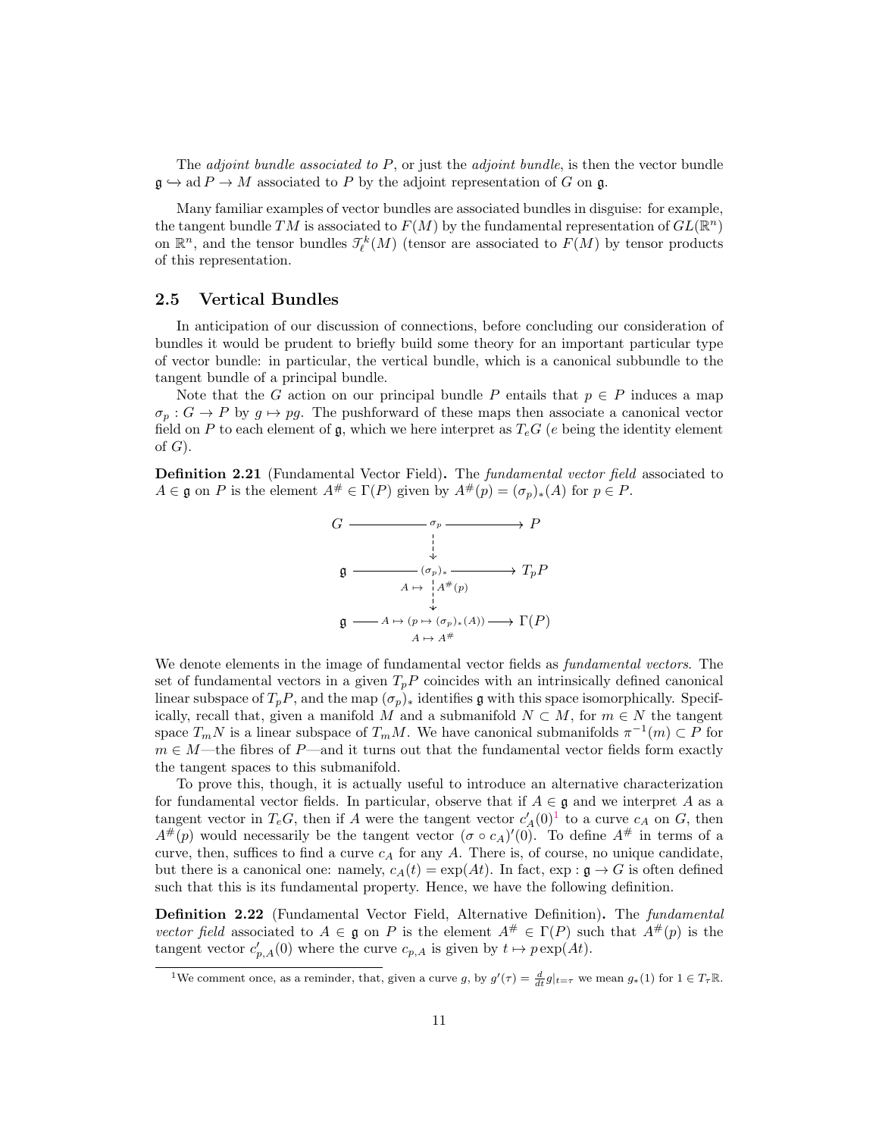The *adjoint bundle associated to P*, or just the *adjoint bundle*, is then the vector bundle  $\mathfrak{g} \hookrightarrow \text{ad } P \to M$  associated to P by the adjoint representation of G on g.

Many familiar examples of vector bundles are associated bundles in disguise: for example, the tangent bundle TM is associated to  $F(M)$  by the fundamental representation of  $GL(\mathbb{R}^n)$ on  $\mathbb{R}^n$ , and the tensor bundles  $\mathcal{I}_{\ell}^k(M)$  (tensor are associated to  $F(M)$  by tensor products of this representation.

#### <span id="page-10-0"></span>2.5 Vertical Bundles

In anticipation of our discussion of connections, before concluding our consideration of bundles it would be prudent to briefly build some theory for an important particular type of vector bundle: in particular, the vertical bundle, which is a canonical subbundle to the tangent bundle of a principal bundle.

Note that the G action on our principal bundle P entails that  $p \in P$  induces a map  $\sigma_p$ :  $G \to P$  by  $q \mapsto pq$ . The pushforward of these maps then associate a canonical vector field on P to each element of g, which we here interpret as  $T_eG$  (e being the identity element of  $G$ ).

**Definition 2.21** (Fundamental Vector Field). The *fundamental vector field* associated to  $A \in \mathfrak{g}$  on P is the element  $A^\# \in \Gamma(P)$  given by  $A^\#(p) = (\sigma_p)_*(A)$  for  $p \in P$ .



We denote elements in the image of fundamental vector fields as *fundamental vectors*. The set of fundamental vectors in a given  $T_pP$  coincides with an intrinsically defined canonical linear subspace of  $T_pP$ , and the map  $(\sigma_p)_*$  identifies g with this space isomorphically. Specifically, recall that, given a manifold M and a submanifold  $N \subset M$ , for  $m \in N$  the tangent space  $T_m N$  is a linear subspace of  $T_m M$ . We have canonical submanifolds  $\pi^{-1}(m) \subset P$  for  $m \in M$ —the fibres of P—and it turns out that the fundamental vector fields form exactly the tangent spaces to this submanifold.

To prove this, though, it is actually useful to introduce an alternative characterization for fundamental vector fields. In particular, observe that if  $A \in \mathfrak{g}$  and we interpret A as a tangent vector in  $T_eG$ , then if A were the tangent vector  $c'_A(0)^1$  $c'_A(0)^1$  to a curve  $c_A$  on G, then  $A^{\#}(p)$  would necessarily be the tangent vector  $(\sigma \circ c_A)'(0)$ . To define  $A^{\#}$  in terms of a curve, then, suffices to find a curve  $c_A$  for any A. There is, of course, no unique candidate, but there is a canonical one: namely,  $c_A(t) = \exp(At)$ . In fact,  $\exp : \mathfrak{g} \to G$  is often defined such that this is its fundamental property. Hence, we have the following definition.

<span id="page-10-2"></span>Definition 2.22 (Fundamental Vector Field, Alternative Definition). The fundamental vector field associated to  $A \in \mathfrak{g}$  on P is the element  $A^{\#} \in \Gamma(P)$  such that  $A^{\#}(p)$  is the tangent vector  $c'_{p,A}(0)$  where the curve  $c_{p,A}$  is given by  $t \mapsto p \exp(At)$ .

<span id="page-10-1"></span><sup>&</sup>lt;sup>1</sup>We comment once, as a reminder, that, given a curve g, by  $g'(\tau) = \frac{d}{dt} g|_{t=\tau}$  we mean  $g_*(1)$  for  $1 \in T_{\tau} \mathbb{R}$ .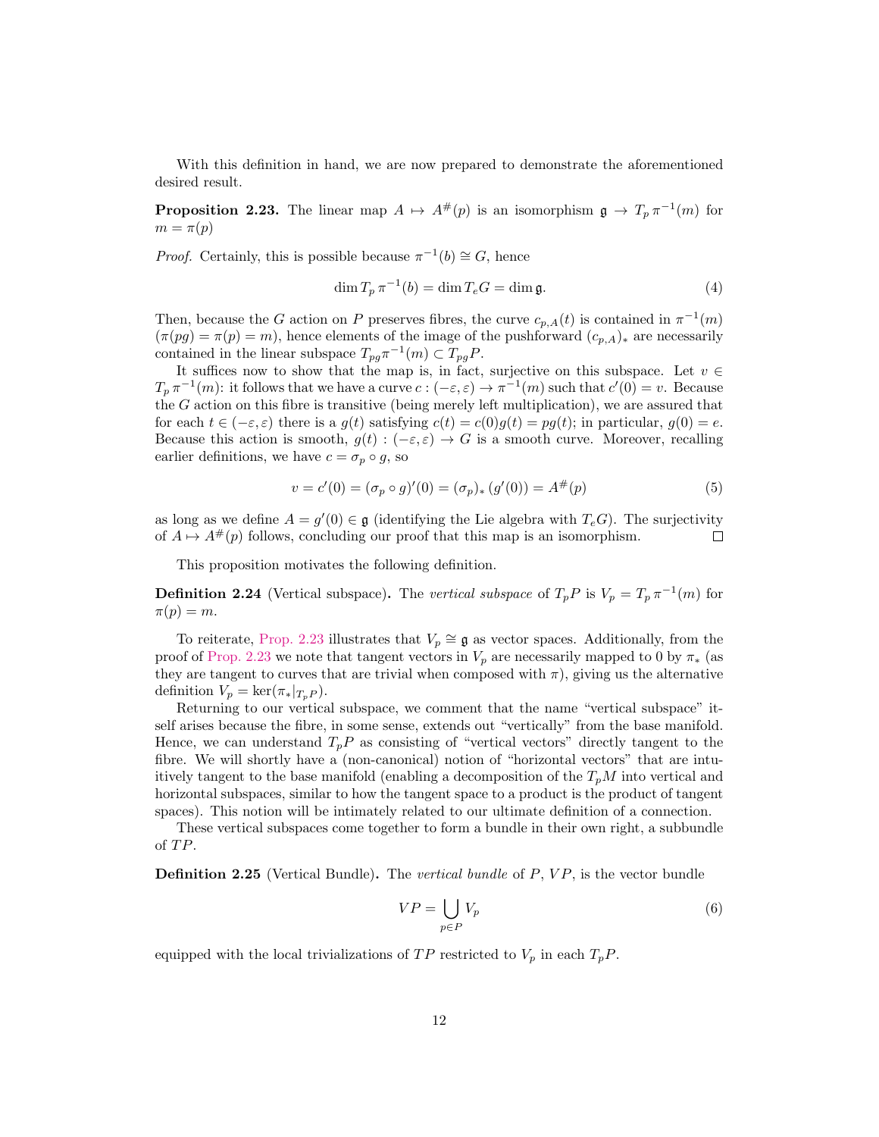With this definition in hand, we are now prepared to demonstrate the aforementioned desired result.

<span id="page-11-0"></span>**Proposition 2.23.** The linear map  $A \mapsto A^{\#}(p)$  is an isomorphism  $\mathfrak{g} \to T_p \pi^{-1}(m)$  for  $m = \pi(p)$ 

*Proof.* Certainly, this is possible because  $\pi^{-1}(b) \cong G$ , hence

$$
\dim T_p \pi^{-1}(b) = \dim T_e G = \dim \mathfrak{g}.\tag{4}
$$

Then, because the G action on P preserves fibres, the curve  $c_{p,A}(t)$  is contained in  $\pi^{-1}(m)$  $(\pi(pg) = \pi(p) = m)$ , hence elements of the image of the pushforward  $(c_{p,A})_*$  are necessarily contained in the linear subspace  $T_{pg}\pi^{-1}(m) \subset T_{pg}P$ .

It suffices now to show that the map is, in fact, surjective on this subspace. Let  $v \in$  $T_p \pi^{-1}(m)$ : it follows that we have a curve  $c : (-\varepsilon, \varepsilon) \to \pi^{-1}(m)$  such that  $c'(0) = v$ . Because the G action on this fibre is transitive (being merely left multiplication), we are assured that for each  $t \in (-\varepsilon, \varepsilon)$  there is a  $g(t)$  satisfying  $c(t) = c(0)g(t) = pq(t)$ ; in particular,  $g(0) = e$ . Because this action is smooth,  $g(t): (-\varepsilon, \varepsilon) \to G$  is a smooth curve. Moreover, recalling earlier definitions, we have  $c = \sigma_p \circ g$ , so

$$
v = c'(0) = (\sigma_p \circ g)'(0) = (\sigma_p)_* (g'(0)) = A^{\#}(p)
$$
\n(5)

as long as we define  $A = g'(0) \in \mathfrak{g}$  (identifying the Lie algebra with  $T_eG$ ). The surjectivity of  $A \mapsto A^{\#}(p)$  follows, concluding our proof that this map is an isomorphism. П

This proposition motivates the following definition.

**Definition 2.24** (Vertical subspace). The vertical subspace of  $T_p P$  is  $V_p = T_p \pi^{-1}(m)$  for  $\pi(p) = m$ .

To reiterate, [Prop. 2.23](#page-11-0) illustrates that  $V_p \cong \mathfrak{g}$  as vector spaces. Additionally, from the proof of [Prop. 2.23](#page-11-0) we note that tangent vectors in  $V_p$  are necessarily mapped to 0 by  $\pi_*$  (as they are tangent to curves that are trivial when composed with  $\pi$ ), giving us the alternative definition  $V_p = \ker(\pi_*|_{T_pP}).$ 

Returning to our vertical subspace, we comment that the name "vertical subspace" itself arises because the fibre, in some sense, extends out "vertically" from the base manifold. Hence, we can understand  $T_pP$  as consisting of "vertical vectors" directly tangent to the fibre. We will shortly have a (non-canonical) notion of "horizontal vectors" that are intuitively tangent to the base manifold (enabling a decomposition of the  $T_pM$  into vertical and horizontal subspaces, similar to how the tangent space to a product is the product of tangent spaces). This notion will be intimately related to our ultimate definition of a connection.

These vertical subspaces come together to form a bundle in their own right, a subbundle of TP.

**Definition 2.25** (Vertical Bundle). The vertical bundle of  $P$ ,  $VP$ , is the vector bundle

$$
VP = \bigcup_{p \in P} V_p \tag{6}
$$

equipped with the local trivializations of  $TP$  restricted to  $V_p$  in each  $T_pP$ .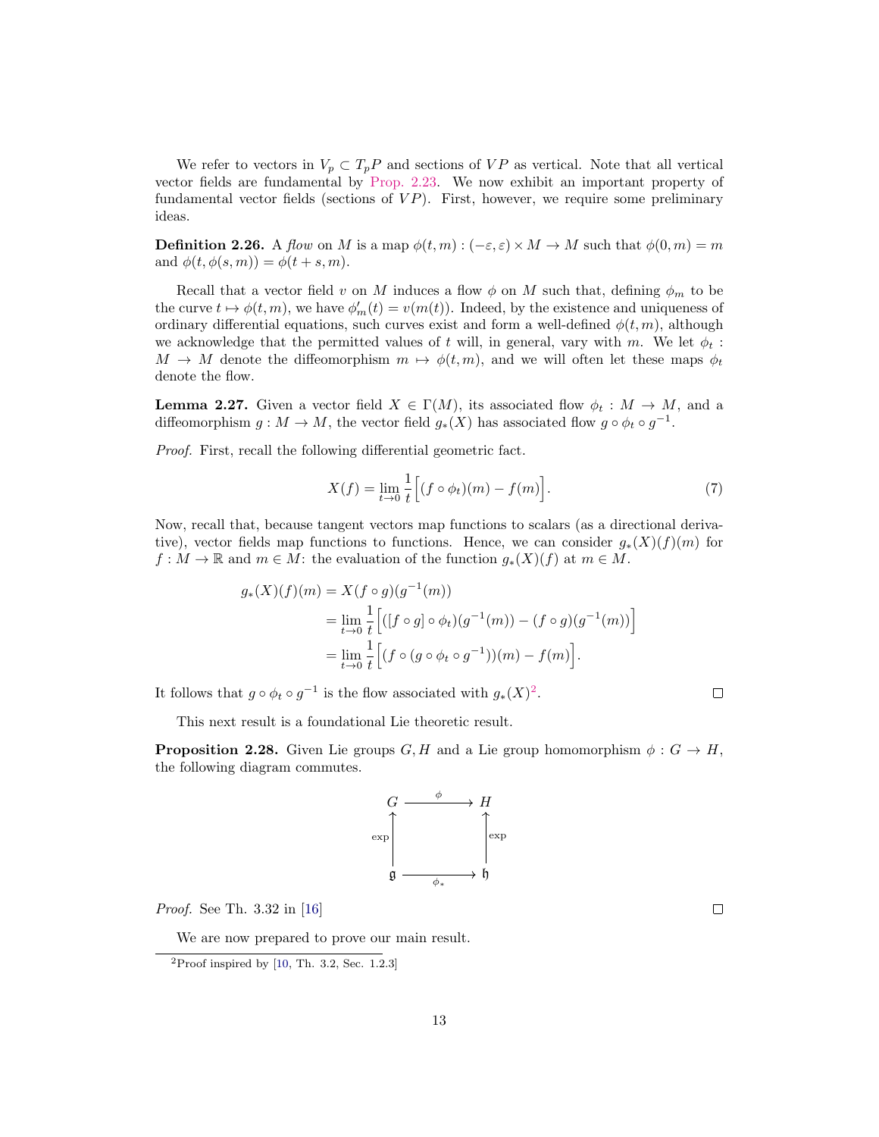We refer to vectors in  $V_p \,\subset T_pP$  and sections of VP as vertical. Note that all vertical vector fields are fundamental by [Prop. 2.23.](#page-11-0) We now exhibit an important property of fundamental vector fields (sections of  $VP$ ). First, however, we require some preliminary ideas.

**Definition 2.26.** A flow on M is a map  $\phi(t, m) : (-\varepsilon, \varepsilon) \times M \to M$  such that  $\phi(0, m) = m$ and  $\phi(t, \phi(s, m)) = \phi(t + s, m)$ .

Recall that a vector field v on M induces a flow  $\phi$  on M such that, defining  $\phi_m$  to be the curve  $t \mapsto \phi(t, m)$ , we have  $\phi'_m(t) = v(m(t))$ . Indeed, by the existence and uniqueness of ordinary differential equations, such curves exist and form a well-defined  $\phi(t, m)$ , although we acknowledge that the permitted values of t will, in general, vary with m. We let  $\phi_t$ :  $M \to M$  denote the diffeomorphism  $m \mapsto \phi(t, m)$ , and we will often let these maps  $\phi_t$ denote the flow.

<span id="page-12-1"></span>**Lemma 2.27.** Given a vector field  $X \in \Gamma(M)$ , its associated flow  $\phi_t : M \to M$ , and a diffeomorphism  $g: M \to M$ , the vector field  $g_*(X)$  has associated flow  $g \circ \phi_t \circ g^{-1}$ .

Proof. First, recall the following differential geometric fact.

$$
X(f) = \lim_{t \to 0} \frac{1}{t} \Big[ (f \circ \phi_t)(m) - f(m) \Big]. \tag{7}
$$

Now, recall that, because tangent vectors map functions to scalars (as a directional derivative), vector fields map functions to functions. Hence, we can consider  $g_*(X)(f)(m)$  for  $f: M \to \mathbb{R}$  and  $m \in M$ : the evaluation of the function  $g_*(X)(f)$  at  $m \in M$ .

$$
g_*(X)(f)(m) = X(f \circ g)(g^{-1}(m))
$$
  
= 
$$
\lim_{t \to 0} \frac{1}{t} \Big[ ([f \circ g] \circ \phi_t)(g^{-1}(m)) - (f \circ g)(g^{-1}(m)) \Big]
$$
  
= 
$$
\lim_{t \to 0} \frac{1}{t} \Big[ (f \circ (g \circ \phi_t \circ g^{-1}))(m) - f(m) \Big].
$$

It follows that  $g \circ \phi_t \circ g^{-1}$  is the flow associated with  $g_*(X)^2$  $g_*(X)^2$ .

 $\Box$ 

This next result is a foundational Lie theoretic result.

<span id="page-12-2"></span>**Proposition 2.28.** Given Lie groups  $G, H$  and a Lie group homomorphism  $\phi : G \to H$ , the following diagram commutes.



Proof. See Th. 3.32 in [\[16\]](#page-53-0)

We are now prepared to prove our main result.

 $\Box$ 

<span id="page-12-3"></span><span id="page-12-0"></span> $2$ Proof inspired by [\[10,](#page-52-2) Th. 3.2, Sec. 1.2.3]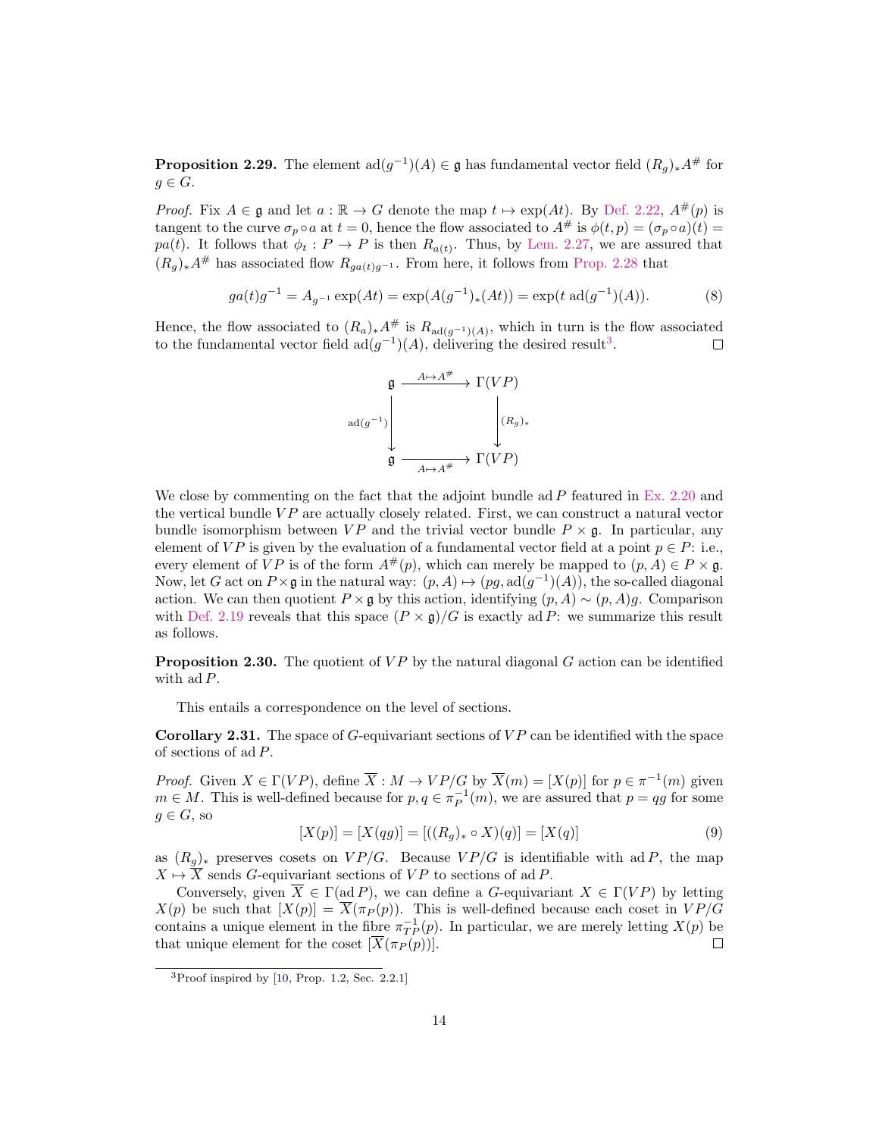**Proposition 2.29.** The element  $\text{ad}(g^{-1})(A) \in \mathfrak{g}$  has fundamental vector field  $(R_g)_*A^{\#}$  for  $g \in G$ .

*Proof.* Fix  $A \in \mathfrak{g}$  and let  $a : \mathbb{R} \to G$  denote the map  $t \mapsto \exp(At)$ . By [Def. 2.22,](#page-10-2)  $A^{\#}(p)$  is tangent to the curve  $\sigma_p \circ a$  at  $t = 0$ , hence the flow associated to  $A^{\#}$  is  $\phi(t,p) = (\sigma_p \circ a)(t)$ pa(t). It follows that  $\phi_t : P \to P$  is then  $R_{a(t)}$ . Thus, by [Lem. 2.27,](#page-12-1) we are assured that  $(R_q)_*A^{\#}$  has associated flow  $R_{qa(t)q-1}$ . From here, it follows from [Prop. 2.28](#page-12-2) that

$$
ga(t)g^{-1} = A_{g^{-1}} \exp(At) = \exp(A(g^{-1})_*(At)) = \exp(t \text{ ad}(g^{-1})(A)).
$$
 (8)

Hence, the flow associated to  $(R_a)_*A^{\#}$  is  $R_{\text{ad}(g^{-1})(A)}$ , which in turn is the flow associated to the fundamental vector field  $ad(g^{-1})(A)$ , delivering the desired result<sup>[3](#page-13-0)</sup>.



We close by commenting on the fact that the adjoint bundle ad  $P$  featured in [Ex. 2.20](#page-9-1) and the vertical bundle  $VP$  are actually closely related. First, we can construct a natural vector bundle isomorphism between  $VP$  and the trivial vector bundle  $P \times \mathfrak{g}$ . In particular, any element of VP is given by the evaluation of a fundamental vector field at a point  $p \in P$ : i.e., every element of  $VP$  is of the form  $A^{\#}(p)$ , which can merely be mapped to  $(p, A) \in P \times \mathfrak{g}$ . Now, let G act on  $P \times \mathfrak{g}$  in the natural way:  $(p, A) \mapsto (pg, \text{ad}(g^{-1})(A))$ , the so-called diagonal action. We can then quotient  $P \times \mathfrak{g}$  by this action, identifying  $(p, A) \sim (p, A)g$ . Comparison with [Def. 2.19](#page-9-2) reveals that this space  $(P \times g)/G$  is exactly ad P: we summarize this result as follows.

<span id="page-13-1"></span>**Proposition 2.30.** The quotient of  $VP$  by the natural diagonal  $G$  action can be identified with  $ad P$ .

This entails a correspondence on the level of sections.

<span id="page-13-2"></span>**Corollary 2.31.** The space of  $G$ -equivariant sections of  $VP$  can be identified with the space of sections of ad P.

*Proof.* Given  $X \in \Gamma(VP)$ , define  $\overline{X} : M \to VP/G$  by  $\overline{X}(m) = [X(p)]$  for  $p \in \pi^{-1}(m)$  given  $m \in M$ . This is well-defined because for  $p, q \in \pi_P^{-1}(m)$ , we are assured that  $p = qg$  for some  $g \in G$ , so

$$
[X(p)] = [X(qg)] = [((R_g)_* \circ X)(q)] = [X(q)] \tag{9}
$$

as  $(R_g)_*$  preserves cosets on  $VP/G$ . Because  $VP/G$  is identifiable with ad P, the map  $X \mapsto \overline{X}$  sends G-equivariant sections of VP to sections of ad P.

Conversely, given  $\overline{X} \in \Gamma(\text{ad } P)$ , we can define a G-equivariant  $X \in \Gamma(VP)$  by letting  $X(p)$  be such that  $[X(p)] = \overline{X}(\pi_P(p))$ . This is well-defined because each coset in  $VP/G$ contains a unique element in the fibre  $\pi_{TP}^{-1}(p)$ . In particular, we are merely letting  $X(p)$  be that unique element for the coset  $[X(\pi_P(p))]$ . П

<span id="page-13-0"></span> ${}^{3}$ Proof inspired by [\[10,](#page-52-2) Prop. 1.2, Sec. 2.2.1]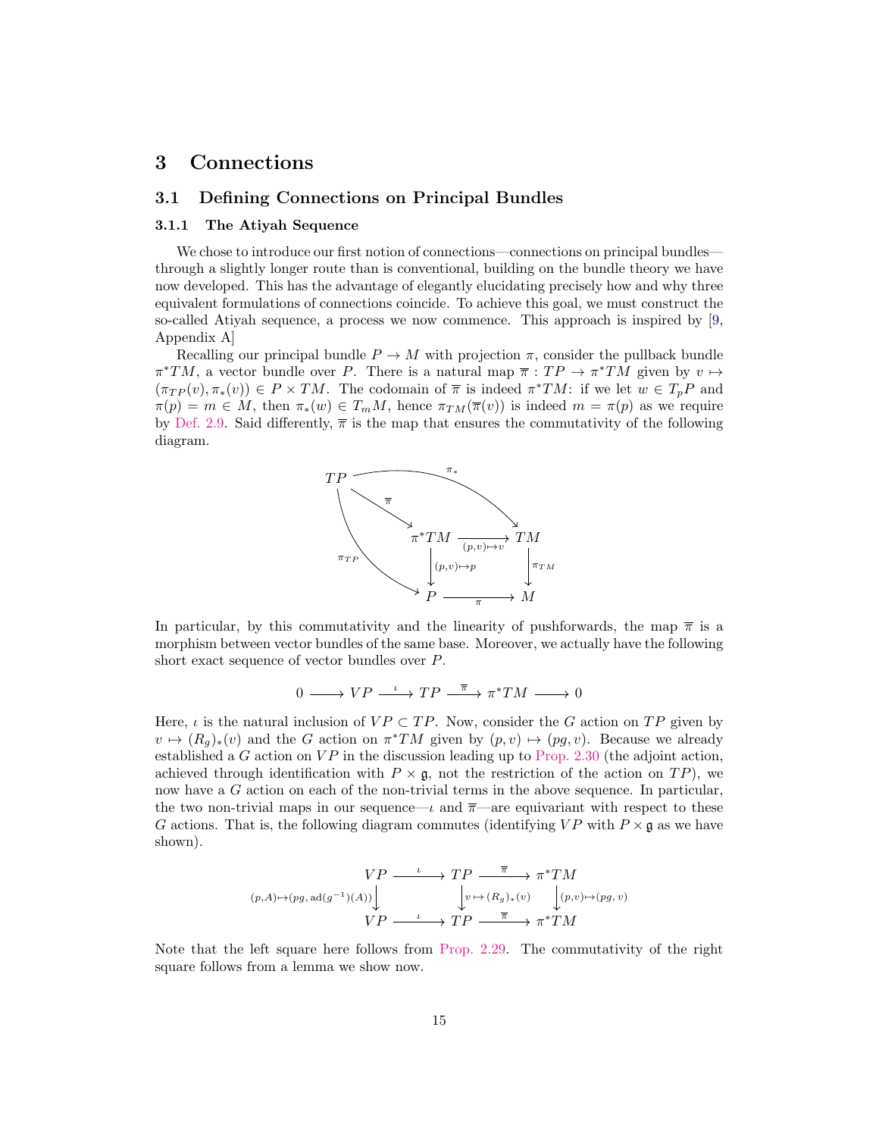## <span id="page-14-0"></span>3 Connections

#### <span id="page-14-1"></span>3.1 Defining Connections on Principal Bundles

#### <span id="page-14-2"></span>3.1.1 The Atiyah Sequence

We chose to introduce our first notion of connections—connections on principal bundles through a slightly longer route than is conventional, building on the bundle theory we have now developed. This has the advantage of elegantly elucidating precisely how and why three equivalent formulations of connections coincide. To achieve this goal, we must construct the so-called Atiyah sequence, a process we now commence. This approach is inspired by [\[9,](#page-52-3) Appendix A]

Recalling our principal bundle  $P \to M$  with projection  $\pi$ , consider the pullback bundle  $\pi^*TM$ , a vector bundle over P. There is a natural map  $\overline{\pi}:TP \to \pi^*TM$  given by  $v \mapsto$  $(\pi_{TP}(v), \pi_*(v)) \in P \times TM$ . The codomain of  $\overline{\pi}$  is indeed  $\pi^*TM$ : if we let  $w \in T_pP$  and  $\pi(p) = m \in M$ , then  $\pi_*(w) \in T_mM$ , hence  $\pi_{TM}(\overline{\pi}(v))$  is indeed  $m = \pi(p)$  as we require by [Def. 2.9.](#page-6-1) Said differently,  $\bar{\pi}$  is the map that ensures the commutativity of the following diagram.



In particular, by this commutativity and the linearity of pushforwards, the map  $\bar{\pi}$  is a morphism between vector bundles of the same base. Moreover, we actually have the following short exact sequence of vector bundles over P.

$$
0\longrightarrow VP\stackrel{\iota}{\longrightarrow}TP\stackrel{\overline{\pi}}{\longrightarrow} \pi^*TM\longrightarrow 0
$$

Here,  $\iota$  is the natural inclusion of  $VP \subset TP$ . Now, consider the G action on TP given by  $v \mapsto (R_g)_*(v)$  and the G action on  $\pi^*TM$  given by  $(p, v) \mapsto (pg, v)$ . Because we already established a G action on  $VP$  in the discussion leading up to [Prop. 2.30](#page-13-1) (the adjoint action, achieved through identification with  $P \times \mathfrak{g}$ , not the restriction of the action on  $TP$ ), we now have a G action on each of the non-trivial terms in the above sequence. In particular, the two non-trivial maps in our sequence— $\iota$  and  $\bar{\pi}$ —are equivariant with respect to these G actions. That is, the following diagram commutes (identifying  $VP$  with  $P \times \mathfrak{g}$  as we have shown).

$$
(p,A) \mapsto (pg, ad(g^{-1})(A)) \downarrow \qquad \qquad \downarrow p \longrightarrow T P \longrightarrow \pi^* TM
$$

$$
(p,A) \mapsto (pg, ad(g^{-1})(A)) \downarrow \qquad \qquad \downarrow v \mapsto (R_g)_*(v) \qquad \qquad \downarrow (p,v) \mapsto (pg,v)
$$

$$
VP \longrightarrow TP \longrightarrow \pi^* TM
$$

<span id="page-14-3"></span>Note that the left square here follows from [Prop. 2.29.](#page-12-3) The commutativity of the right square follows from a lemma we show now.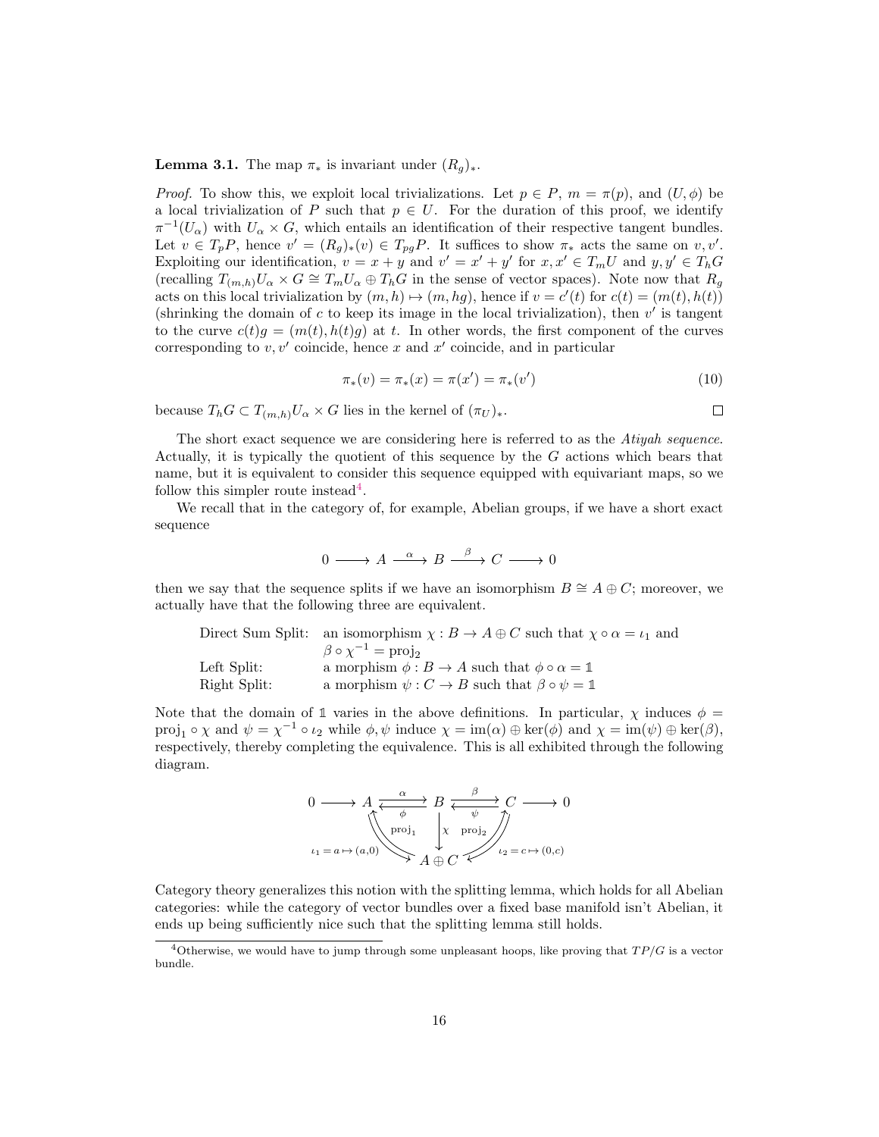**Lemma 3.1.** The map  $\pi_*$  is invariant under  $(R_q)_*.$ 

*Proof.* To show this, we exploit local trivializations. Let  $p \in P$ ,  $m = \pi(p)$ , and  $(U, \phi)$  be a local trivialization of P such that  $p \in U$ . For the duration of this proof, we identify  $\pi^{-1}(U_{\alpha})$  with  $U_{\alpha} \times G$ , which entails an identification of their respective tangent bundles. Let  $v \in T_pP$ , hence  $v' = (R_g)_*(v) \in T_{pg}P$ . It suffices to show  $\pi_*$  acts the same on  $v, v'$ . Exploiting our identification,  $v = x + y$  and  $v' = x' + y'$  for  $x, x' \in T_m U$  and  $y, y' \in T_h G$ (recalling  $T_{(m,h)}U_\alpha \times G \cong T_mU_\alpha \oplus T_hG$  in the sense of vector spaces). Note now that  $R_g$ acts on this local trivialization by  $(m, h) \mapsto (m, hg)$ , hence if  $v = c'(t)$  for  $c(t) = (m(t), h(t))$ (shrinking the domain of  $c$  to keep its image in the local trivialization), then  $v'$  is tangent to the curve  $c(t)g = (m(t), h(t)g)$  at t. In other words, the first component of the curves corresponding to  $v, v'$  coincide, hence x and  $x'$  coincide, and in particular

$$
\pi_*(v) = \pi_*(x) = \pi(x') = \pi_*(v')
$$
\n(10)

 $\Box$ 

because  $T_h G \subset T_{(m,h)}U_\alpha \times G$  lies in the kernel of  $(\pi_U)_*.$ 

The short exact sequence we are considering here is referred to as the *Atiyah sequence*. Actually, it is typically the quotient of this sequence by the G actions which bears that name, but it is equivalent to consider this sequence equipped with equivariant maps, so we follow this simpler route instead<sup>[4](#page-15-0)</sup>.

We recall that in the category of, for example, Abelian groups, if we have a short exact sequence

$$
0 \longrightarrow A \xrightarrow{\alpha} B \xrightarrow{\beta} C \longrightarrow 0
$$

then we say that the sequence splits if we have an isomorphism  $B \cong A \oplus C$ ; moreover, we actually have that the following three are equivalent.

|              | Direct Sum Split: an isomorphism $\chi : B \to A \oplus C$ such that $\chi \circ \alpha = \iota_1$ and |
|--------------|--------------------------------------------------------------------------------------------------------|
|              | $\beta \circ \chi^{-1} = \text{proj}_2$                                                                |
| Left Split:  | a morphism $\phi : B \to A$ such that $\phi \circ \alpha = \mathbb{1}$                                 |
| Right Split: | a morphism $\psi : C \to B$ such that $\beta \circ \psi = \mathbb{1}$                                  |

Note that the domain of 1 varies in the above definitions. In particular,  $\chi$  induces  $\phi =$ proj<sub>1</sub>  $\circ \chi$  and  $\psi = \chi^{-1} \circ \iota_2$  while  $\phi, \psi$  induce  $\chi = \text{im}(\alpha) \oplus \text{ker}(\phi)$  and  $\chi = \text{im}(\psi) \oplus \text{ker}(\beta)$ , respectively, thereby completing the equivalence. This is all exhibited through the following diagram.

$$
0 \longrightarrow A \underset{\iota_1 = a \mapsto (a,0)}{\overset{\alpha}{\longleftrightarrow}} B \underset{A \oplus C}{\overset{\beta}{\longleftrightarrow}} C \longrightarrow 0
$$
  

$$
\downarrow \qquad \qquad \downarrow \qquad \downarrow \qquad \downarrow \qquad \downarrow \qquad \downarrow \qquad \downarrow \qquad \downarrow \qquad \downarrow \qquad \downarrow \qquad \downarrow \qquad \downarrow \qquad \downarrow \qquad \downarrow \qquad \downarrow \qquad \downarrow \qquad \downarrow \qquad \downarrow \qquad \downarrow \qquad \downarrow \qquad \downarrow \qquad \downarrow \qquad \downarrow \qquad \downarrow \qquad \downarrow \qquad \downarrow \qquad \downarrow \qquad \downarrow \qquad \downarrow \qquad \downarrow \qquad \downarrow \qquad \downarrow \qquad \downarrow \qquad \downarrow \qquad \downarrow \qquad \downarrow \qquad \downarrow \qquad \downarrow \qquad \downarrow \qquad \downarrow \qquad \downarrow \qquad \downarrow \qquad \downarrow \qquad \downarrow \qquad \downarrow \qquad \downarrow \qquad \downarrow \qquad \downarrow \qquad \downarrow \qquad \downarrow \qquad \downarrow \qquad \downarrow \qquad \downarrow \qquad \downarrow \qquad \downarrow \qquad \downarrow \qquad \downarrow \qquad \downarrow \qquad \downarrow \qquad \downarrow \qquad \downarrow \qquad \downarrow \qquad \downarrow \qquad \downarrow \qquad \downarrow \qquad \downarrow \qquad \downarrow \qquad \downarrow \qquad \downarrow \qquad \downarrow \qquad \downarrow \qquad \downarrow \qquad \downarrow \qquad \downarrow \qquad \downarrow \qquad \downarrow \qquad \downarrow \qquad \downarrow \qquad \downarrow \qquad \downarrow \qquad \downarrow \qquad \downarrow \qquad \downarrow \qquad \downarrow \qquad \downarrow \qquad \downarrow \qquad \downarrow \qquad \downarrow \qquad \downarrow \qquad \downarrow \qquad \downarrow \qquad \downarrow \qquad \downarrow \qquad \downarrow \qquad \downarrow \qquad \downarrow \qquad \downarrow \qquad \downarrow \qquad \downarrow \qquad \downarrow \qquad \downarrow \qquad \downarrow \qquad \downarrow \qquad \downarrow \qquad \downarrow \qquad \downarrow \qquad \downarrow \qquad \downarrow \qquad \downarrow \qquad \downarrow \qquad \downarrow \qquad \downarrow \qquad \downarrow \qquad \downarrow \qquad \downarrow \qquad \
$$

Category theory generalizes this notion with the splitting lemma, which holds for all Abelian categories: while the category of vector bundles over a fixed base manifold isn't Abelian, it ends up being sufficiently nice such that the splitting lemma still holds.

<span id="page-15-0"></span><sup>&</sup>lt;sup>4</sup>Otherwise, we would have to jump through some unpleasant hoops, like proving that  $TP/G$  is a vector bundle.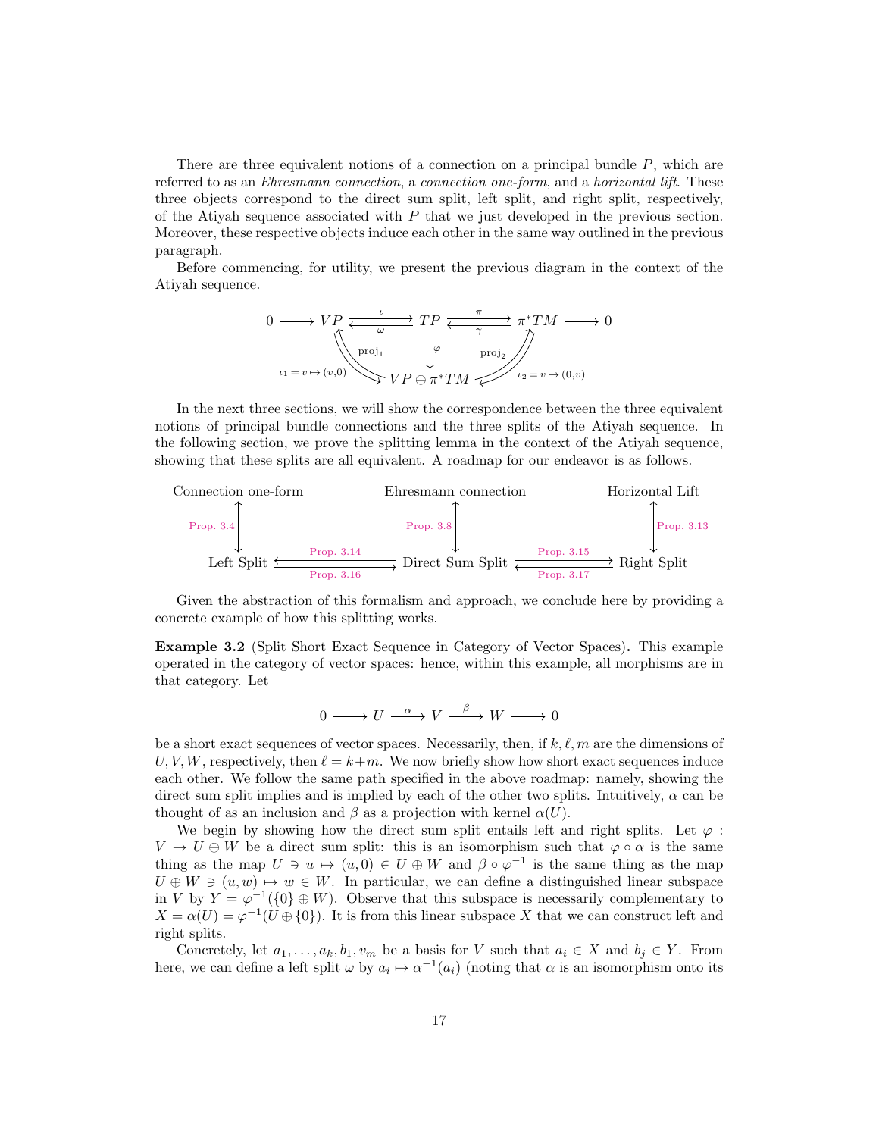There are three equivalent notions of a connection on a principal bundle  $P$ , which are referred to as an *Ehresmann connection*, a *connection one-form*, and a *horizontal lift*. These three objects correspond to the direct sum split, left split, and right split, respectively, of the Atiyah sequence associated with  $P$  that we just developed in the previous section. Moreover, these respective objects induce each other in the same way outlined in the previous paragraph.

Before commencing, for utility, we present the previous diagram in the context of the Atiyah sequence.

$$
0 \longrightarrow VP \xrightarrow{\iota} TP \xrightarrow{\overline{\pi}} \pi^* TM \longrightarrow 0
$$
  
\n
$$
\downarrow^{\text{proj}_1} \qquad \downarrow^{\varphi} \qquad \text{proj}_2
$$
  
\n
$$
\iota_1 = v \mapsto (v,0) \qquad \qquad VP \oplus \pi^* TM \qquad \qquad \iota_2 = v \mapsto (0,v)
$$

In the next three sections, we will show the correspondence between the three equivalent notions of principal bundle connections and the three splits of the Atiyah sequence. In the following section, we prove the splitting lemma in the context of the Atiyah sequence, showing that these splits are all equivalent. A roadmap for our endeavor is as follows.



Given the abstraction of this formalism and approach, we conclude here by providing a concrete example of how this splitting works.

Example 3.2 (Split Short Exact Sequence in Category of Vector Spaces). This example operated in the category of vector spaces: hence, within this example, all morphisms are in that category. Let

$$
0 \longrightarrow U \stackrel{\alpha}{\longrightarrow} V \stackrel{\beta}{\longrightarrow} W \longrightarrow 0
$$

be a short exact sequences of vector spaces. Necessarily, then, if  $k, \ell, m$  are the dimensions of U, V, W, respectively, then  $\ell = k+m$ . We now briefly show how short exact sequences induce each other. We follow the same path specified in the above roadmap: namely, showing the direct sum split implies and is implied by each of the other two splits. Intuitively,  $\alpha$  can be thought of as an inclusion and  $\beta$  as a projection with kernel  $\alpha(U)$ .

We begin by showing how the direct sum split entails left and right splits. Let  $\varphi$ :  $V \to U \oplus W$  be a direct sum split: this is an isomorphism such that  $\varphi \circ \alpha$  is the same thing as the map  $U \ni u \mapsto (u, 0) \in U \oplus W$  and  $\beta \circ \varphi^{-1}$  is the same thing as the map  $U \oplus W \ni (u, w) \mapsto w \in W$ . In particular, we can define a distinguished linear subspace in V by  $Y = \varphi^{-1}(\{0\} \oplus W)$ . Observe that this subspace is necessarily complementary to  $X = \alpha(U) = \varphi^{-1}(U \oplus \{0\})$ . It is from this linear subspace X that we can construct left and right splits.

Concretely, let  $a_1, \ldots, a_k, b_1, v_m$  be a basis for V such that  $a_i \in X$  and  $b_j \in Y$ . From here, we can define a left split  $\omega$  by  $a_i \mapsto \alpha^{-1}(a_i)$  (noting that  $\alpha$  is an isomorphism onto its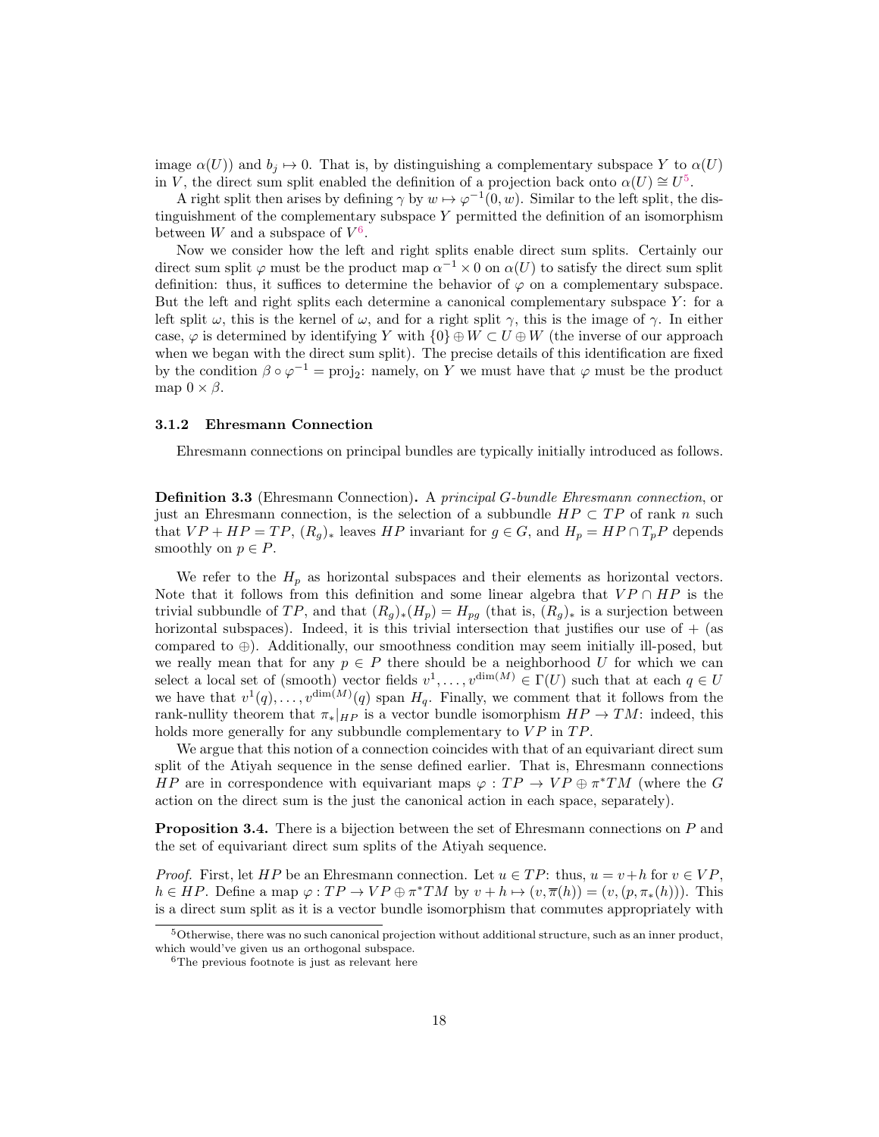image  $\alpha(U)$ ) and  $b_j \mapsto 0$ . That is, by distinguishing a complementary subspace Y to  $\alpha(U)$ in V, the direct sum split enabled the definition of a projection back onto  $\alpha(U) \cong U^5$  $\alpha(U) \cong U^5$ .

A right split then arises by defining  $\gamma$  by  $w \mapsto \varphi^{-1}(0, w)$ . Similar to the left split, the distinguishment of the complementary subspace Y permitted the definition of an isomorphism between W and a subspace of  $V^6$  $V^6$ .

Now we consider how the left and right splits enable direct sum splits. Certainly our direct sum split  $\varphi$  must be the product map  $\alpha^{-1} \times 0$  on  $\alpha(U)$  to satisfy the direct sum split definition: thus, it suffices to determine the behavior of  $\varphi$  on a complementary subspace. But the left and right splits each determine a canonical complementary subspace  $Y$ : for a left split  $\omega$ , this is the kernel of  $\omega$ , and for a right split  $\gamma$ , this is the image of  $\gamma$ . In either case,  $\varphi$  is determined by identifying Y with  $\{0\} \oplus W \subset U \oplus W$  (the inverse of our approach when we began with the direct sum split). The precise details of this identification are fixed by the condition  $\beta \circ \varphi^{-1} = \text{proj}_2$ : namely, on Y we must have that  $\varphi$  must be the product map  $0 \times \beta$ .

#### <span id="page-17-0"></span>3.1.2 Ehresmann Connection

Ehresmann connections on principal bundles are typically initially introduced as follows.

Definition 3.3 (Ehresmann Connection). A principal G-bundle Ehresmann connection, or just an Ehresmann connection, is the selection of a subbundle  $HP \subset TP$  of rank n such that  $VP + HP = TP$ ,  $(R_q)_*$  leaves HP invariant for  $g \in G$ , and  $H_p = HP \cap T_pP$  depends smoothly on  $p \in P$ .

We refer to the  $H_p$  as horizontal subspaces and their elements as horizontal vectors. Note that it follows from this definition and some linear algebra that  $VP \cap HP$  is the trivial subbundle of TP, and that  $(R_q)_*(H_p) = H_{pq}$  (that is,  $(R_q)_*$  is a surjection between horizontal subspaces). Indeed, it is this trivial intersection that justifies our use of  $+$  (as compared to ⊕). Additionally, our smoothness condition may seem initially ill-posed, but we really mean that for any  $p \in P$  there should be a neighborhood U for which we can select a local set of (smooth) vector fields  $v^1, \ldots, v^{\dim(M)} \in \Gamma(U)$  such that at each  $q \in U$ we have that  $v^1(q), \ldots, v^{\dim(M)}(q)$  span  $H_q$ . Finally, we comment that it follows from the rank-nullity theorem that  $\pi_*|_{HP}$  is a vector bundle isomorphism  $HP \to TM$ : indeed, this holds more generally for any subbundle complementary to  $VP$  in  $TP$ .

We argue that this notion of a connection coincides with that of an equivariant direct sum split of the Atiyah sequence in the sense defined earlier. That is, Ehresmann connections *HP* are in correspondence with equivariant maps  $\varphi : TP \to VP \oplus \pi^*TM$  (where the G action on the direct sum is the just the canonical action in each space, separately).

<span id="page-17-1"></span>**Proposition 3.4.** There is a bijection between the set of Ehresmann connections on P and the set of equivariant direct sum splits of the Atiyah sequence.

*Proof.* First, let HP be an Ehresmann connection. Let  $u \in TP$ : thus,  $u = v + h$  for  $v \in VP$ ,  $h \in HP$ . Define a map  $\varphi:TP \to VP \oplus \pi^*TM$  by  $v + h \mapsto (v, \overline{\pi}(h)) = (v, (p, \pi_*(h)))$ . This is a direct sum split as it is a vector bundle isomorphism that commutes appropriately with

<span id="page-17-2"></span> $5$ Otherwise, there was no such canonical projection without additional structure, such as an inner product, which would've given us an orthogonal subspace.

<span id="page-17-3"></span> ${}^{6}$ The previous footnote is just as relevant here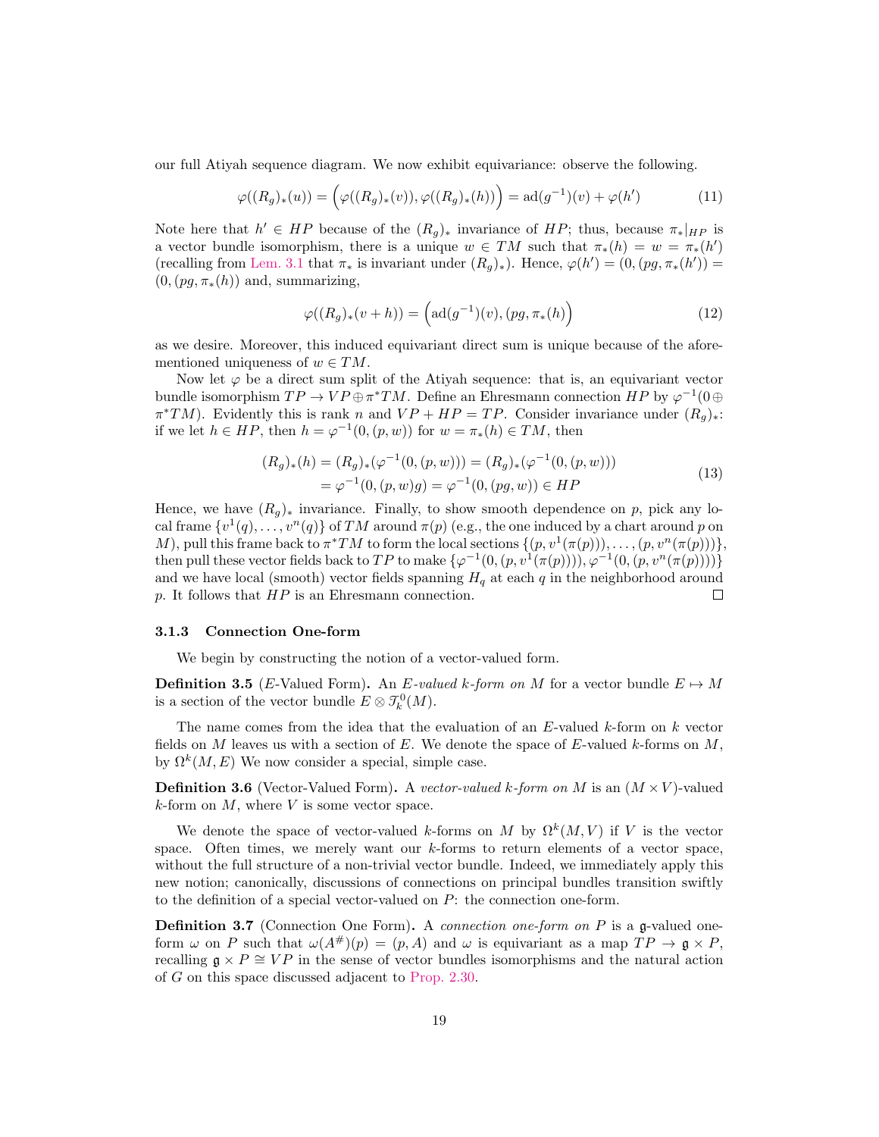our full Atiyah sequence diagram. We now exhibit equivariance: observe the following.

$$
\varphi((R_g)_*(u)) = \left(\varphi((R_g)_*(v)), \varphi((R_g)_*(h))\right) = \mathrm{ad}(g^{-1})(v) + \varphi(h')
$$
\n(11)

Note here that  $h' \in HP$  because of the  $(R_g)_*$  invariance of  $HP$ ; thus, because  $\pi_*|_{HP}$  is a vector bundle isomorphism, there is a unique  $w \in TM$  such that  $\pi_*(h) = w = \pi_*(h')$ (recalling from [Lem. 3.1](#page-14-3) that  $\pi_*$  is invariant under  $(R_g)_*$ ). Hence,  $\varphi(h') = (0, (pg, \pi_*(h')) =$  $(0,(pg,\pi_*(h))$  and, summarizing,

$$
\varphi((R_g)_*(v+h)) = \left(\mathrm{ad}(g^{-1})(v), (pg, \pi_*(h))\right) \tag{12}
$$

as we desire. Moreover, this induced equivariant direct sum is unique because of the aforementioned uniqueness of  $w \in TM$ .

Now let  $\varphi$  be a direct sum split of the Atiyah sequence: that is, an equivariant vector bundle isomorphism  $TP \to VP \oplus \pi^* TM$ . Define an Ehresmann connection  $HP$  by  $\varphi^{-1}(0 \oplus$  $\pi^*TM$ ). Evidently this is rank n and  $VP + HP = TP$ . Consider invariance under  $(R_g)_*$ : if we let  $h \in HP$ , then  $h = \varphi^{-1}(0, (p, w))$  for  $w = \pi_*(h) \in TM$ , then

$$
(R_g)_*(h) = (R_g)_*(\varphi^{-1}(0, (p, w))) = (R_g)_*(\varphi^{-1}(0, (p, w)))
$$
  
=  $\varphi^{-1}(0, (p, w)g) = \varphi^{-1}(0, (pg, w)) \in HP$  (13)

Hence, we have  $(R_q)_*$  invariance. Finally, to show smooth dependence on p, pick any local frame  $\{v^1(q), \ldots, v^n(q)\}$  of TM around  $\pi(p)$  (e.g., the one induced by a chart around p on M), pull this frame back to  $\pi^*TM$  to form the local sections  $\{(p, v^1(\pi(p))), \ldots, (p, v^n(\pi(p)))\},\$ then pull these vector fields back to TP to make  $\{\varphi^{-1}(0,(p,v^1(\pi(p)))) , \varphi^{-1}(0,(p,v^n(\pi(p)))) \}$ and we have local (smooth) vector fields spanning  $H<sub>q</sub>$  at each q in the neighborhood around p. It follows that  $HP$  is an Ehresmann connection.  $\Box$ 

#### <span id="page-18-0"></span>3.1.3 Connection One-form

We begin by constructing the notion of a vector-valued form.

**Definition 3.5** (E-Valued Form). An E-valued k-form on M for a vector bundle  $E \mapsto M$ is a section of the vector bundle  $E \otimes T_k^0(M)$ .

The name comes from the idea that the evaluation of an  $E$ -valued  $k$ -form on  $k$  vector fields on  $M$  leaves us with a section of  $E$ . We denote the space of  $E$ -valued  $k$ -forms on  $M$ , by  $\Omega^k(M, E)$  We now consider a special, simple case.

**Definition 3.6** (Vector-Valued Form). A vector-valued k-form on M is an  $(M \times V)$ -valued  $k$ -form on  $M$ , where  $V$  is some vector space.

We denote the space of vector-valued k-forms on M by  $\Omega^k(M, V)$  if V is the vector space. Often times, we merely want our  $k$ -forms to return elements of a vector space, without the full structure of a non-trivial vector bundle. Indeed, we immediately apply this new notion; canonically, discussions of connections on principal bundles transition swiftly to the definition of a special vector-valued on  $P$ : the connection one-form.

**Definition 3.7** (Connection One Form). A *connection one-form on P* is a g-valued oneform  $\omega$  on P such that  $\omega(A^{\#})(p) = (p, A)$  and  $\omega$  is equivariant as a map  $TP \to \mathfrak{g} \times P$ , recalling  $\mathfrak{g} \times P \cong VP$  in the sense of vector bundles isomorphisms and the natural action of G on this space discussed adjacent to [Prop. 2.30.](#page-13-1)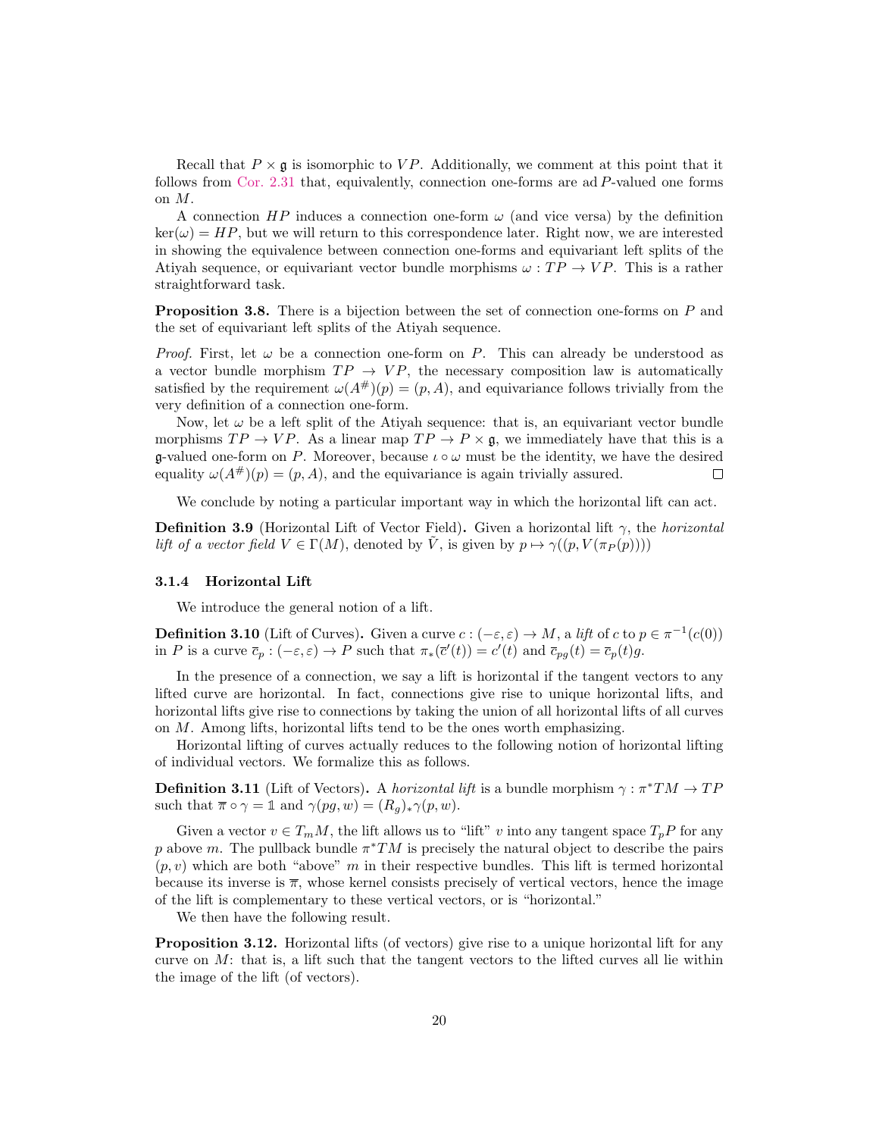Recall that  $P \times \mathfrak{g}$  is isomorphic to VP. Additionally, we comment at this point that it follows from [Cor. 2.31](#page-13-2) that, equivalently, connection one-forms are ad P-valued one forms on M.

A connection  $HP$  induces a connection one-form  $\omega$  (and vice versa) by the definition  $\ker(\omega) = HP$ , but we will return to this correspondence later. Right now, we are interested in showing the equivalence between connection one-forms and equivariant left splits of the Atiyah sequence, or equivariant vector bundle morphisms  $\omega : TP \to VP$ . This is a rather straightforward task.

<span id="page-19-1"></span>**Proposition 3.8.** There is a bijection between the set of connection one-forms on P and the set of equivariant left splits of the Atiyah sequence.

*Proof.* First, let  $\omega$  be a connection one-form on P. This can already be understood as a vector bundle morphism  $TP \rightarrow VP$ , the necessary composition law is automatically satisfied by the requirement  $\omega(A^{\#})(p) = (p, A)$ , and equivariance follows trivially from the very definition of a connection one-form.

Now, let  $\omega$  be a left split of the Atiyah sequence: that is, an equivariant vector bundle morphisms  $TP \to VP$ . As a linear map  $TP \to P \times \mathfrak{g}$ , we immediately have that this is a g-valued one-form on P. Moreover, because  $\iota \circ \omega$  must be the identity, we have the desired equality  $\omega(A^{\#})(p) = (p, A)$ , and the equivariance is again trivially assured.  $\Box$ 

We conclude by noting a particular important way in which the horizontal lift can act.

**Definition 3.9** (Horizontal Lift of Vector Field). Given a horizontal lift  $\gamma$ , the *horizontal* lift of a vector field  $V \in \Gamma(M)$ , denoted by  $\tilde{V}$ , is given by  $p \mapsto \gamma((p, V(\pi_P(p))))$ 

#### <span id="page-19-0"></span>3.1.4 Horizontal Lift

We introduce the general notion of a lift.

**Definition 3.10** (Lift of Curves). Given a curve  $c:(-\varepsilon,\varepsilon) \to M$ , a lift of c to  $p \in \pi^{-1}(c(0))$ in P is a curve  $\overline{c}_p$ :  $(-\varepsilon,\varepsilon) \to P$  such that  $\pi_*(\overline{c}'(t)) = c'(t)$  and  $\overline{c}_{pg}(t) = \overline{c}_p(t)g$ .

In the presence of a connection, we say a lift is horizontal if the tangent vectors to any lifted curve are horizontal. In fact, connections give rise to unique horizontal lifts, and horizontal lifts give rise to connections by taking the union of all horizontal lifts of all curves on  $M$ . Among lifts, horizontal lifts tend to be the ones worth emphasizing.

Horizontal lifting of curves actually reduces to the following notion of horizontal lifting of individual vectors. We formalize this as follows.

**Definition 3.11** (Lift of Vectors). A *horizontal lift* is a bundle morphism  $\gamma : \pi^*TM \to TP$ such that  $\overline{\pi} \circ \gamma = \mathbb{1}$  and  $\gamma(pg, w) = (R_q)_* \gamma(p, w)$ .

Given a vector  $v \in T_m M$ , the lift allows us to "lift" v into any tangent space  $T_p P$  for any p above m. The pullback bundle  $\pi^*TM$  is precisely the natural object to describe the pairs  $(p, v)$  which are both "above" m in their respective bundles. This lift is termed horizontal because its inverse is  $\bar{\pi}$ , whose kernel consists precisely of vertical vectors, hence the image of the lift is complementary to these vertical vectors, or is "horizontal."

We then have the following result.

**Proposition 3.12.** Horizontal lifts (of vectors) give rise to a unique horizontal lift for any curve on  $M$ : that is, a lift such that the tangent vectors to the lifted curves all lie within the image of the lift (of vectors).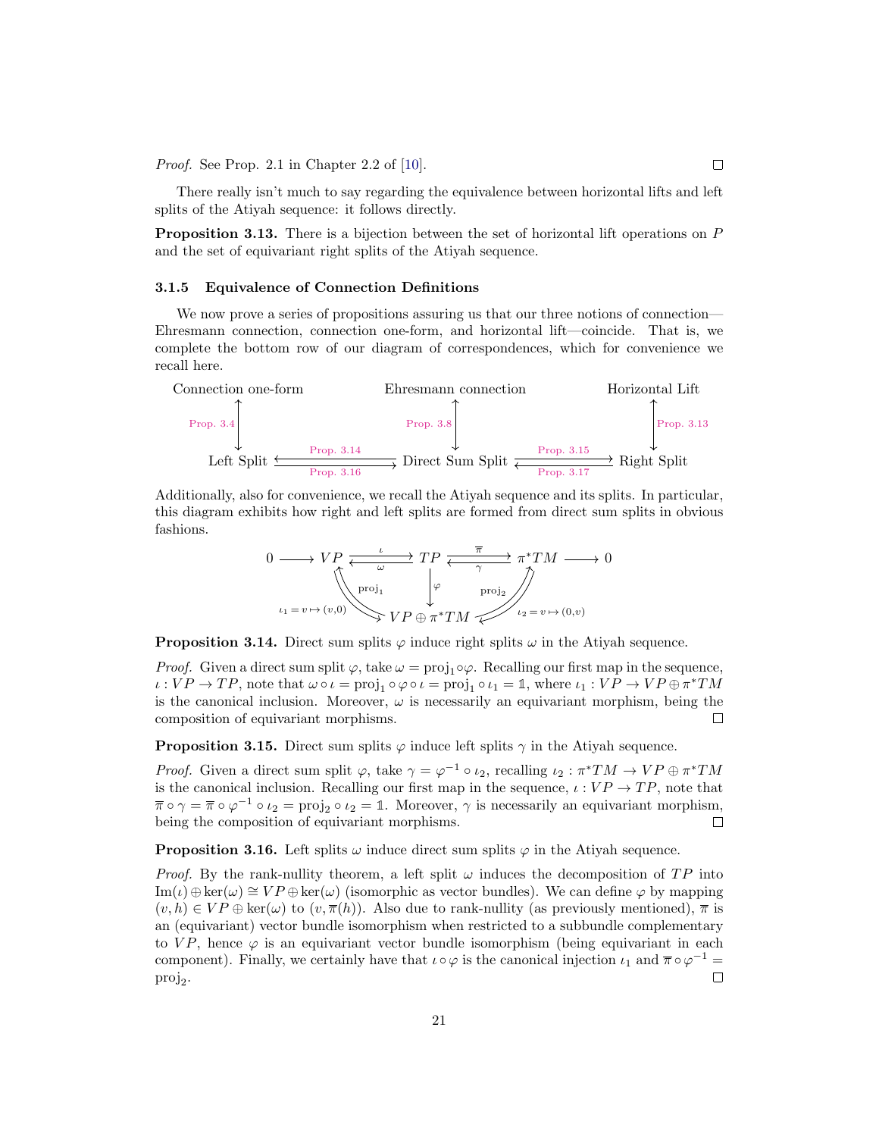Proof. See Prop. 2.1 in Chapter 2.2 of [\[10\]](#page-52-2).

There really isn't much to say regarding the equivalence between horizontal lifts and left splits of the Atiyah sequence: it follows directly.

<span id="page-20-1"></span>**Proposition 3.13.** There is a bijection between the set of horizontal lift operations on  $P$ and the set of equivariant right splits of the Atiyah sequence.

#### <span id="page-20-0"></span>3.1.5 Equivalence of Connection Definitions

We now prove a series of propositions assuring us that our three notions of connection— Ehresmann connection, connection one-form, and horizontal lift—coincide. That is, we complete the bottom row of our diagram of correspondences, which for convenience we recall here.



Additionally, also for convenience, we recall the Atiyah sequence and its splits. In particular, this diagram exhibits how right and left splits are formed from direct sum splits in obvious fashions.

$$
0 \longrightarrow VP \xleftarrow{\iota} T P \xleftarrow{\overline{\pi}} \pi^* TM \longrightarrow 0
$$
  
\n
$$
\downarrow^{\text{proj}_1} \qquad \downarrow^{\varphi} \qquad \text{proj}_2
$$
  
\n
$$
\iota_1 = v \mapsto (v,0) \qquad \qquad VP \oplus \pi^* TM \qquad \qquad \iota_2 = v \mapsto (0,v)
$$

<span id="page-20-3"></span>**Proposition 3.14.** Direct sum splits  $\varphi$  induce right splits  $\omega$  in the Atiyah sequence.

*Proof.* Given a direct sum split  $\varphi$ , take  $\omega = \text{proj}_1 \circ \varphi$ . Recalling our first map in the sequence,  $\iota: VP \to TP$ , note that  $\omega \circ \iota = \text{proj}_1 \circ \varphi \circ \iota = \text{proj}_1 \circ \iota_1 = \mathbb{1}$ , where  $\iota_1: VP \to VP \oplus \pi^* TM$ is the canonical inclusion. Moreover,  $\omega$  is necessarily an equivariant morphism, being the composition of equivariant morphisms. П

<span id="page-20-4"></span>**Proposition 3.15.** Direct sum splits  $\varphi$  induce left splits  $\gamma$  in the Atiyah sequence.

*Proof.* Given a direct sum split  $\varphi$ , take  $\gamma = \varphi^{-1} \circ \iota_2$ , recalling  $\iota_2 : \pi^*TM \to VP \oplus \pi^*TM$ is the canonical inclusion. Recalling our first map in the sequence,  $\iota : VP \rightarrow TP$ , note that  $\overline{\pi} \circ \gamma = \overline{\pi} \circ \varphi^{-1} \circ \iota_2 = \text{proj}_2 \circ \iota_2 = \mathbb{1}$ . Moreover,  $\gamma$  is necessarily an equivariant morphism, being the composition of equivariant morphisms.  $\Box$ 

<span id="page-20-2"></span>**Proposition 3.16.** Left splits  $\omega$  induce direct sum splits  $\varphi$  in the Atiyah sequence.

<span id="page-20-5"></span>*Proof.* By the rank-nullity theorem, a left split  $\omega$  induces the decomposition of TP into  $\text{Im}(\iota) \oplus \ker(\omega) \cong VP \oplus \ker(\omega)$  (isomorphic as vector bundles). We can define  $\varphi$  by mapping  $(v, h) \in VP \oplus \text{ker}(\omega)$  to  $(v, \overline{\pi}(h))$ . Also due to rank-nullity (as previously mentioned),  $\overline{\pi}$  is an (equivariant) vector bundle isomorphism when restricted to a subbundle complementary to  $VP$ , hence  $\varphi$  is an equivariant vector bundle isomorphism (being equivariant in each component). Finally, we certainly have that  $\iota \circ \varphi$  is the canonical injection  $\iota_1$  and  $\bar{\pi} \circ \varphi^{-1} =$  $proj_2$ .  $\Box$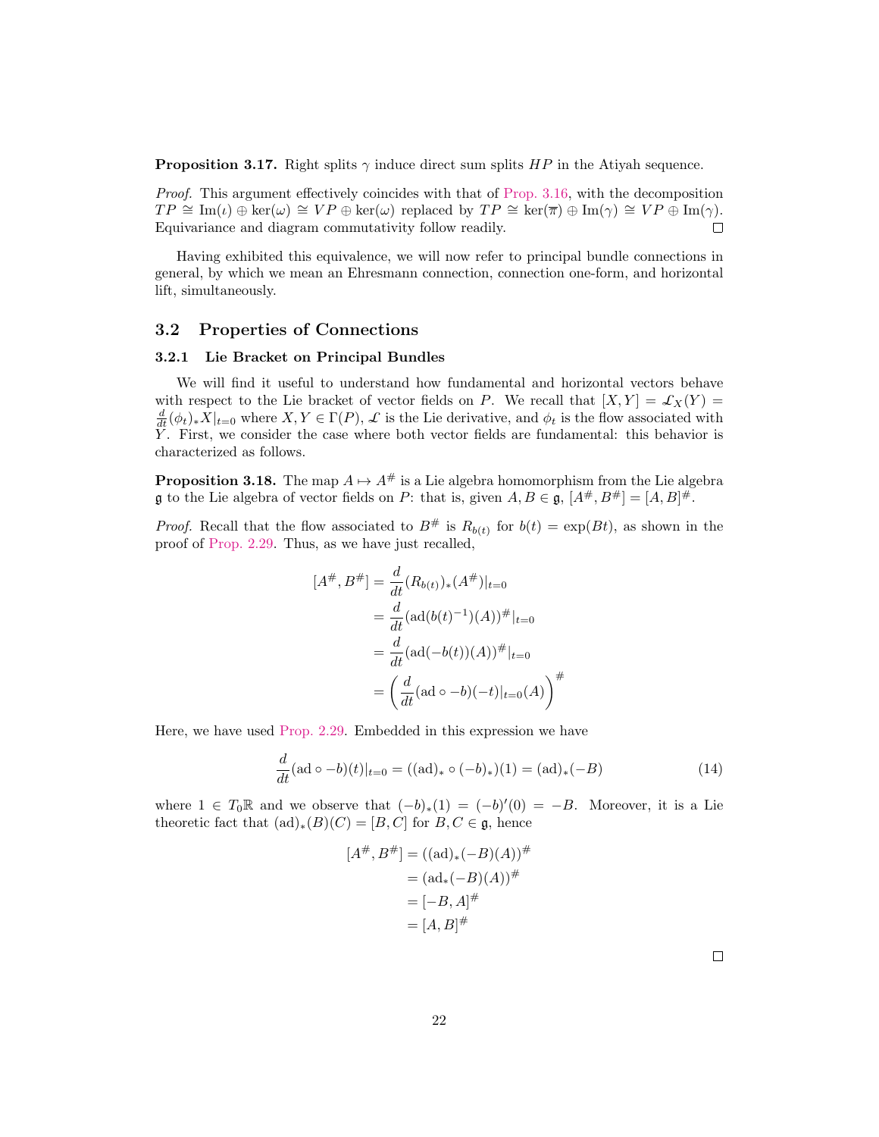**Proposition 3.17.** Right splits  $\gamma$  induce direct sum splits  $HP$  in the Atiyah sequence.

Proof. This argument effectively coincides with that of [Prop. 3.16,](#page-20-2) with the decomposition  $TP \cong \text{Im}(\iota) \oplus \text{ker}(\omega) \cong VP \oplus \text{ker}(\omega)$  replaced by  $TP \cong \text{ker}(\overline{\pi}) \oplus \text{Im}(\gamma) \cong VP \oplus \text{Im}(\gamma)$ . Equivariance and diagram commutativity follow readily.  $\Box$ 

Having exhibited this equivalence, we will now refer to principal bundle connections in general, by which we mean an Ehresmann connection, connection one-form, and horizontal lift, simultaneously.

#### <span id="page-21-0"></span>3.2 Properties of Connections

#### <span id="page-21-1"></span>3.2.1 Lie Bracket on Principal Bundles

We will find it useful to understand how fundamental and horizontal vectors behave with respect to the Lie bracket of vector fields on P. We recall that  $[X, Y] = \mathcal{L}_X(Y)$  $\frac{d}{dt}(\phi_t)_*X|_{t=0}$  where  $X, Y \in \Gamma(P)$ ,  $\mathcal L$  is the Lie derivative, and  $\phi_t$  is the flow associated with Y . First, we consider the case where both vector fields are fundamental: this behavior is characterized as follows.

<span id="page-21-2"></span>**Proposition 3.18.** The map  $A \mapsto A^{\#}$  is a Lie algebra homomorphism from the Lie algebra **g** to the Lie algebra of vector fields on P: that is, given  $A, B \in \mathfrak{g}, [A^\#, B^\#] = [A, B]^\#$ .

*Proof.* Recall that the flow associated to  $B^{\#}$  is  $R_{b(t)}$  for  $b(t) = \exp(Bt)$ , as shown in the proof of [Prop. 2.29.](#page-12-3) Thus, as we have just recalled,

$$
[A^{\#}, B^{\#}] = \frac{d}{dt}(R_{b(t)})_{*}(A^{\#})|_{t=0}
$$
  
= 
$$
\frac{d}{dt}(\text{ad}(b(t)^{-1})(A))^{\#}|_{t=0}
$$
  
= 
$$
\frac{d}{dt}(\text{ad}(-b(t))(A))^{\#}|_{t=0}
$$
  
= 
$$
\left(\frac{d}{dt}(\text{ad} \circ -b)(-t)|_{t=0}(A)\right)^{\#}
$$

Here, we have used [Prop. 2.29.](#page-12-3) Embedded in this expression we have

$$
\frac{d}{dt}(\text{ad}\circ -b)(t)|_{t=0} = ((\text{ad})_* \circ (-b)_*)(1) = (\text{ad})_* (-B) \tag{14}
$$

where  $1 \in T_0\mathbb{R}$  and we observe that  $(-b)_*(1) = (-b)'(0) = -B$ . Moreover, it is a Lie theoretic fact that  $(\text{ad})_*(B)(C) = [B, C]$  for  $B, C \in \mathfrak{g}$ , hence

$$
[A^{\#}, B^{\#}] = ((ad)_{*}(-B)(A))^{\#}
$$
  
=  $(ad_{*}(-B)(A))^{\#}$   
=  $[-B, A]^{\#}$   
=  $[A, B]^{\#}$ 

 $\Box$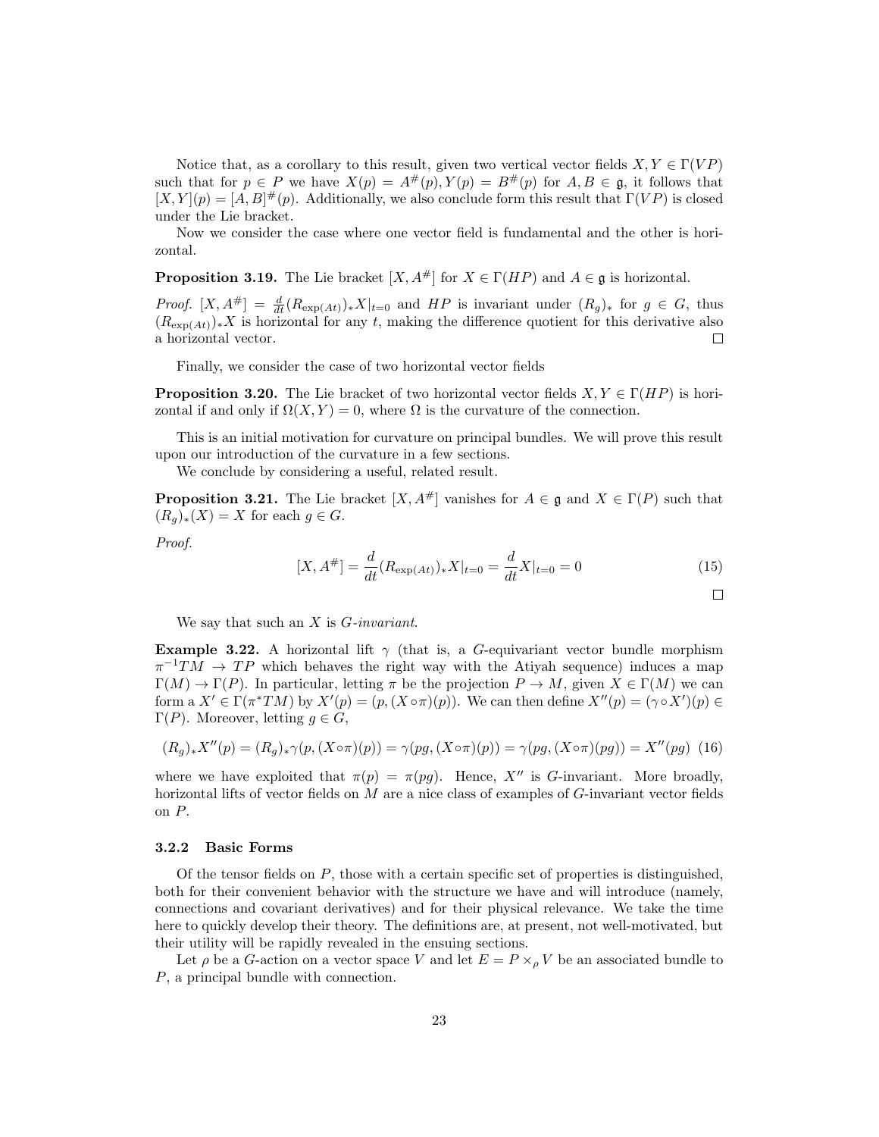Notice that, as a corollary to this result, given two vertical vector fields  $X, Y \in \Gamma(VP)$ such that for  $p \in P$  we have  $X(p) = A^{\#}(p)$ ,  $Y(p) = B^{\#}(p)$  for  $A, B \in \mathfrak{g}$ , it follows that  $[X, Y](p) = [A, B]^{\#}(p)$ . Additionally, we also conclude form this result that  $\Gamma(VP)$  is closed under the Lie bracket.

Now we consider the case where one vector field is fundamental and the other is horizontal.

<span id="page-22-3"></span>**Proposition 3.19.** The Lie bracket  $[X, A^{\#}]$  for  $X \in \Gamma(HP)$  and  $A \in \mathfrak{g}$  is horizontal.

*Proof.*  $[X, A^{\#}] = \frac{d}{dt}(R_{\exp(At)})_*X|_{t=0}$  and HP is invariant under  $(R_g)_*$  for  $g \in G$ , thus  $(R_{\exp(At)})_*X$  is horizontal for any t, making the difference quotient for this derivative also a horizontal vector.  $\Box$ 

Finally, we consider the case of two horizontal vector fields

<span id="page-22-4"></span>**Proposition 3.20.** The Lie bracket of two horizontal vector fields  $X, Y \in \Gamma(HP)$  is horizontal if and only if  $\Omega(X, Y) = 0$ , where  $\Omega$  is the curvature of the connection.

This is an initial motivation for curvature on principal bundles. We will prove this result upon our introduction of the curvature in a few sections.

We conclude by considering a useful, related result.

<span id="page-22-1"></span>**Proposition 3.21.** The Lie bracket  $[X, A^{\#}]$  vanishes for  $A \in \mathfrak{g}$  and  $X \in \Gamma(P)$  such that  $(R_q)_*(X) = X$  for each  $q \in G$ .

Proof.

$$
[X, A^{\#}] = \frac{d}{dt} (R_{\exp(At)})_* X|_{t=0} = \frac{d}{dt} X|_{t=0} = 0
$$
\n<sup>(15)</sup>

We say that such an  $X$  is  $G\text{-}invariant$ .

<span id="page-22-2"></span>**Example 3.22.** A horizontal lift  $\gamma$  (that is, a G-equivariant vector bundle morphism  $\pi^{-1}TM \to TP$  which behaves the right way with the Atiyah sequence) induces a map  $\Gamma(M) \to \Gamma(P)$ . In particular, letting  $\pi$  be the projection  $P \to M$ , given  $X \in \Gamma(M)$  we can form a  $X' \in \Gamma(\pi^*TM)$  by  $X'(p) = (p, (X \circ \pi)(p))$ . We can then define  $X''(p) = (\gamma \circ X')(p) \in$ Γ(P). Moreover, letting  $g \in G$ ,

$$
(R_g)_* X''(p) = (R_g)_* \gamma(p, (X \circ \pi)(p)) = \gamma(pg, (X \circ \pi)(p)) = \gamma(pg, (X \circ \pi)(pg)) = X''(pg)
$$
 (16)

where we have exploited that  $\pi(p) = \pi(pg)$ . Hence, X'' is G-invariant. More broadly, horizontal lifts of vector fields on  $M$  are a nice class of examples of  $G$ -invariant vector fields on P.

#### <span id="page-22-0"></span>3.2.2 Basic Forms

Of the tensor fields on  $P$ , those with a certain specific set of properties is distinguished, both for their convenient behavior with the structure we have and will introduce (namely, connections and covariant derivatives) and for their physical relevance. We take the time here to quickly develop their theory. The definitions are, at present, not well-motivated, but their utility will be rapidly revealed in the ensuing sections.

Let  $\rho$  be a G-action on a vector space V and let  $E = P \times_{\rho} V$  be an associated bundle to P, a principal bundle with connection.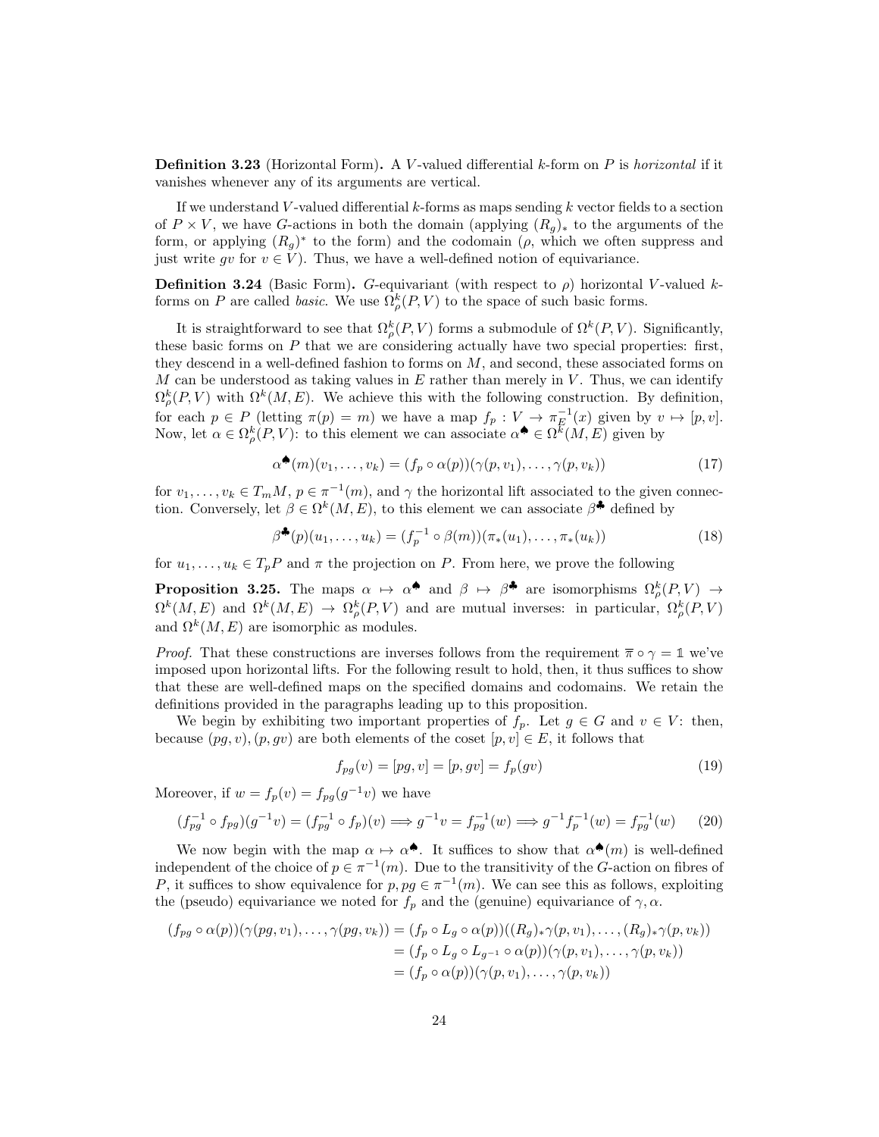**Definition 3.23** (Horizontal Form). A V-valued differential  $k$ -form on  $P$  is horizontal if it vanishes whenever any of its arguments are vertical.

If we understand V-valued differential  $k$ -forms as maps sending  $k$  vector fields to a section of  $P \times V$ , we have G-actions in both the domain (applying  $(R_q)_*$ ) to the arguments of the form, or applying  $(R_g)^*$  to the form) and the codomain  $(\rho, \text{ which we often suppress and})$ just write gv for  $v \in V$ ). Thus, we have a well-defined notion of equivariance.

**Definition 3.24** (Basic Form). G-equivariant (with respect to  $\rho$ ) horizontal V-valued kforms on P are called *basic*. We use  $\Omega_{\rho}^{k}(P, V)$  to the space of such basic forms.

It is straightforward to see that  $\Omega_{\rho}^{k}(P,V)$  forms a submodule of  $\Omega^{k}(P,V)$ . Significantly, these basic forms on  $P$  that we are considering actually have two special properties: first, they descend in a well-defined fashion to forms on  $M$ , and second, these associated forms on M can be understood as taking values in  $E$  rather than merely in  $V$ . Thus, we can identify  $\Omega_{\rho}^{k}(P,V)$  with  $\Omega^{k}(M,E)$ . We achieve this with the following construction. By definition, for each  $p \in P$  (letting  $\pi(p) = m$ ) we have a map  $f_p : V \to \pi_E^{-1}(x)$  given by  $v \mapsto [p, v]$ . Now, let  $\alpha \in \Omega_{\rho}^{k}(P, V)$ : to this element we can associate  $\alpha^{\spadesuit} \in \Omega^{\overline{k}}(M, E)$  given by

$$
\alpha^{\spadesuit}(m)(v_1, \ldots, v_k) = (f_p \circ \alpha(p))(\gamma(p, v_1), \ldots, \gamma(p, v_k))
$$
\n(17)

for  $v_1, \ldots, v_k \in T_m M$ ,  $p \in \pi^{-1}(m)$ , and  $\gamma$  the horizontal lift associated to the given connection. Conversely, let  $\beta \in \Omega^k(M, E)$ , to this element we can associate  $\beta^*$  defined by

$$
\beta^{\clubsuit}(p)(u_1,\ldots,u_k) = (f_p^{-1} \circ \beta(m))(\pi_*(u_1),\ldots,\pi_*(u_k))
$$
\n(18)

for  $u_1, \ldots, u_k \in T_pP$  and  $\pi$  the projection on P. From here, we prove the following

<span id="page-23-0"></span>**Proposition 3.25.** The maps  $\alpha \mapsto \alpha^*$  and  $\beta \mapsto \beta^*$  are isomorphisms  $\Omega^k_\rho(P, V) \to$  $\Omega^k(M,E)$  and  $\Omega^k(M,E) \to \Omega_{\rho}^k(P,V)$  and are mutual inverses: in particular,  $\Omega_{\rho}^k(P,V)$ and  $\Omega^k(M, E)$  are isomorphic as modules.

*Proof.* That these constructions are inverses follows from the requirement  $\overline{\pi} \circ \gamma = 1$  we've imposed upon horizontal lifts. For the following result to hold, then, it thus suffices to show that these are well-defined maps on the specified domains and codomains. We retain the definitions provided in the paragraphs leading up to this proposition.

We begin by exhibiting two important properties of  $f_p$ . Let  $g \in G$  and  $v \in V$ : then, because  $(pg, v), (p, gv)$  are both elements of the coset  $[p, v] \in E$ , it follows that

$$
f_{pg}(v) = [pg, v] = [p, gv] = f_p(gv)
$$
\n(19)

Moreover, if  $w = f_p(v) = f_{pg}(g^{-1}v)$  we have

$$
(f_{pg}^{-1} \circ f_{pg})(g^{-1}v) = (f_{pg}^{-1} \circ f_p)(v) \Longrightarrow g^{-1}v = f_{pg}^{-1}(w) \Longrightarrow g^{-1}f_p^{-1}(w) = f_{pg}^{-1}(w) \tag{20}
$$

We now begin with the map  $\alpha \mapsto \alpha^{\spadesuit}$ . It suffices to show that  $\alpha^{\spadesuit}(m)$  is well-defined independent of the choice of  $p \in \pi^{-1}(m)$ . Due to the transitivity of the G-action on fibres of P, it suffices to show equivalence for  $p, pg \in \pi^{-1}(m)$ . We can see this as follows, exploiting the (pseudo) equivariance we noted for  $f_p$  and the (genuine) equivariance of  $\gamma$ ,  $\alpha$ .

$$
(f_{pg} \circ \alpha(p))(\gamma(pg, v_1), \dots, \gamma(pg, v_k)) = (f_p \circ L_g \circ \alpha(p))((R_g)_{*}\gamma(p, v_1), \dots, (R_g)_{*}\gamma(p, v_k))
$$
  
= 
$$
(f_p \circ L_g \circ L_{g^{-1}} \circ \alpha(p))(\gamma(p, v_1), \dots, \gamma(p, v_k))
$$
  
= 
$$
(f_p \circ \alpha(p))(\gamma(p, v_1), \dots, \gamma(p, v_k))
$$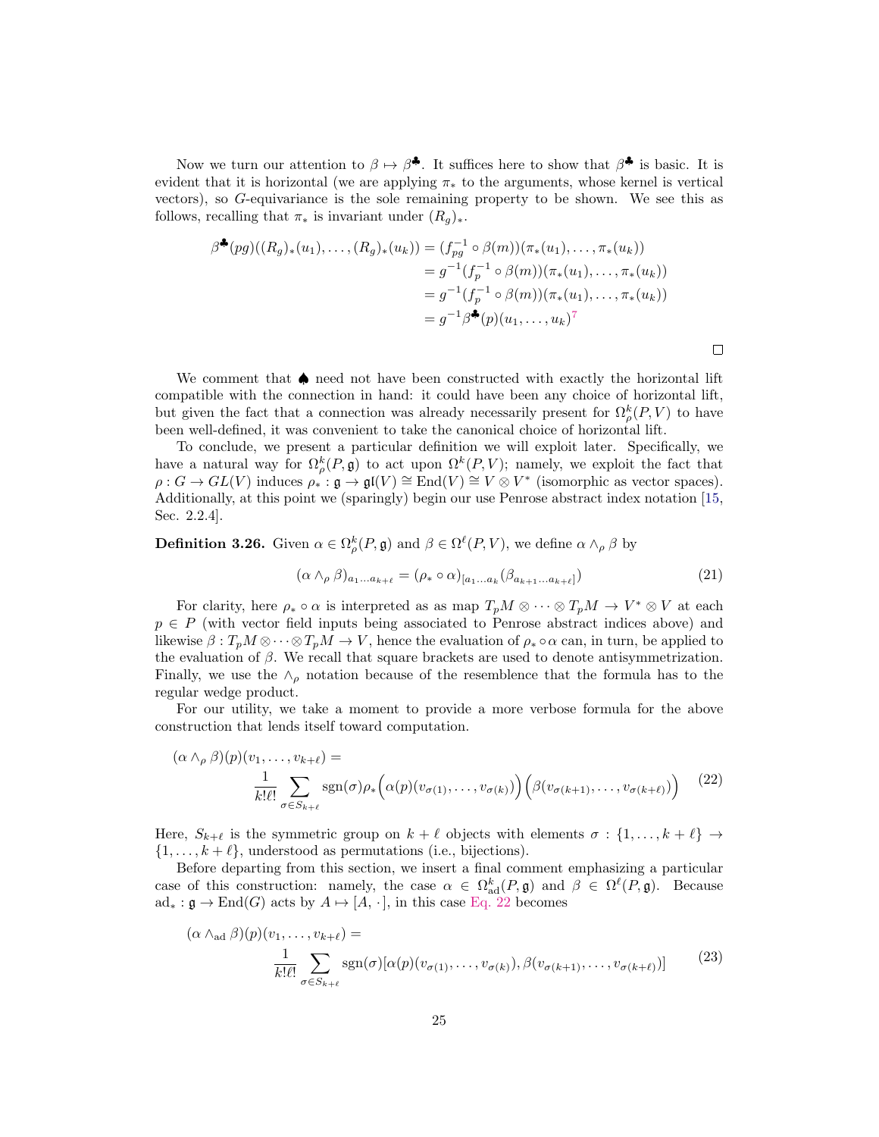Now we turn our attention to  $\beta \mapsto \beta^*$ . It suffices here to show that  $\beta^*$  is basic. It is evident that it is horizontal (we are applying  $\pi_*$  to the arguments, whose kernel is vertical vectors), so G-equivariance is the sole remaining property to be shown. We see this as follows, recalling that  $\pi_*$  is invariant under  $(R_q)_*.$ 

$$
\beta^{\clubsuit}(pg)((R_g)_*(u_1),..., (R_g)_*(u_k)) = (f_{pg}^{-1} \circ \beta(m))(\pi_*(u_1),..., \pi_*(u_k))
$$
  
=  $g^{-1}(f_p^{-1} \circ \beta(m))(\pi_*(u_1),..., \pi_*(u_k))$   
=  $g^{-1}(f_p^{-1} \circ \beta(m))(\pi_*(u_1),..., \pi_*(u_k))$   
=  $g^{-1}\beta^{\clubsuit}(p)(u_1,..., u_k)^7$ 

We comment that ♦ need not have been constructed with exactly the horizontal lift compatible with the connection in hand: it could have been any choice of horizontal lift, but given the fact that a connection was already necessarily present for  $\Omega_{\rho}^{k}(P,V)$  to have been well-defined, it was convenient to take the canonical choice of horizontal lift.

To conclude, we present a particular definition we will exploit later. Specifically, we have a natural way for  $\Omega^k_\rho(P, \mathfrak{g})$  to act upon  $\Omega^k(P, V)$ ; namely, we exploit the fact that  $\rho: G \to GL(V)$  induces  $\rho_* : \mathfrak{g} \to \mathfrak{gl}(V) \cong \text{End}(V) \cong V \otimes V^*$  (isomorphic as vector spaces). Additionally, at this point we (sparingly) begin our use Penrose abstract index notation [\[15,](#page-52-4) Sec. 2.2.4].

**Definition 3.26.** Given  $\alpha \in \Omega_{\rho}^{k}(P, \mathfrak{g})$  and  $\beta \in \Omega^{\ell}(P, V)$ , we define  $\alpha \wedge_{\rho} \beta$  by

$$
(\alpha \wedge_{\rho} \beta)_{a_1...a_{k+\ell}} = (\rho_* \circ \alpha)_{[a_1...a_k} (\beta_{a_{k+1}...a_{k+\ell}}])
$$
\n(21)

For clarity, here  $\rho_* \circ \alpha$  is interpreted as as map  $T_pM \otimes \cdots \otimes T_pM \to V^* \otimes V$  at each  $p \in P$  (with vector field inputs being associated to Penrose abstract indices above) and likewise  $\beta: T_pM \otimes \cdots \otimes T_pM \to V$ , hence the evaluation of  $\rho_* \circ \alpha$  can, in turn, be applied to the evaluation of  $\beta$ . We recall that square brackets are used to denote antisymmetrization. Finally, we use the  $\wedge_{\rho}$  notation because of the resemblence that the formula has to the regular wedge product.

For our utility, we take a moment to provide a more verbose formula for the above construction that lends itself toward computation.

<span id="page-24-0"></span>
$$
(\alpha \wedge_{\rho} \beta)(p)(v_1, \dots, v_{k+\ell}) = \frac{1}{k!\ell!} \sum_{\sigma \in S_{k+\ell}} \text{sgn}(\sigma) \rho_* \left( \alpha(p)(v_{\sigma(1)}, \dots, v_{\sigma(k)} ) \right) \left( \beta(v_{\sigma(k+1)}, \dots, v_{\sigma(k+\ell)}) \right) \tag{22}
$$

Here,  $S_{k+\ell}$  is the symmetric group on  $k+\ell$  objects with elements  $\sigma:\{1,\ldots,k+\ell\}\to$  $\{1,\ldots,k+\ell\}$ , understood as permutations (i.e., bijections).

Before departing from this section, we insert a final comment emphasizing a particular case of this construction: namely, the case  $\alpha \in \Omega_{\text{ad}}^k(P, \mathfrak{g})$  and  $\beta \in \Omega^{\ell}(P, \mathfrak{g})$ . Because  $ad_* : \mathfrak{g} \to \text{End}(G)$  acts by  $A \mapsto [A, \cdot]$ , in this case [Eq. 22](#page-24-0) becomes

$$
(\alpha \wedge_{\text{ad}} \beta)(p)(v_1, \dots, v_{k+\ell}) = \frac{1}{k!\ell!} \sum_{\sigma \in S_{k+\ell}} \text{sgn}(\sigma)[\alpha(p)(v_{\sigma(1)}, \dots, v_{\sigma(k)}), \beta(v_{\sigma(k+1)}, \dots, v_{\sigma(k+\ell)})]
$$
(23)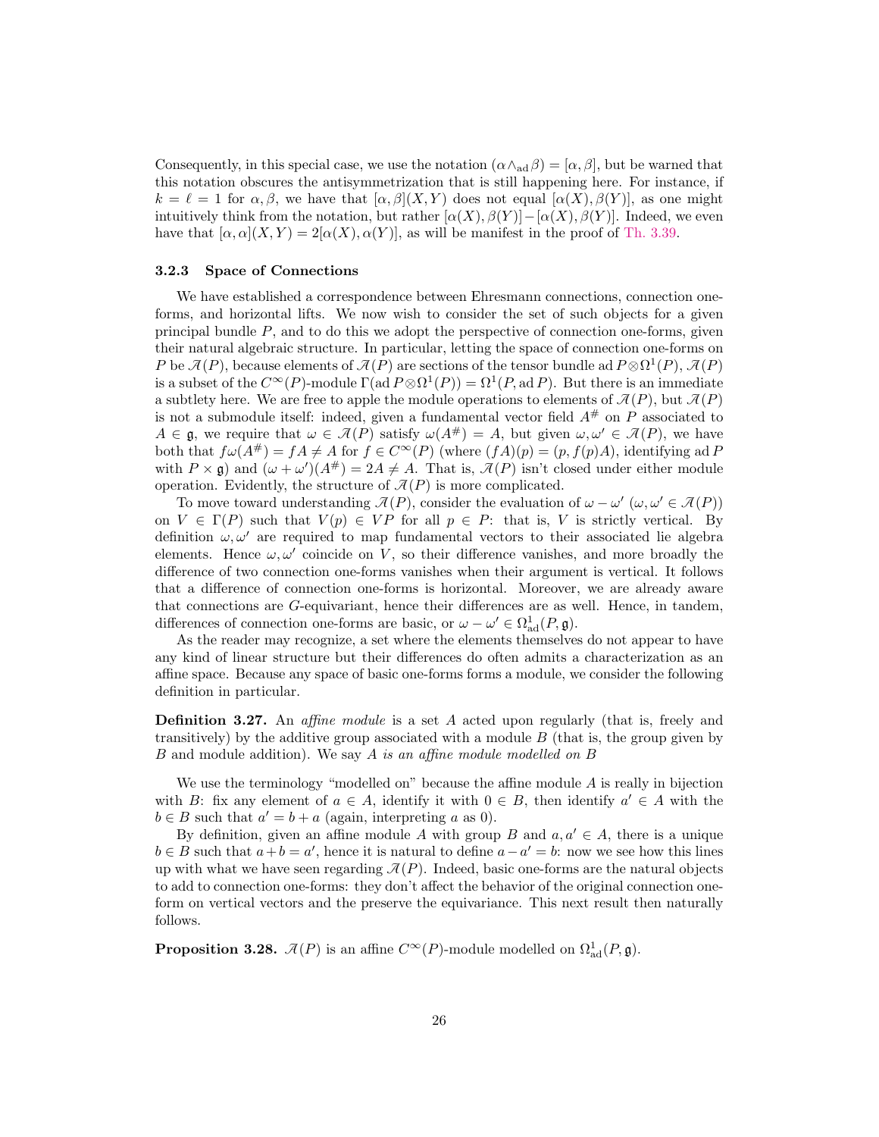Consequently, in this special case, we use the notation  $(\alpha \wedge_{\alpha} \beta) = [\alpha, \beta]$ , but be warned that this notation obscures the antisymmetrization that is still happening here. For instance, if  $k = \ell = 1$  for  $\alpha, \beta$ , we have that  $[\alpha, \beta](X, Y)$  does not equal  $[\alpha(X), \beta(Y)]$ , as one might intuitively think from the notation, but rather  $[\alpha(X), \beta(Y)] - [\alpha(X), \beta(Y)]$ . Indeed, we even have that  $[\alpha, \alpha](X, Y) = 2[\alpha(X), \alpha(Y)]$ , as will be manifest in the proof of [Th. 3.39.](#page-34-1)

#### <span id="page-25-0"></span>3.2.3 Space of Connections

We have established a correspondence between Ehresmann connections, connection oneforms, and horizontal lifts. We now wish to consider the set of such objects for a given principal bundle  $P$ , and to do this we adopt the perspective of connection one-forms, given their natural algebraic structure. In particular, letting the space of connection one-forms on P be  $\mathcal{A}(P)$ , because elements of  $\mathcal{A}(P)$  are sections of the tensor bundle ad  $P \otimes \Omega^1(P)$ ,  $\mathcal{A}(P)$ is a subset of the  $C^{\infty}(P)$ -module  $\Gamma(\text{ad }P \otimes \Omega^1(P)) = \Omega^1(P, \text{ad }P)$ . But there is an immediate a subtlety here. We are free to apple the module operations to elements of  $\mathcal{A}(P)$ , but  $\mathcal{A}(P)$ is not a submodule itself: indeed, given a fundamental vector field  $A^{\#}$  on P associated to  $A \in \mathfrak{g}$ , we require that  $\omega \in \mathcal{A}(P)$  satisfy  $\omega(A^{\#}) = A$ , but given  $\omega, \omega' \in \mathcal{A}(P)$ , we have both that  $f\omega(A^{\#}) = fA \neq A$  for  $f \in C^{\infty}(P)$  (where  $(fA)(p) = (p, f(p)A)$ , identifying ad P with  $P \times \mathfrak{g}$  and  $(\omega + \omega') (A^{\#}) = 2A \neq A$ . That is,  $\mathcal{A}(P)$  isn't closed under either module operation. Evidently, the structure of  $\mathcal{A}(P)$  is more complicated.

To move toward understanding  $\mathcal{A}(P)$ , consider the evaluation of  $\omega - \omega'$  ( $\omega, \omega' \in \mathcal{A}(P)$ ) on  $V \in \Gamma(P)$  such that  $V(p) \in VP$  for all  $p \in P$ : that is, V is strictly vertical. By definition  $\omega, \omega'$  are required to map fundamental vectors to their associated lie algebra elements. Hence  $\omega, \omega'$  coincide on V, so their difference vanishes, and more broadly the difference of two connection one-forms vanishes when their argument is vertical. It follows that a difference of connection one-forms is horizontal. Moreover, we are already aware that connections are G-equivariant, hence their differences are as well. Hence, in tandem, differences of connection one-forms are basic, or  $\omega - \omega' \in \Omega^1_{ad}(P, \mathfrak{g})$ .

As the reader may recognize, a set where the elements themselves do not appear to have any kind of linear structure but their differences do often admits a characterization as an affine space. Because any space of basic one-forms forms a module, we consider the following definition in particular.

**Definition 3.27.** An *affine module* is a set A acted upon regularly (that is, freely and transitively) by the additive group associated with a module  $B$  (that is, the group given by B and module addition). We say A is an affine module modelled on B

We use the terminology "modelled on" because the affine module  $A$  is really in bijection with B: fix any element of  $a \in A$ , identify it with  $0 \in B$ , then identify  $a' \in A$  with the  $b \in B$  such that  $a' = b + a$  (again, interpreting a as 0).

By definition, given an affine module A with group B and  $a, a' \in A$ , there is a unique  $b \in B$  such that  $a + b = a'$ , hence it is natural to define  $a - a' = b$ : now we see how this lines up with what we have seen regarding  $\mathcal{A}(P)$ . Indeed, basic one-forms are the natural objects to add to connection one-forms: they don't affect the behavior of the original connection oneform on vertical vectors and the preserve the equivariance. This next result then naturally follows.

<span id="page-25-1"></span>**Proposition 3.28.**  $\mathcal{A}(P)$  is an affine  $C^{\infty}(P)$ -module modelled on  $\Omega_{ad}^{1}(P, \mathfrak{g})$ .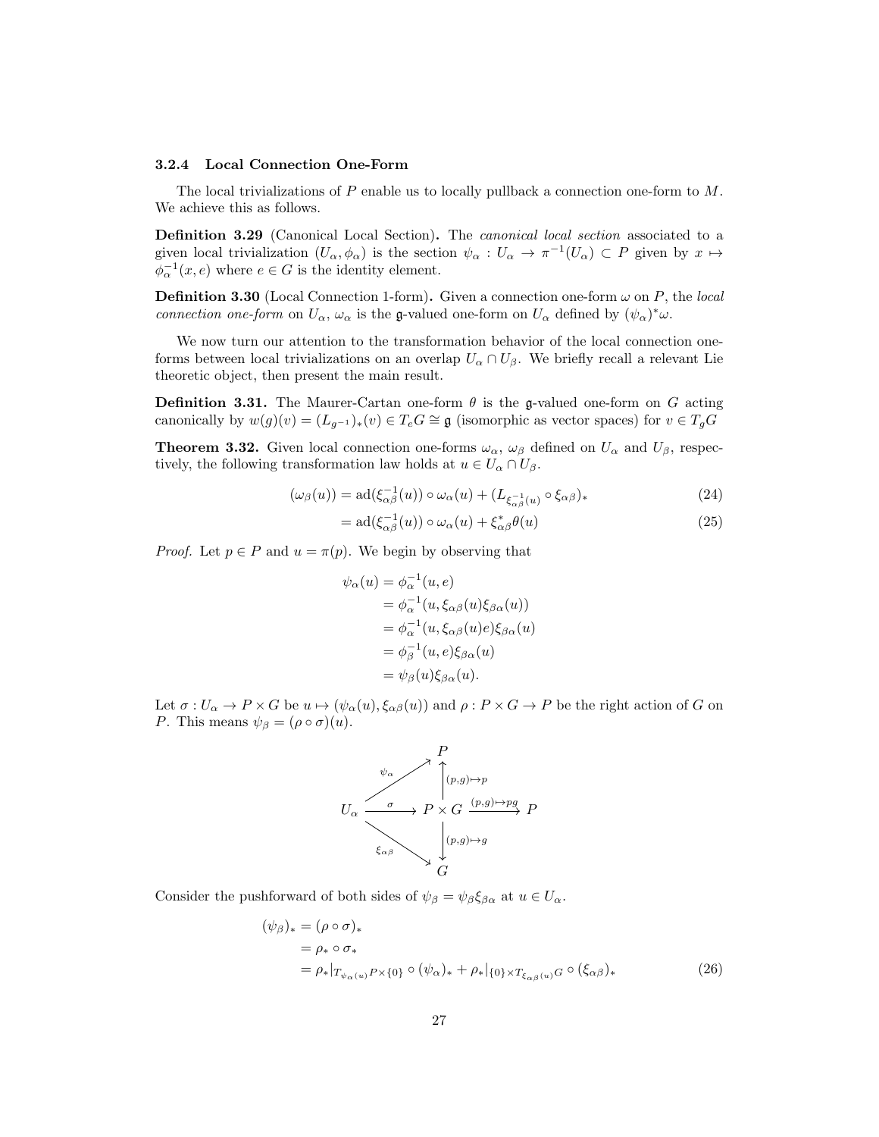#### <span id="page-26-0"></span>3.2.4 Local Connection One-Form

The local trivializations of  $P$  enable us to locally pullback a connection one-form to  $M$ . We achieve this as follows.

Definition 3.29 (Canonical Local Section). The *canonical local section* associated to a given local trivialization  $(U_{\alpha}, \phi_{\alpha})$  is the section  $\psi_{\alpha}: U_{\alpha} \to \pi^{-1}(U_{\alpha}) \subset P$  given by  $x \mapsto$  $\phi_{\alpha}^{-1}(x,e)$  where  $e \in G$  is the identity element.

**Definition 3.30** (Local Connection 1-form). Given a connection one-form  $\omega$  on P, the local connection one-form on  $U_{\alpha}$ ,  $\omega_{\alpha}$  is the g-valued one-form on  $U_{\alpha}$  defined by  $(\psi_{\alpha})^*\omega$ .

We now turn our attention to the transformation behavior of the local connection oneforms between local trivializations on an overlap  $U_{\alpha} \cap U_{\beta}$ . We briefly recall a relevant Lie theoretic object, then present the main result.

**Definition 3.31.** The Maurer-Cartan one-form  $\theta$  is the g-valued one-form on G acting canonically by  $w(g)(v) = (L_{q^{-1}})_*(v) \in T_e G \cong \mathfrak{g}$  (isomorphic as vector spaces) for  $v \in T_g G$ 

<span id="page-26-3"></span>**Theorem 3.32.** Given local connection one-forms  $\omega_{\alpha}$ ,  $\omega_{\beta}$  defined on  $U_{\alpha}$  and  $U_{\beta}$ , respectively, the following transformation law holds at  $u \in U_\alpha \cap U_\beta$ .

$$
(\omega_{\beta}(u)) = \mathrm{ad}(\xi_{\alpha\beta}^{-1}(u)) \circ \omega_{\alpha}(u) + (L_{\xi_{\alpha\beta}^{-1}(u)} \circ \xi_{\alpha\beta})_{*}
$$
(24)

$$
= \mathrm{ad}(\xi_{\alpha\beta}^{-1}(u)) \circ \omega_{\alpha}(u) + \xi_{\alpha\beta}^{*}\theta(u) \tag{25}
$$

*Proof.* Let  $p \in P$  and  $u = \pi(p)$ . We begin by observing that

<span id="page-26-2"></span>
$$
\psi_{\alpha}(u) = \phi_{\alpha}^{-1}(u, e)
$$
  
=  $\phi_{\alpha}^{-1}(u, \xi_{\alpha\beta}(u)\xi_{\beta\alpha}(u))$   
=  $\phi_{\alpha}^{-1}(u, \xi_{\alpha\beta}(u)e)\xi_{\beta\alpha}(u)$   
=  $\phi_{\beta}^{-1}(u, e)\xi_{\beta\alpha}(u)$   
=  $\psi_{\beta}(u)\xi_{\beta\alpha}(u)$ .

Let  $\sigma: U_{\alpha} \to P \times G$  be  $u \mapsto (\psi_{\alpha}(u), \xi_{\alpha\beta}(u))$  and  $\rho: P \times G \to P$  be the right action of G on *P*. This means  $\psi_{\beta} = (\rho \circ \sigma)(u)$ .

<span id="page-26-1"></span>

Consider the pushforward of both sides of  $\psi_{\beta} = \psi_{\beta} \xi_{\beta \alpha}$  at  $u \in U_{\alpha}$ .

$$
(\psi_{\beta})_* = (\rho \circ \sigma)_*
$$
  
=  $\rho_* \circ \sigma_*$   
=  $\rho_*|_{T_{\psi_{\alpha}(u)}P \times \{0\}} \circ (\psi_{\alpha})_* + \rho_*|_{\{0\} \times T_{\xi_{\alpha\beta}(u)}G} \circ (\xi_{\alpha\beta})_*$  (26)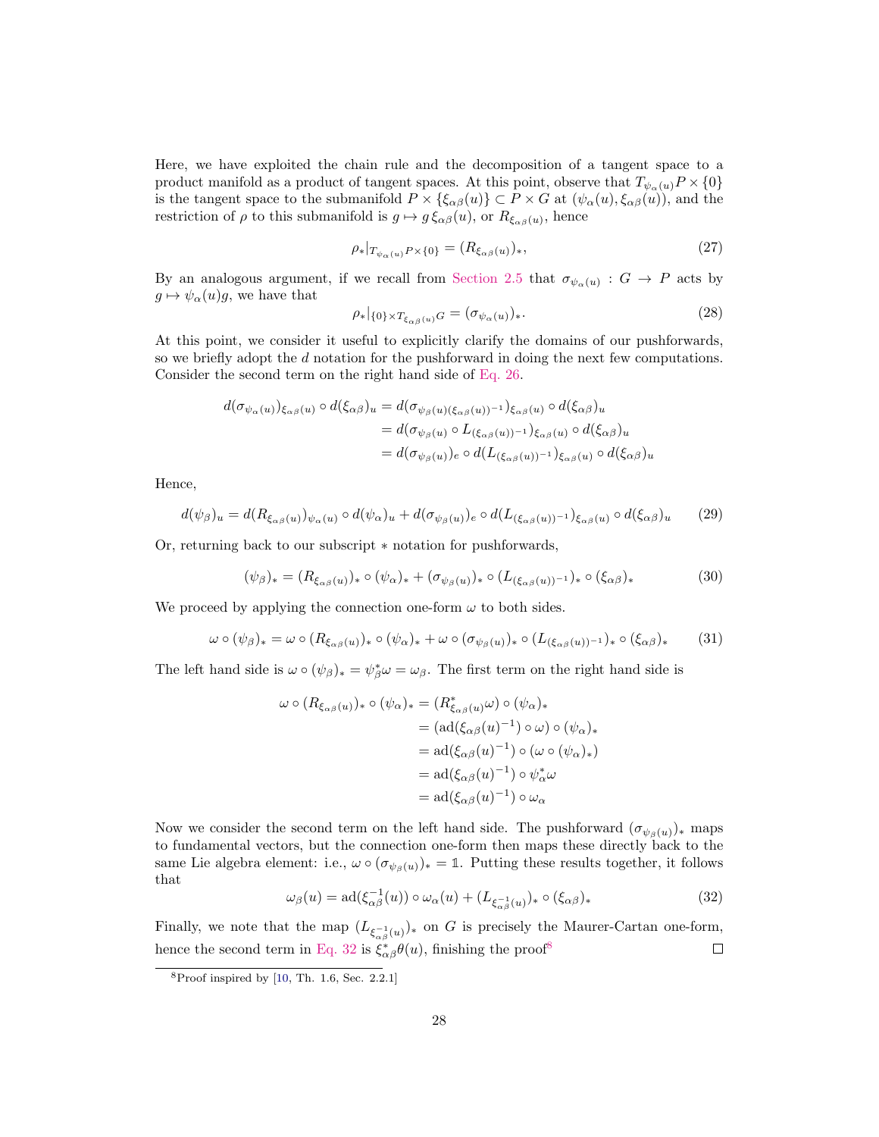Here, we have exploited the chain rule and the decomposition of a tangent space to a product manifold as a product of tangent spaces. At this point, observe that  $T_{\psi_{\alpha}(u)}P \times \{0\}$ is the tangent space to the submanifold  $P \times {\{\xi_{\alpha\beta}(u)\}} \subset P \times G$  at  $(\psi_{\alpha}(u), \xi_{\alpha\beta}(u))$ , and the restriction of  $\rho$  to this submanifold is  $g \mapsto g \xi_{\alpha\beta}(u)$ , or  $R_{\xi_{\alpha\beta}(u)}$ , hence

$$
\rho_*|_{T_{\psi_\alpha(u)}P \times \{0\}} = (R_{\xi_{\alpha\beta}(u)})_*,\tag{27}
$$

By an analogous argument, if we recall from [Section 2.5](#page-10-0) that  $\sigma_{\psi_{\alpha}(u)}: G \to P$  acts by  $g \mapsto \psi_\alpha(u)g$ , we have that

$$
\rho_*|_{\{0\} \times T_{\xi_{\alpha\beta}(u)}G} = (\sigma_{\psi_\alpha(u)})_*.
$$
\n(28)

At this point, we consider it useful to explicitly clarify the domains of our pushforwards, so we briefly adopt the d notation for the pushforward in doing the next few computations. Consider the second term on the right hand side of [Eq. 26.](#page-26-1)

$$
d(\sigma_{\psi_{\alpha}(u)})_{\xi_{\alpha\beta}(u)} \circ d(\xi_{\alpha\beta})_u = d(\sigma_{\psi_{\beta}(u)(\xi_{\alpha\beta}(u))^{-1}})_{\xi_{\alpha\beta}(u)} \circ d(\xi_{\alpha\beta})_u
$$
  
=  $d(\sigma_{\psi_{\beta}(u)} \circ L_{(\xi_{\alpha\beta}(u))^{-1}})_{\xi_{\alpha\beta}(u)} \circ d(\xi_{\alpha\beta})_u$   
=  $d(\sigma_{\psi_{\beta}(u)})_e \circ d(L_{(\xi_{\alpha\beta}(u))^{-1}})_{\xi_{\alpha\beta}(u)} \circ d(\xi_{\alpha\beta})_u$ 

Hence,

$$
d(\psi_{\beta})_u = d(R_{\xi_{\alpha\beta}(u)})_{\psi_{\alpha}(u)} \circ d(\psi_{\alpha})_u + d(\sigma_{\psi_{\beta}(u)})_e \circ d(L_{(\xi_{\alpha\beta}(u))^{-1}})_{\xi_{\alpha\beta}(u)} \circ d(\xi_{\alpha\beta})_u
$$
 (29)

Or, returning back to our subscript ∗ notation for pushforwards,

$$
(\psi_{\beta})_* = (R_{\xi_{\alpha\beta}(u)})_* \circ (\psi_{\alpha})_* + (\sigma_{\psi_{\beta}(u)})_* \circ (L_{(\xi_{\alpha\beta}(u))^{-1}})_* \circ (\xi_{\alpha\beta})_* \tag{30}
$$

We proceed by applying the connection one-form  $\omega$  to both sides.

$$
\omega \circ (\psi_{\beta})_{*} = \omega \circ (R_{\xi_{\alpha\beta}(u)})_{*} \circ (\psi_{\alpha})_{*} + \omega \circ (\sigma_{\psi_{\beta}(u)})_{*} \circ (L_{(\xi_{\alpha\beta}(u))^{-1}})_{*} \circ (\xi_{\alpha\beta})_{*}
$$
(31)

The left hand side is  $\omega \circ (\psi_{\beta})_* = \psi_{\beta}^* \omega = \omega_{\beta}$ . The first term on the right hand side is

$$
\omega \circ (R_{\xi_{\alpha\beta}(u)})_* \circ (\psi_{\alpha})_* = (R_{\xi_{\alpha\beta}(u)}^* \omega) \circ (\psi_{\alpha})_*
$$
  

$$
= (\mathrm{ad}(\xi_{\alpha\beta}(u)^{-1}) \circ \omega) \circ (\psi_{\alpha})_*
$$
  

$$
= \mathrm{ad}(\xi_{\alpha\beta}(u)^{-1}) \circ (\omega \circ (\psi_{\alpha})_*)
$$
  

$$
= \mathrm{ad}(\xi_{\alpha\beta}(u)^{-1}) \circ \psi_{\alpha}^* \omega
$$
  

$$
= \mathrm{ad}(\xi_{\alpha\beta}(u)^{-1}) \circ \omega_{\alpha}
$$

Now we consider the second term on the left hand side. The pushforward  $(\sigma_{\psi_{\beta}(u)})_*$  maps to fundamental vectors, but the connection one-form then maps these directly back to the same Lie algebra element: i.e.,  $\omega \circ (\sigma_{\psi_{\beta}(u)})_* = \mathbb{1}$ . Putting these results together, it follows that

<span id="page-27-0"></span>
$$
\omega_{\beta}(u) = \text{ad}(\xi_{\alpha\beta}^{-1}(u)) \circ \omega_{\alpha}(u) + (L_{\xi_{\alpha\beta}^{-1}(u)})_{*} \circ (\xi_{\alpha\beta})_{*}
$$
(32)

Finally, we note that the map  $(L_{\xi_{\alpha\beta}^{-1}(u)})_*$  on G is precisely the Maurer-Cartan one-form, hence the second term in [Eq. 32](#page-27-0) is  $\xi_{\alpha\beta}^* \theta(u)$ , finishing the proof<sup>[8](#page-27-1)</sup>  $\Box$ 

<span id="page-27-1"></span> $8P$ roof inspired by [\[10,](#page-52-2) Th. 1.6, Sec. 2.2.1]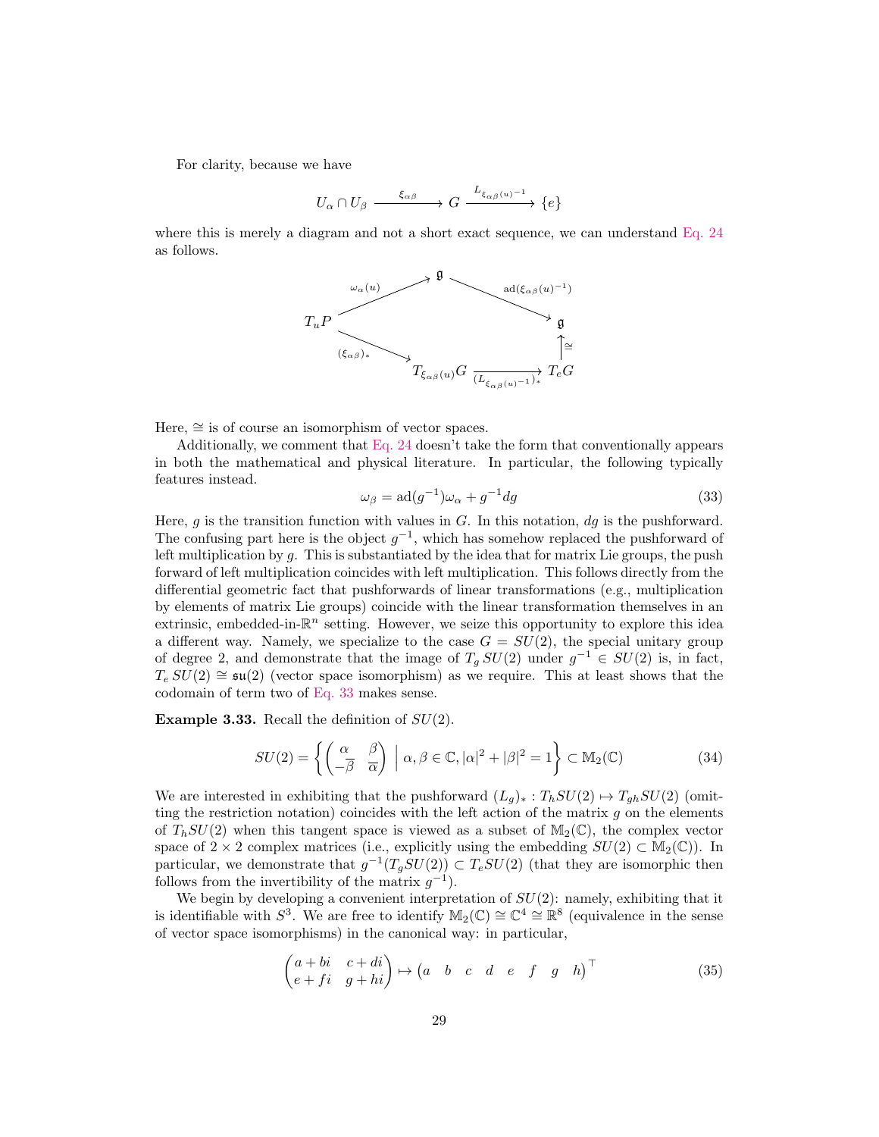For clarity, because we have

$$
U_{\alpha} \cap U_{\beta} \xrightarrow{\xi_{\alpha\beta}} G \xrightarrow{L_{\xi_{\alpha\beta}(u)^{-1}}} \{e\}
$$

where this is merely a diagram and not a short exact sequence, we can understand [Eq. 24](#page-26-2) as follows.



Here,  $\cong$  is of course an isomorphism of vector spaces.

Additionally, we comment that [Eq. 24](#page-26-2) doesn't take the form that conventionally appears in both the mathematical and physical literature. In particular, the following typically features instead.

<span id="page-28-0"></span>
$$
\omega_{\beta} = \text{ad}(g^{-1})\omega_{\alpha} + g^{-1}dg \tag{33}
$$

Here,  $g$  is the transition function with values in  $G$ . In this notation,  $dg$  is the pushforward. The confusing part here is the object  $g^{-1}$ , which has somehow replaced the pushforward of left multiplication by  $q$ . This is substantiated by the idea that for matrix Lie groups, the push forward of left multiplication coincides with left multiplication. This follows directly from the differential geometric fact that pushforwards of linear transformations (e.g., multiplication by elements of matrix Lie groups) coincide with the linear transformation themselves in an extrinsic, embedded-in- $\mathbb{R}^n$  setting. However, we seize this opportunity to explore this idea a different way. Namely, we specialize to the case  $G = SU(2)$ , the special unitary group of degree 2, and demonstrate that the image of  $T_g SU(2)$  under  $g^{-1} \in SU(2)$  is, in fact,  $T_e SU(2) \cong \mathfrak{su}(2)$  (vector space isomorphism) as we require. This at least shows that the codomain of term two of [Eq. 33](#page-28-0) makes sense.

**Example 3.33.** Recall the definition of  $SU(2)$ .

$$
SU(2) = \left\{ \begin{pmatrix} \alpha & \beta \\ -\overline{\beta} & \overline{\alpha} \end{pmatrix} \; \middle| \; \alpha, \beta \in \mathbb{C}, |\alpha|^2 + |\beta|^2 = 1 \right\} \subset \mathbb{M}_2(\mathbb{C}) \tag{34}
$$

We are interested in exhibiting that the pushforward  $(L_g)_*: T_h SU(2) \mapsto T_{gh} SU(2)$  (omitting the restriction notation) coincides with the left action of the matrix  $g$  on the elements of  $T<sub>b</sub>SU(2)$  when this tangent space is viewed as a subset of  $\mathbb{M}_2(\mathbb{C})$ , the complex vector space of  $2 \times 2$  complex matrices (i.e., explicitly using the embedding  $SU(2) \subset M_2(\mathbb{C})$ ). In particular, we demonstrate that  $g^{-1}(T_gSU(2)) \subset T_eSU(2)$  (that they are isomorphic then follows from the invertibility of the matrix  $g^{-1}$ ).

We begin by developing a convenient interpretation of  $SU(2)$ : namely, exhibiting that it is identifiable with  $S^3$ . We are free to identify  $\mathbb{M}_2(\mathbb{C}) \cong \mathbb{C}^4 \cong \mathbb{R}^8$  (equivalence in the sense of vector space isomorphisms) in the canonical way: in particular,

$$
\begin{pmatrix} a+bi & c+di \\ e+fi & g+hi \end{pmatrix} \mapsto \begin{pmatrix} a & b & c & d & e & f & g & h \end{pmatrix}^{\top}
$$
 (35)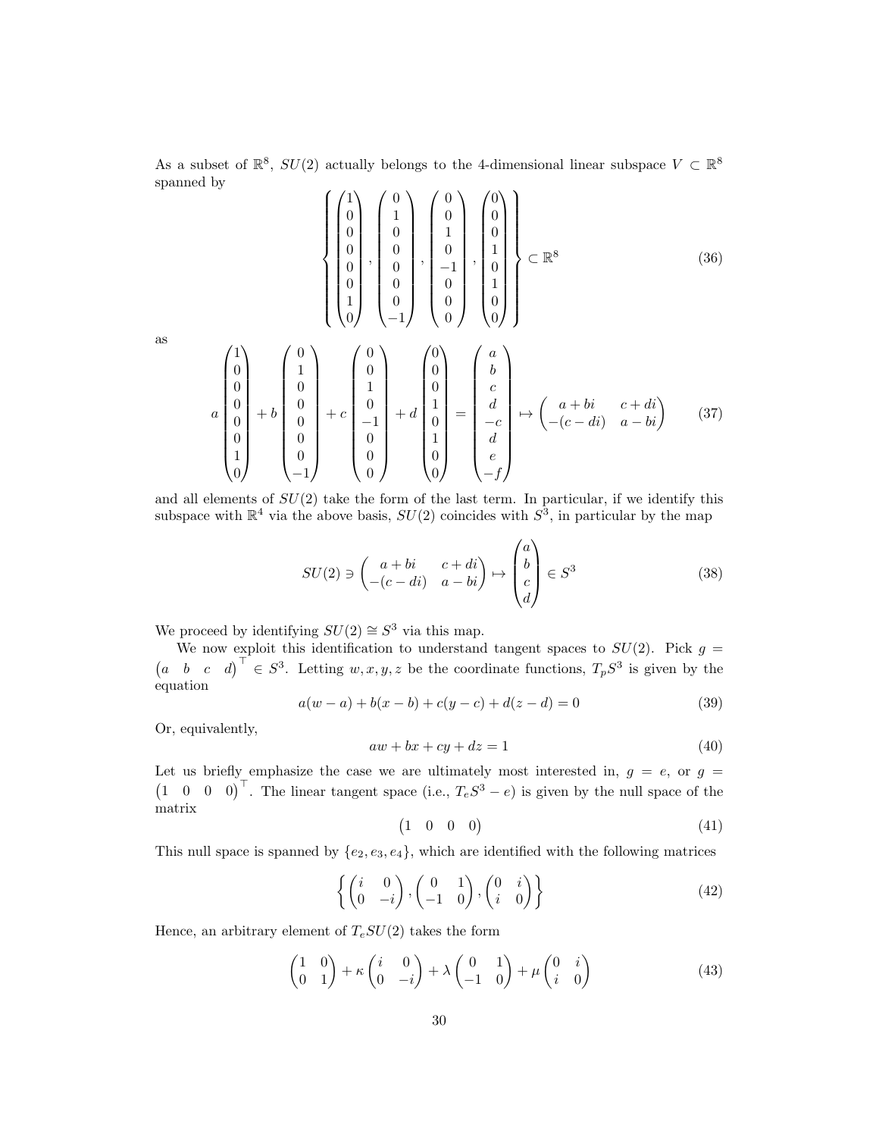As a subset of  $\mathbb{R}^8$ ,  $SU(2)$  actually belongs to the 4-dimensional linear subspace  $V \subset \mathbb{R}^8$ spanned by  $\sqrt{ }$ 

$$
\begin{pmatrix} 1 \\ 0 \\ 0 \\ 0 \\ 0 \\ 0 \\ 1 \\ 1 \\ 0 \end{pmatrix}, \begin{pmatrix} 0 \\ 1 \\ 0 \\ 0 \\ 0 \\ 0 \\ 0 \\ -1 \end{pmatrix}, \begin{pmatrix} 0 \\ 0 \\ 1 \\ 0 \\ -1 \\ 0 \\ 0 \\ 0 \end{pmatrix}, \begin{pmatrix} 0 \\ 0 \\ 0 \\ 1 \\ 0 \\ 1 \\ 0 \\ 0 \end{pmatrix} \begin{pmatrix} 0 \\ 0 \\ 0 \\ 1 \\ 1 \\ 0 \\ 0 \end{pmatrix} \subset \mathbb{R}^{8}
$$
\n(36)

as

$$
a\begin{pmatrix}1\\0\\0\\0\\0\\1\\0\end{pmatrix}+b\begin{pmatrix}0\\1\\0\\0\\0\\0\\0\\-1\end{pmatrix}+c\begin{pmatrix}0\\0\\1\\0\\-1\\0\\0\\0\end{pmatrix}+d\begin{pmatrix}0\\0\\1\\0\\1\\0\\1\\0\end{pmatrix}=\begin{pmatrix}a\\b\\c\\d\\-c\\d\\d\\e\\-f\end{pmatrix} \mapsto \begin{pmatrix}a+bi & c+di\\c+di & c+di\\-c-c-di & a-bi\end{pmatrix} \qquad (37)
$$

and all elements of  $SU(2)$  take the form of the last term. In particular, if we identify this subspace with  $\mathbb{R}^4$  via the above basis,  $SU(2)$  coincides with  $S^3$ , in particular by the map

$$
SU(2) \ni \begin{pmatrix} a+bi & c+di \\ -(c-di) & a-bi \end{pmatrix} \mapsto \begin{pmatrix} a \\ b \\ c \\ d \end{pmatrix} \in S^3
$$
 (38)

We proceed by identifying  $SU(2) \cong S^3$  via this map.

 $\begin{matrix} \phantom{-} \end{matrix}$ 

We now exploit this identification to understand tangent spaces to  $SU(2)$ . Pick  $g =$  $\begin{pmatrix} a & b & c & d \end{pmatrix}^{\top} \in S^3$ . Letting  $w, x, y, z$  be the coordinate functions,  $T_p S^3$  is given by the equation

$$
a(w-a) + b(x - b) + c(y - c) + d(z - d) = 0
$$
\n(39)

Or, equivalently,

$$
aw + bx + cy + dz = 1 \tag{40}
$$

Let us briefly emphasize the case we are ultimately most interested in,  $g = e$ , or  $g =$  $\begin{pmatrix} 1 & 0 & 0 & 0 \end{pmatrix}^{\top}$ . The linear tangent space (i.e.,  $T_eS^3 - e$ ) is given by the null space of the matrix

$$
\begin{pmatrix} 1 & 0 & 0 & 0 \end{pmatrix} \tag{41}
$$

This null space is spanned by  $\{e_2, e_3, e_4\}$ , which are identified with the following matrices

$$
\left\{ \begin{pmatrix} i & 0 \\ 0 & -i \end{pmatrix}, \begin{pmatrix} 0 & 1 \\ -1 & 0 \end{pmatrix}, \begin{pmatrix} 0 & i \\ i & 0 \end{pmatrix} \right\}
$$
 (42)

Hence, an arbitrary element of  $T_eSU(2)$  takes the form

$$
\begin{pmatrix} 1 & 0 \ 0 & 1 \end{pmatrix} + \kappa \begin{pmatrix} i & 0 \ 0 & -i \end{pmatrix} + \lambda \begin{pmatrix} 0 & 1 \ -1 & 0 \end{pmatrix} + \mu \begin{pmatrix} 0 & i \ i & 0 \end{pmatrix}
$$
 (43)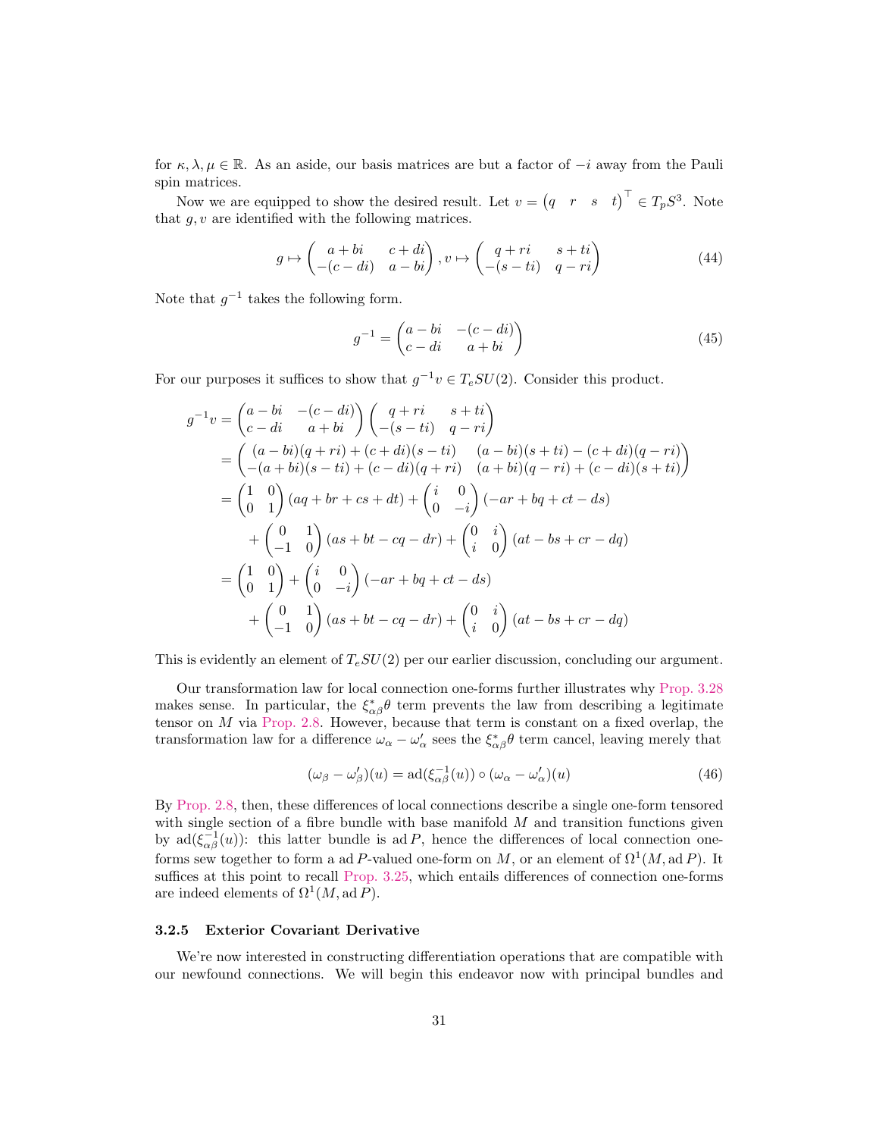for  $\kappa, \lambda, \mu \in \mathbb{R}$ . As an aside, our basis matrices are but a factor of  $-i$  away from the Pauli spin matrices.

Now we are equipped to show the desired result. Let  $v = (q \ r \ s \ t)^{\top} \in T_p S^3$ . Note that  $g, v$  are identified with the following matrices.

$$
g \mapsto \begin{pmatrix} a+bi & c+di \\ -(c-di) & a-bi \end{pmatrix}, v \mapsto \begin{pmatrix} q+ri & s+ti \\ -(s-ti) & q-ri \end{pmatrix}
$$
 (44)

Note that  $g^{-1}$  takes the following form.

$$
g^{-1} = \begin{pmatrix} a - bi & -(c - di) \\ c - di & a + bi \end{pmatrix}
$$
 (45)

For our purposes it suffices to show that  $g^{-1}v \in T_eSU(2)$ . Consider this product.

$$
g^{-1}v = \begin{pmatrix} a - bi & -(c - di) \\ c - di & a + bi \end{pmatrix} \begin{pmatrix} q + ri & s + ti \\ -(s - ti) & q - ri \end{pmatrix}
$$
  
=  $\begin{pmatrix} (a - bi)(q + ri) + (c + di)(s - ti) & (a - bi)(s + ti) - (c + di)(q - ri) \\ -(a + bi)(s - ti) + (c - di)(q + ri) & (a + bi)(q - ri) + (c - di)(s + ti) \end{pmatrix}$   
=  $\begin{pmatrix} 1 & 0 \\ 0 & 1 \end{pmatrix} (aq + br + cs + dt) + \begin{pmatrix} i & 0 \\ 0 & -i \end{pmatrix} (-ar + bq + ct - ds)$   
+  $\begin{pmatrix} 0 & 1 \\ -1 & 0 \end{pmatrix} (as + bt - cq - dr) + \begin{pmatrix} 0 & i \\ i & 0 \end{pmatrix} (at - bs + cr - dq)$   
=  $\begin{pmatrix} 1 & 0 \\ 0 & 1 \end{pmatrix} + \begin{pmatrix} i & 0 \\ 0 & -i \end{pmatrix} (-ar + bq + ct - ds)$   
+  $\begin{pmatrix} 0 & 1 \\ -1 & 0 \end{pmatrix} (as + bt - cq - dr) + \begin{pmatrix} 0 & i \\ i & 0 \end{pmatrix} (at - bs + cr - dq)$ 

This is evidently an element of  $T_eSU(2)$  per our earlier discussion, concluding our argument.

Our transformation law for local connection one-forms further illustrates why [Prop. 3.28](#page-25-1) makes sense. In particular, the  $\xi_{\alpha\beta}^* \theta$  term prevents the law from describing a legitimate tensor on M via [Prop. 2.8.](#page-6-0) However, because that term is constant on a fixed overlap, the transformation law for a difference  $\omega_{\alpha} - \omega'_{\alpha}$  sees the  $\xi_{\alpha\beta}^* \theta$  term cancel, leaving merely that

$$
(\omega_{\beta} - \omega_{\beta}')(u) = \text{ad}(\xi_{\alpha\beta}^{-1}(u)) \circ (\omega_{\alpha} - \omega_{\alpha}')(u)
$$
\n(46)

By [Prop. 2.8,](#page-6-0) then, these differences of local connections describe a single one-form tensored with single section of a fibre bundle with base manifold  $M$  and transition functions given by  $\text{ad}(\xi_{\alpha\beta}^{-1}(u))$ : this latter bundle is ad P, hence the differences of local connection oneforms sew together to form a ad P-valued one-form on M, or an element of  $\Omega^1(M, \text{ad }P)$ . It suffices at this point to recall [Prop. 3.25,](#page-23-0) which entails differences of connection one-forms are indeed elements of  $\Omega^1(M, \mathrm{ad} P)$ .

#### <span id="page-30-0"></span>3.2.5 Exterior Covariant Derivative

We're now interested in constructing differentiation operations that are compatible with our newfound connections. We will begin this endeavor now with principal bundles and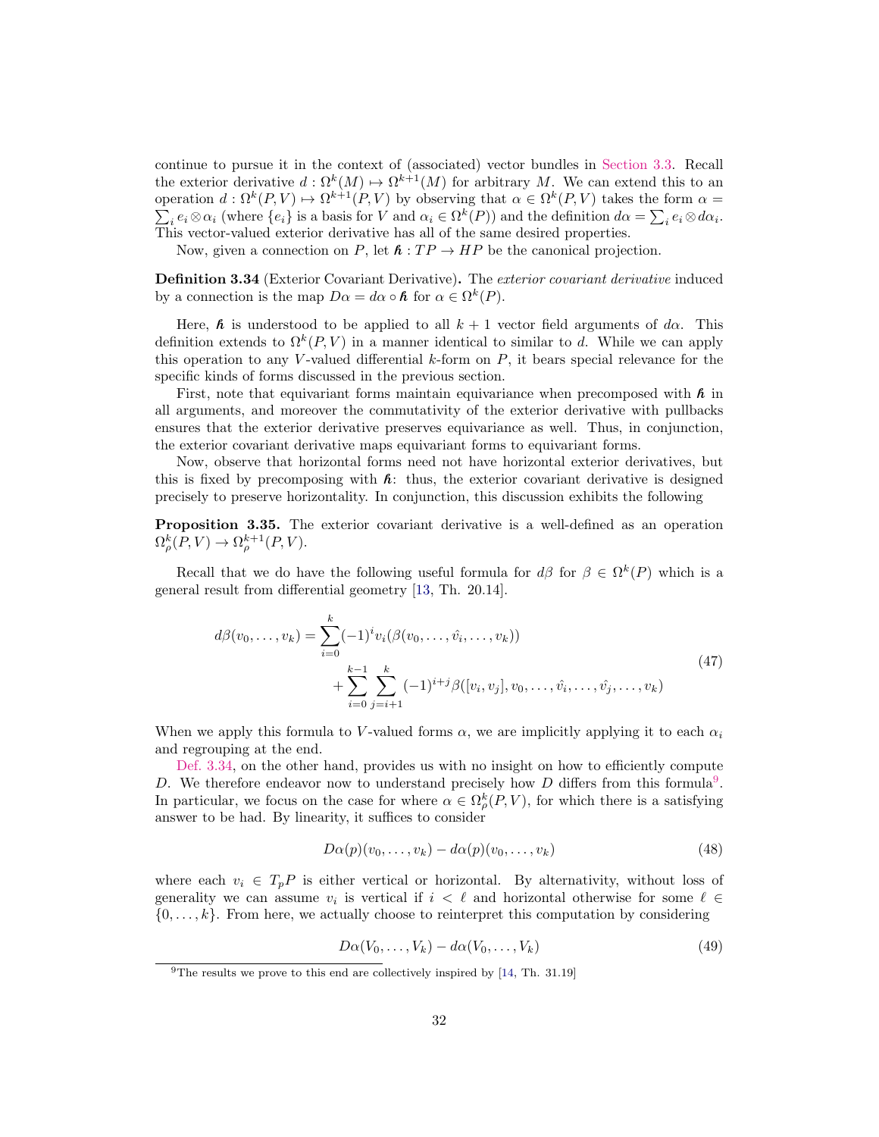continue to pursue it in the context of (associated) vector bundles in [Section 3.3.](#page-36-0) Recall the exterior derivative  $d : \Omega^k(M) \to \Omega^{k+1}(M)$  for arbitrary M. We can extend this to an operation  $d: \Omega^k(P, V) \to \Omega^{k+1}(P, V)$  by observing that  $\alpha \in \Omega^k(P, V)$  takes the form  $\alpha =$  $\sum_i e_i \otimes \alpha_i$  (where  $\{e_i\}$  is a basis for V and  $\alpha_i \in \Omega^k(P)$ ) and the definition  $d\alpha = \sum_i e_i \otimes d\alpha_i$ . This vector-valued exterior derivative has all of the same desired properties.

Now, given a connection on P, let  $\hbar : TP \to HP$  be the canonical projection.

<span id="page-31-0"></span>**Definition 3.34** (Exterior Covariant Derivative). The exterior covariant derivative induced by a connection is the map  $D\alpha = d\alpha \circ \mathbf{\hat{n}}$  for  $\alpha \in \Omega^k(P)$ .

Here, **h** is understood to be applied to all  $k + 1$  vector field arguments of d $\alpha$ . This definition extends to  $\Omega^k(P, V)$  in a manner identical to similar to d. While we can apply this operation to any V-valued differential  $k$ -form on  $P$ , it bears special relevance for the specific kinds of forms discussed in the previous section.

First, note that equivariant forms maintain equivariance when precomposed with **h** in all arguments, and moreover the commutativity of the exterior derivative with pullbacks ensures that the exterior derivative preserves equivariance as well. Thus, in conjunction, the exterior covariant derivative maps equivariant forms to equivariant forms.

Now, observe that horizontal forms need not have horizontal exterior derivatives, but this is fixed by precomposing with **h**: thus, the exterior covariant derivative is designed precisely to preserve horizontality. In conjunction, this discussion exhibits the following

Proposition 3.35. The exterior covariant derivative is a well-defined as an operation  $\Omega_{\rho}^{k}(P,V) \rightarrow \Omega_{\rho}^{k+1}(P,V).$ 

Recall that we do have the following useful formula for  $d\beta$  for  $\beta \in \Omega^k(P)$  which is a general result from differential geometry [\[13,](#page-52-5) Th. 20.14].

<span id="page-31-2"></span>
$$
d\beta(v_0, \dots, v_k) = \sum_{i=0}^k (-1)^i v_i(\beta(v_0, \dots, \hat{v}_i, \dots, v_k))
$$
  
+ 
$$
\sum_{i=0}^{k-1} \sum_{j=i+1}^k (-1)^{i+j} \beta([v_i, v_j], v_0, \dots, \hat{v}_i, \dots, \hat{v}_j, \dots, v_k)
$$
 (47)

When we apply this formula to V-valued forms  $\alpha$ , we are implicitly applying it to each  $\alpha_i$ and regrouping at the end.

[Def. 3.34,](#page-31-0) on the other hand, provides us with no insight on how to efficiently compute D. We therefore endeavor now to understand precisely how  $D$  differs from this formula<sup>[9](#page-31-1)</sup>. In particular, we focus on the case for where  $\alpha \in \Omega_{\rho}^{k}(P, V)$ , for which there is a satisfying answer to be had. By linearity, it suffices to consider

$$
D\alpha(p)(v_0, \dots, v_k) - d\alpha(p)(v_0, \dots, v_k)
$$
\n(48)

where each  $v_i \in T_pP$  is either vertical or horizontal. By alternativity, without loss of generality we can assume  $v_i$  is vertical if  $i < \ell$  and horizontal otherwise for some  $\ell \in$  $\{0, \ldots, k\}$ . From here, we actually choose to reinterpret this computation by considering

$$
D\alpha(V_0,\ldots,V_k) - d\alpha(V_0,\ldots,V_k) \tag{49}
$$

<span id="page-31-1"></span> $9$ The results we prove to this end are collectively inspired by [\[14,](#page-52-6) Th. 31.19]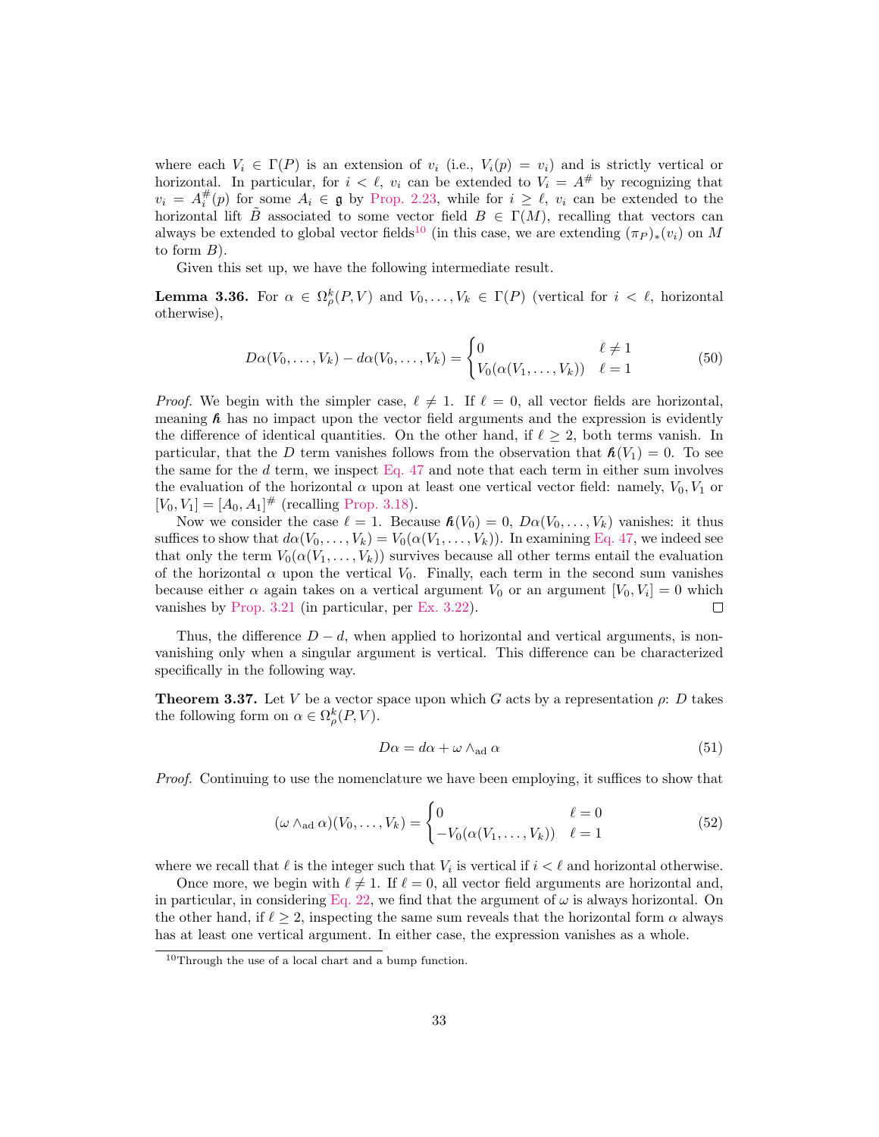where each  $V_i \in \Gamma(P)$  is an extension of  $v_i$  (i.e.,  $V_i(p) = v_i$ ) and is strictly vertical or horizontal. In particular, for  $i < \ell$ ,  $v_i$  can be extended to  $V_i = A^{\#}$  by recognizing that  $v_i = A_i^{\#}(p)$  for some  $A_i \in \mathfrak{g}$  by [Prop. 2.23,](#page-11-0) while for  $i \geq \ell$ ,  $v_i$  can be extended to the horizontal lift B associated to some vector field  $B \in \Gamma(M)$ , recalling that vectors can always be extended to global vector fields<sup>[10](#page-32-0)</sup> (in this case, we are extending  $(\pi_P)_*(v_i)$  on M to form  $B$ ).

Given this set up, we have the following intermediate result.

**Lemma 3.36.** For  $\alpha \in \Omega_{\rho}^k(P, V)$  and  $V_0, \ldots, V_k \in \Gamma(P)$  (vertical for  $i < \ell$ , horizontal otherwise),

$$
D\alpha(V_0, ..., V_k) - d\alpha(V_0, ..., V_k) = \begin{cases} 0 & \ell \neq 1 \\ V_0(\alpha(V_1, ..., V_k)) & \ell = 1 \end{cases}
$$
 (50)

*Proof.* We begin with the simpler case,  $\ell \neq 1$ . If  $\ell = 0$ , all vector fields are horizontal, meaning  $\hat{\boldsymbol{\kappa}}$  has no impact upon the vector field arguments and the expression is evidently the difference of identical quantities. On the other hand, if  $\ell \geq 2$ , both terms vanish. In particular, that the D term vanishes follows from the observation that  $h(V_1) = 0$ . To see the same for the  $d$  term, we inspect [Eq. 47](#page-31-2) and note that each term in either sum involves the evaluation of the horizontal  $\alpha$  upon at least one vertical vector field: namely,  $V_0, V_1$  or  $[V_0, V_1] = [A_0, A_1]^{\#}$  (recalling [Prop. 3.18\)](#page-21-2).

Now we consider the case  $\ell = 1$ . Because  $\mathbf{h}(V_0) = 0$ ,  $D\alpha(V_0, \ldots, V_k)$  vanishes: it thus suffices to show that  $d\alpha(V_0, \ldots, V_k) = V_0(\alpha(V_1, \ldots, V_k))$ . In examining [Eq. 47,](#page-31-2) we indeed see that only the term  $V_0(\alpha(V_1,\ldots,V_k))$  survives because all other terms entail the evaluation of the horizontal  $\alpha$  upon the vertical  $V_0$ . Finally, each term in the second sum vanishes because either  $\alpha$  again takes on a vertical argument  $V_0$  or an argument  $[V_0, V_i] = 0$  which vanishes by [Prop. 3.21](#page-22-1) (in particular, per [Ex. 3.22\)](#page-22-2).  $\Box$ 

Thus, the difference  $D - d$ , when applied to horizontal and vertical arguments, is nonvanishing only when a singular argument is vertical. This difference can be characterized specifically in the following way.

<span id="page-32-1"></span>**Theorem 3.37.** Let V be a vector space upon which G acts by a representation  $\rho$ : D takes the following form on  $\alpha \in \Omega_{\rho}^k(P, V)$ .

$$
D\alpha = d\alpha + \omega \wedge_{\text{ad}} \alpha \tag{51}
$$

Proof. Continuing to use the nomenclature we have been employing, it suffices to show that

$$
(\omega \wedge_{\text{ad}} \alpha)(V_0, \dots, V_k) = \begin{cases} 0 & \ell = 0\\ -V_0(\alpha(V_1, \dots, V_k)) & \ell = 1 \end{cases}
$$
(52)

where we recall that  $\ell$  is the integer such that  $V_i$  is vertical if  $i < \ell$  and horizontal otherwise.

Once more, we begin with  $\ell \neq 1$ . If  $\ell = 0$ , all vector field arguments are horizontal and, in particular, in considering [Eq. 22,](#page-24-0) we find that the argument of  $\omega$  is always horizontal. On the other hand, if  $\ell \geq 2$ , inspecting the same sum reveals that the horizontal form  $\alpha$  always has at least one vertical argument. In either case, the expression vanishes as a whole.

<span id="page-32-0"></span><sup>10</sup>Through the use of a local chart and a bump function.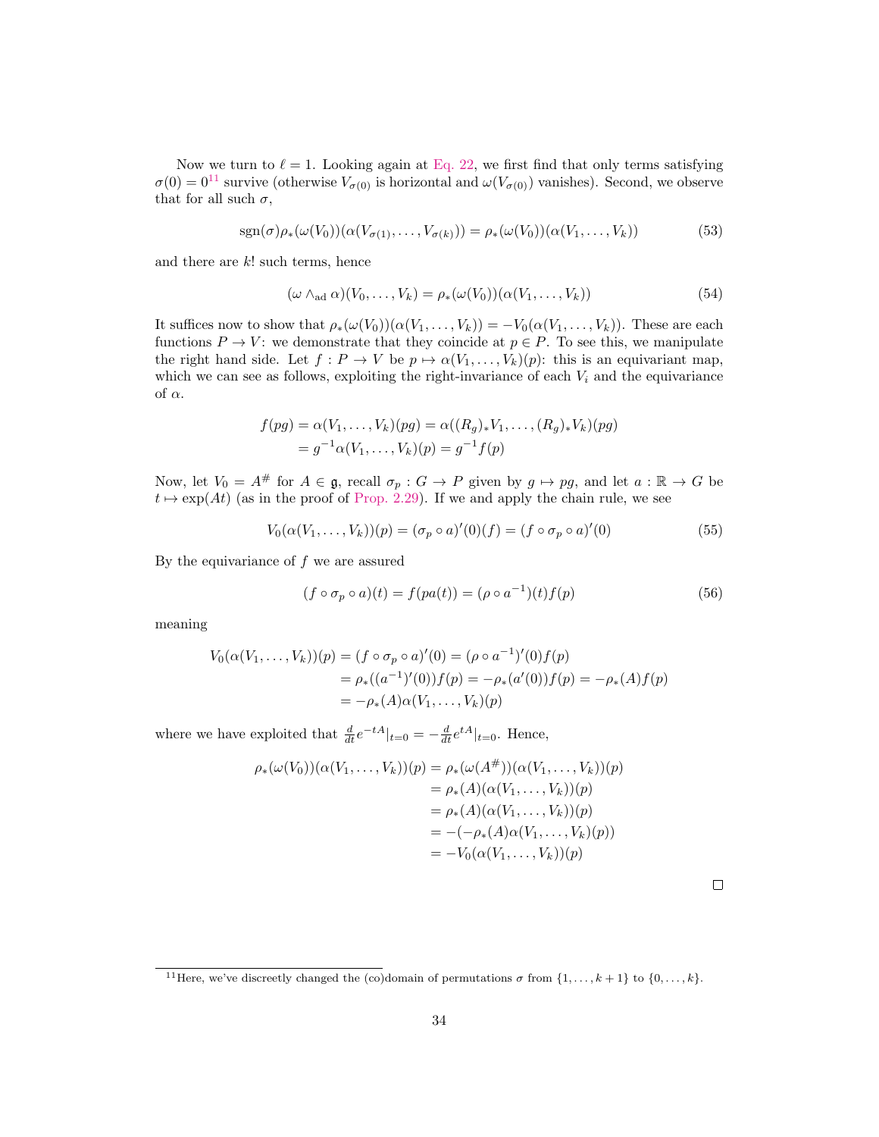Now we turn to  $\ell = 1$ . Looking again at [Eq. 22,](#page-24-0) we first find that only terms satisfying  $\sigma(0) = 0^{11}$  $\sigma(0) = 0^{11}$  $\sigma(0) = 0^{11}$  survive (otherwise  $V_{\sigma(0)}$  is horizontal and  $\omega(V_{\sigma(0)})$  vanishes). Second, we observe that for all such  $\sigma$ ,

$$
sgn(\sigma)\rho_*(\omega(V_0))(\alpha(V_{\sigma(1)},\ldots,V_{\sigma(k)}))=\rho_*(\omega(V_0))(\alpha(V_1,\ldots,V_k))
$$
\n(53)

and there are  $k!$  such terms, hence

$$
(\omega \wedge_{\text{ad}} \alpha)(V_0, \dots, V_k) = \rho_*(\omega(V_0))(\alpha(V_1, \dots, V_k))
$$
\n(54)

It suffices now to show that  $\rho_*(\omega(V_0))(\alpha(V_1,\ldots,V_k)) = -V_0(\alpha(V_1,\ldots,V_k)).$  These are each functions  $P \to V$ : we demonstrate that they coincide at  $p \in P$ . To see this, we manipulate the right hand side. Let  $f : P \to V$  be  $p \mapsto \alpha(V_1, \ldots, V_k)(p)$ : this is an equivariant map, which we can see as follows, exploiting the right-invariance of each  $V_i$  and the equivariance of  $\alpha$ .

$$
f(pg) = \alpha(V_1, ..., V_k)(pg) = \alpha((R_g)_*V_1, ..., (R_g)_*V_k)(pg)
$$
  
=  $g^{-1}\alpha(V_1, ..., V_k)(p) = g^{-1}f(p)$ 

Now, let  $V_0 = A^{\#}$  for  $A \in \mathfrak{g}$ , recall  $\sigma_p : G \to P$  given by  $g \mapsto pg$ , and let  $a : \mathbb{R} \to G$  be  $t \mapsto \exp(At)$  (as in the proof of [Prop. 2.29\)](#page-12-3). If we and apply the chain rule, we see

$$
V_0(\alpha(V_1, ..., V_k))(p) = (\sigma_p \circ a)'(0)(f) = (f \circ \sigma_p \circ a)'(0)
$$
\n(55)

By the equivariance of  $f$  we are assured

$$
(f \circ \sigma_p \circ a)(t) = f(pa(t)) = (\rho \circ a^{-1})(t)f(p)
$$
\n
$$
(56)
$$

meaning

$$
V_0(\alpha(V_1, ..., V_k))(p) = (f \circ \sigma_p \circ a)'(0) = (\rho \circ a^{-1})'(0)f(p)
$$
  
=  $\rho_*((a^{-1})'(0))f(p) = -\rho_*(a'(0))f(p) = -\rho_*(A)f(p)$   
=  $-\rho_*(A)\alpha(V_1, ..., V_k)(p)$ 

where we have exploited that  $\frac{d}{dt}e^{-tA}|_{t=0} = -\frac{d}{dt}e^{tA}|_{t=0}$ . Hence,

$$
\rho_*(\omega(V_0))(\alpha(V_1,\ldots,V_k))(p) = \rho_*(\omega(A^+))(\alpha(V_1,\ldots,V_k))(p)
$$
  
\n
$$
= \rho_*(A)(\alpha(V_1,\ldots,V_k))(p)
$$
  
\n
$$
= \rho_*(A)(\alpha(V_1,\ldots,V_k))(p)
$$
  
\n
$$
= -(-\rho_*(A)\alpha(V_1,\ldots,V_k)(p))
$$
  
\n
$$
= -V_0(\alpha(V_1,\ldots,V_k))(p)
$$

|  | --- |  |
|--|-----|--|

<span id="page-33-0"></span><sup>&</sup>lt;sup>11</sup>Here, we've discreetly changed the (co)domain of permutations  $\sigma$  from  $\{1, \ldots, k+1\}$  to  $\{0, \ldots, k\}$ .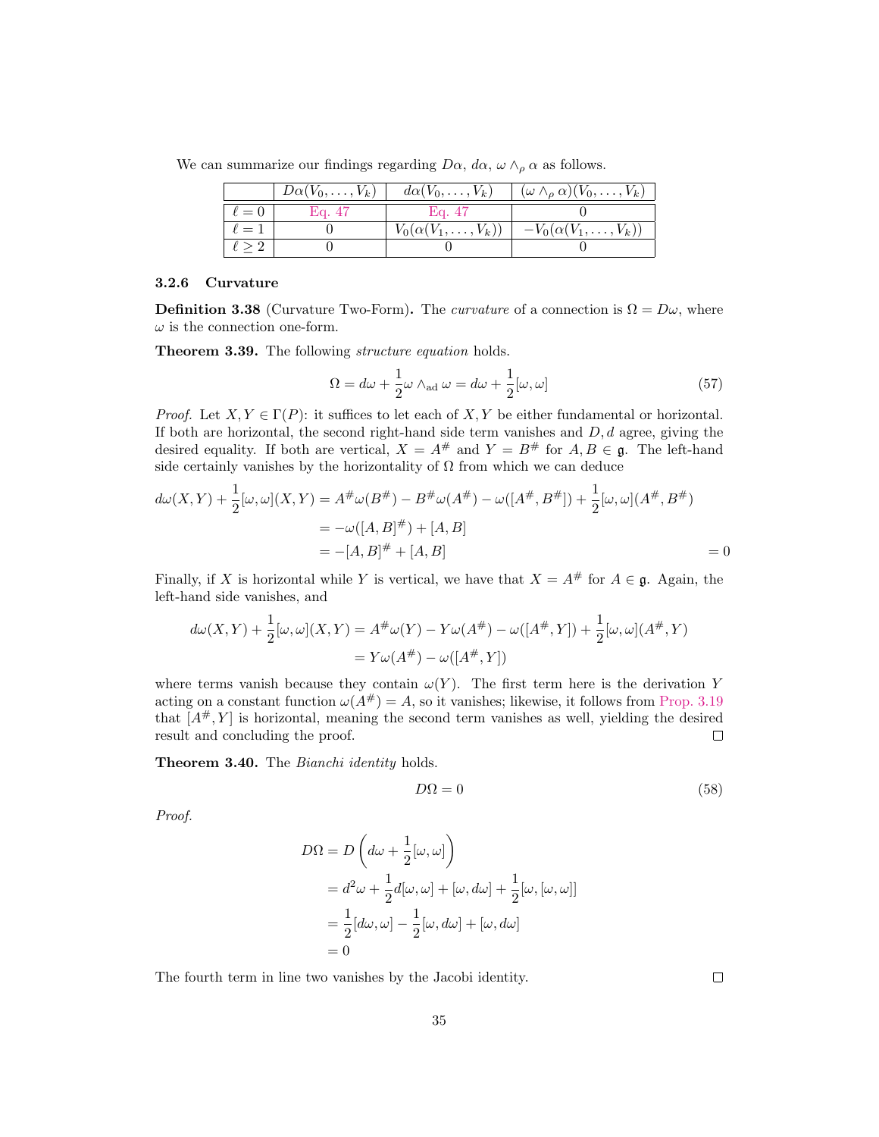We can summarize our findings regarding  $D\alpha$ ,  $d\alpha$ ,  $\omega \wedge_{\rho} \alpha$  as follows.

|               | $\mid Da(V_0,\ldots,V_k) \mid da(V_0,\ldots,V_k) \mid$ |                               | $\mid \, (\omega \wedge_{\rho} \alpha)(V_0, \ldots, V_k) \mid$ |
|---------------|--------------------------------------------------------|-------------------------------|----------------------------------------------------------------|
| $\ell=0$      | Eq. 47                                                 | - Eq. 47                      |                                                                |
| $\ell=1$      |                                                        | $V_0(\alpha(V_1,\ldots,V_k))$ | $-V_0(\alpha(V_1,\ldots,V_k))$                                 |
| $\ell \geq 2$ |                                                        |                               |                                                                |

#### <span id="page-34-0"></span>3.2.6 Curvature

**Definition 3.38** (Curvature Two-Form). The *curvature* of a connection is  $\Omega = D\omega$ , where  $\omega$  is the connection one-form.

<span id="page-34-1"></span>**Theorem 3.39.** The following *structure equation* holds.

$$
\Omega = d\omega + \frac{1}{2}\omega \wedge_{\text{ad}} \omega = d\omega + \frac{1}{2}[\omega, \omega]
$$
\n(57)

*Proof.* Let  $X, Y \in \Gamma(P)$ : it suffices to let each of X, Y be either fundamental or horizontal. If both are horizontal, the second right-hand side term vanishes and  $D, d$  agree, giving the desired equality. If both are vertical,  $X = A^{\#}$  and  $Y = B^{\#}$  for  $A, B \in \mathfrak{g}$ . The left-hand side certainly vanishes by the horizontality of  $\Omega$  from which we can deduce

$$
d\omega(X,Y) + \frac{1}{2}[\omega,\omega](X,Y) = A^{\#}\omega(B^{\#}) - B^{\#}\omega(A^{\#}) - \omega([A^{\#},B^{\#}]) + \frac{1}{2}[\omega,\omega](A^{\#},B^{\#})
$$
  
=  $-\omega([A,B]^{\#}) + [A,B]$   
=  $-[A,B]^{\#} + [A,B]$  = 0

Finally, if X is horizontal while Y is vertical, we have that  $X = A^{\#}$  for  $A \in \mathfrak{g}$ . Again, the left-hand side vanishes, and

$$
d\omega(X,Y) + \frac{1}{2}[\omega,\omega](X,Y) = A^{\#}\omega(Y) - Y\omega(A^{\#}) - \omega([A^{\#},Y]) + \frac{1}{2}[\omega,\omega](A^{\#},Y)
$$
  
=  $Y\omega(A^{\#}) - \omega([A^{\#},Y])$ 

where terms vanish because they contain  $\omega(Y)$ . The first term here is the derivation Y acting on a constant function  $\omega(A^{\#}) = A$ , so it vanishes; likewise, it follows from [Prop. 3.19](#page-22-3) that  $[A^{\#}, Y]$  is horizontal, meaning the second term vanishes as well, yielding the desired result and concluding the proof.  $\Box$ 

Theorem 3.40. The Bianchi identity holds.

$$
D\Omega = 0\tag{58}
$$

Proof.

$$
D\Omega = D\left(d\omega + \frac{1}{2}[\omega, \omega]\right)
$$
  
=  $d^2\omega + \frac{1}{2}d[\omega, \omega] + [\omega, d\omega] + \frac{1}{2}[\omega, [\omega, \omega]]$   
=  $\frac{1}{2}[d\omega, \omega] - \frac{1}{2}[\omega, d\omega] + [\omega, d\omega]$   
= 0

The fourth term in line two vanishes by the Jacobi identity.

 $\Box$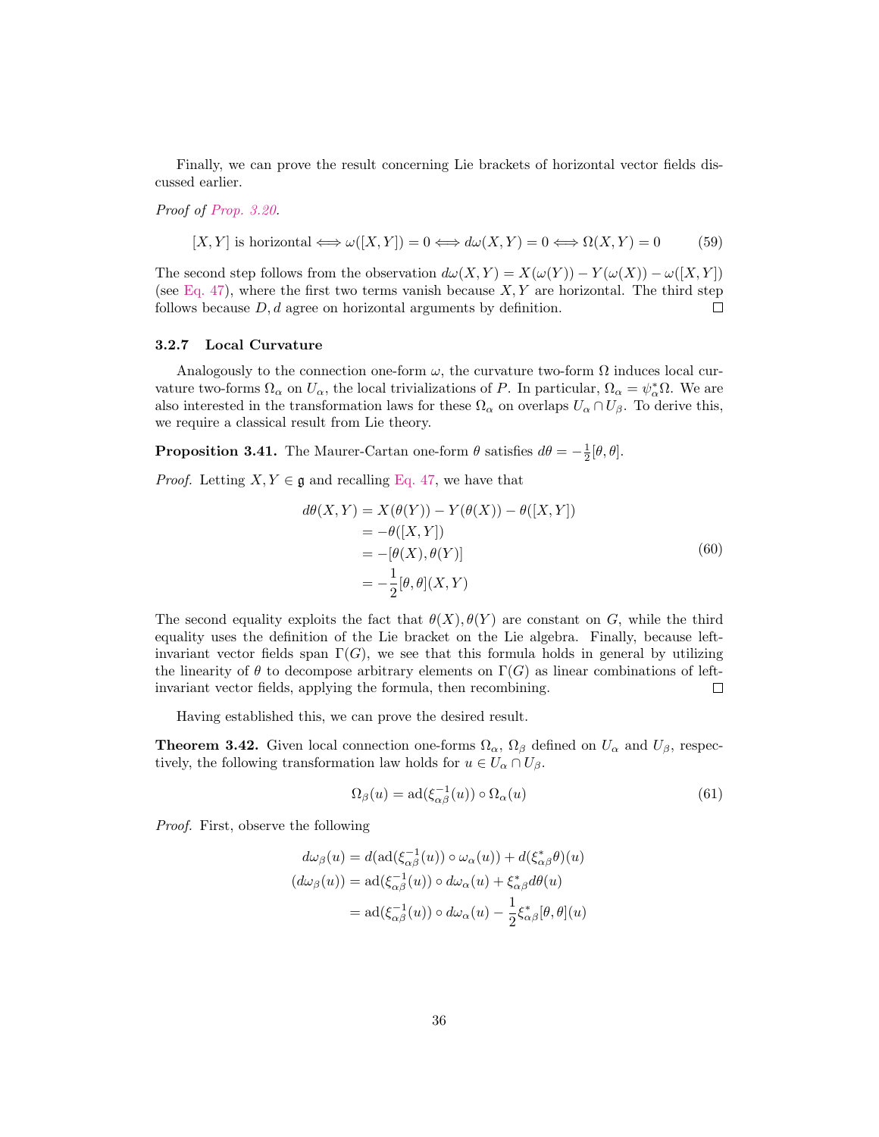Finally, we can prove the result concerning Lie brackets of horizontal vector fields discussed earlier.

Proof of [Prop. 3.20.](#page-22-4)

$$
[X,Y] \text{ is horizontal} \Longleftrightarrow \omega([X,Y]) = 0 \Longleftrightarrow d\omega(X,Y) = 0 \Longleftrightarrow \Omega(X,Y) = 0 \tag{59}
$$

The second step follows from the observation  $d\omega(X, Y) = X(\omega(Y)) - Y(\omega(X)) - \omega([X, Y])$ (see [Eq. 47\)](#page-31-2), where the first two terms vanish because  $X, Y$  are horizontal. The third step follows because  $D, d$  agree on horizontal arguments by definition.  $\Box$ 

#### <span id="page-35-0"></span>3.2.7 Local Curvature

Analogously to the connection one-form  $\omega$ , the curvature two-form  $\Omega$  induces local curvature two-forms  $\Omega_{\alpha}$  on  $U_{\alpha}$ , the local trivializations of P. In particular,  $\Omega_{\alpha} = \psi_{\alpha}^* \Omega$ . We are also interested in the transformation laws for these  $\Omega_{\alpha}$  on overlaps  $U_{\alpha} \cap U_{\beta}$ . To derive this, we require a classical result from Lie theory.

**Proposition 3.41.** The Maurer-Cartan one-form  $\theta$  satisfies  $d\theta = -\frac{1}{2}[\theta, \theta]$ .

*Proof.* Letting  $X, Y \in \mathfrak{g}$  and recalling [Eq. 47,](#page-31-2) we have that

$$
d\theta(X,Y) = X(\theta(Y)) - Y(\theta(X)) - \theta([X,Y])
$$
  
=  $-\theta([X,Y])$   
=  $-\theta(X), \theta(Y)$ ]  
=  $-\frac{1}{2}[\theta, \theta](X,Y)$  (60)

The second equality exploits the fact that  $\theta(X), \theta(Y)$  are constant on G, while the third equality uses the definition of the Lie bracket on the Lie algebra. Finally, because leftinvariant vector fields span  $\Gamma(G)$ , we see that this formula holds in general by utilizing the linearity of  $\theta$  to decompose arbitrary elements on  $\Gamma(G)$  as linear combinations of leftinvariant vector fields, applying the formula, then recombining.  $\Box$ 

Having established this, we can prove the desired result.

**Theorem 3.42.** Given local connection one-forms  $\Omega_{\alpha}$ ,  $\Omega_{\beta}$  defined on  $U_{\alpha}$  and  $U_{\beta}$ , respectively, the following transformation law holds for  $u \in U_\alpha \cap U_\beta$ .

$$
\Omega_{\beta}(u) = \text{ad}(\xi_{\alpha\beta}^{-1}(u)) \circ \Omega_{\alpha}(u) \tag{61}
$$

Proof. First, observe the following

$$
d\omega_{\beta}(u) = d(\text{ad}(\xi_{\alpha\beta}^{-1}(u)) \circ \omega_{\alpha}(u)) + d(\xi_{\alpha\beta}^{*}\theta)(u)
$$

$$
(d\omega_{\beta}(u)) = \text{ad}(\xi_{\alpha\beta}^{-1}(u)) \circ d\omega_{\alpha}(u) + \xi_{\alpha\beta}^{*}d\theta(u)
$$

$$
= \text{ad}(\xi_{\alpha\beta}^{-1}(u)) \circ d\omega_{\alpha}(u) - \frac{1}{2}\xi_{\alpha\beta}^{*}[\theta, \theta](u)
$$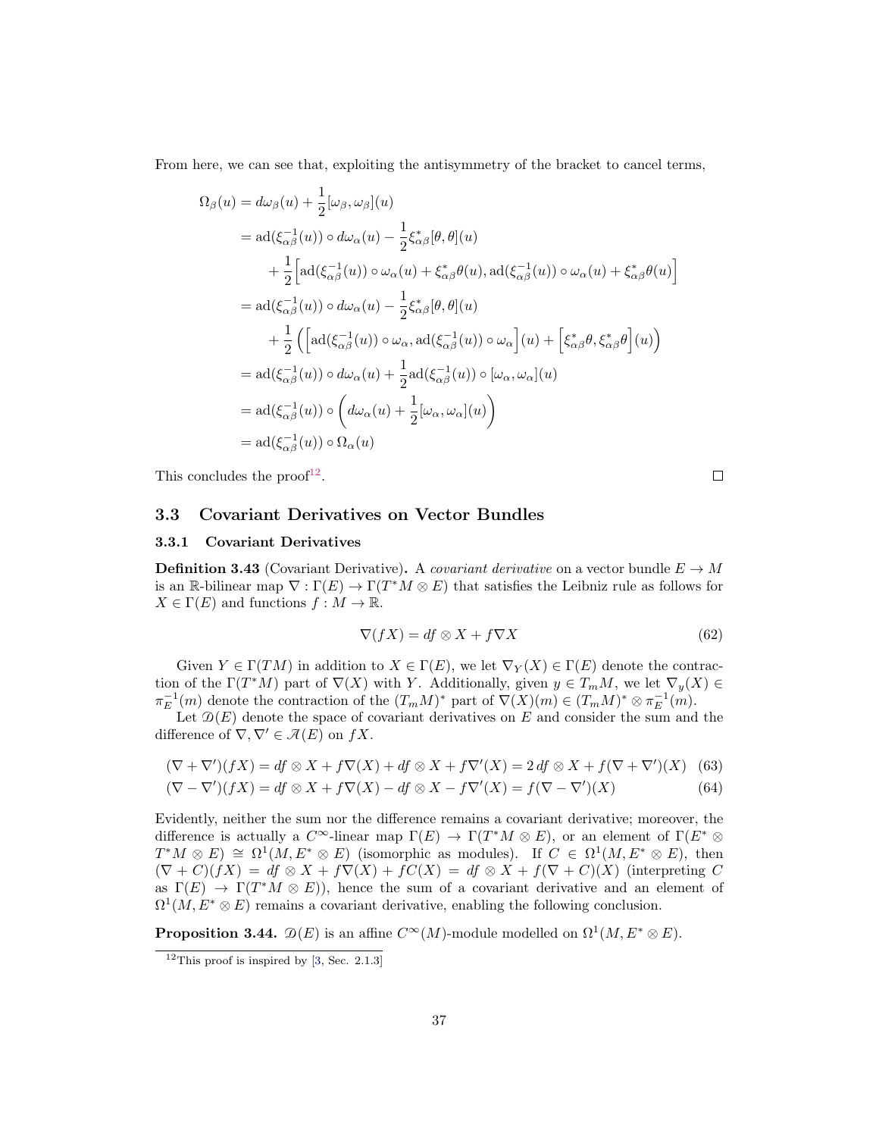From here, we can see that, exploiting the antisymmetry of the bracket to cancel terms,

$$
\Omega_{\beta}(u) = d\omega_{\beta}(u) + \frac{1}{2}[\omega_{\beta}, \omega_{\beta}](u)
$$
\n
$$
= ad(\xi_{\alpha\beta}^{-1}(u)) \circ d\omega_{\alpha}(u) - \frac{1}{2}\xi_{\alpha\beta}^{*}[\theta, \theta](u)
$$
\n
$$
+ \frac{1}{2} \Big[ ad(\xi_{\alpha\beta}^{-1}(u)) \circ \omega_{\alpha}(u) + \xi_{\alpha\beta}^{*} \theta(u), ad(\xi_{\alpha\beta}^{-1}(u)) \circ \omega_{\alpha}(u) + \xi_{\alpha\beta}^{*} \theta(u) \Big]
$$
\n
$$
= ad(\xi_{\alpha\beta}^{-1}(u)) \circ d\omega_{\alpha}(u) - \frac{1}{2}\xi_{\alpha\beta}^{*}[\theta, \theta](u)
$$
\n
$$
+ \frac{1}{2} \Big( \Big[ ad(\xi_{\alpha\beta}^{-1}(u)) \circ \omega_{\alpha}, ad(\xi_{\alpha\beta}^{-1}(u)) \circ \omega_{\alpha} \Big](u) + \Big[ \xi_{\alpha\beta}^{*} \theta, \xi_{\alpha\beta}^{*} \theta \Big](u) \Big)
$$
\n
$$
= ad(\xi_{\alpha\beta}^{-1}(u)) \circ d\omega_{\alpha}(u) + \frac{1}{2} ad(\xi_{\alpha\beta}^{-1}(u)) \circ [\omega_{\alpha}, \omega_{\alpha}](u)
$$
\n
$$
= ad(\xi_{\alpha\beta}^{-1}(u)) \circ \Big( d\omega_{\alpha}(u) + \frac{1}{2} [\omega_{\alpha}, \omega_{\alpha}](u) \Big)
$$
\n
$$
= ad(\xi_{\alpha\beta}^{-1}(u)) \circ \Omega_{\alpha}(u)
$$

This concludes the  $\text{proof}^{12}$  $\text{proof}^{12}$  $\text{proof}^{12}$ .

 $\Box$ 

#### <span id="page-36-0"></span>3.3 Covariant Derivatives on Vector Bundles

#### <span id="page-36-1"></span>3.3.1 Covariant Derivatives

**Definition 3.43** (Covariant Derivative). A covariant derivative on a vector bundle  $E \to M$ is an R-bilinear map  $\nabla : \Gamma(E) \to \Gamma(T^*M \otimes E)$  that satisfies the Leibniz rule as follows for  $X \in \Gamma(E)$  and functions  $f : M \to \mathbb{R}$ .

$$
\nabla(fX) = df \otimes X + f\nabla X \tag{62}
$$

Given  $Y \in \Gamma(TM)$  in addition to  $X \in \Gamma(E)$ , we let  $\nabla_Y(X) \in \Gamma(E)$  denote the contraction of the  $\Gamma(T^*M)$  part of  $\nabla(X)$  with Y. Additionally, given  $y \in T_mM$ , we let  $\nabla_y(X) \in$  $\pi_E^{-1}(m)$  denote the contraction of the  $(T_mM)^*$  part of  $\nabla(X)(m) \in (T_mM)^* \otimes \pi_E^{-1}(m)$ .

Let  $\mathcal{D}(E)$  denote the space of covariant derivatives on E and consider the sum and the difference of  $\nabla, \nabla' \in \mathcal{A}(E)$  on  $fX$ .

$$
(\nabla + \nabla')(fX) = df \otimes X + f\nabla(X) + df \otimes X + f\nabla'(X) = 2 df \otimes X + f(\nabla + \nabla')(X)
$$
 (63)

$$
(\nabla - \nabla')(fX) = df \otimes X + f\nabla(X) - df \otimes X - f\nabla'(X) = f(\nabla - \nabla')(X)
$$
\n(64)

Evidently, neither the sum nor the difference remains a covariant derivative; moreover, the difference is actually a  $C^{\infty}$ -linear map  $\Gamma(E) \to \Gamma(T^*M \otimes E)$ , or an element of  $\Gamma(E^* \otimes E)$  $T^*M \otimes E$   $\cong \Omega^1(M, E^* \otimes E)$  (isomorphic as modules). If  $C \in \Omega^1(M, E^* \otimes E)$ , then  $(\nabla + C)(fX) = df \otimes X + f\nabla(X) + fC(X) = df \otimes X + f(\nabla + C)(X)$  (interpreting C as  $\Gamma(E) \to \Gamma(T^*M \otimes E)$ , hence the sum of a covariant derivative and an element of  $\Omega^1(M, E^* \otimes E)$  remains a covariant derivative, enabling the following conclusion.

**Proposition 3.44.**  $\mathcal{D}(E)$  is an affine  $C^{\infty}(M)$ -module modelled on  $\Omega^1(M, E^* \otimes E)$ .

<span id="page-36-2"></span> $12$ This proof is inspired by [\[3,](#page-52-7) Sec. 2.1.3]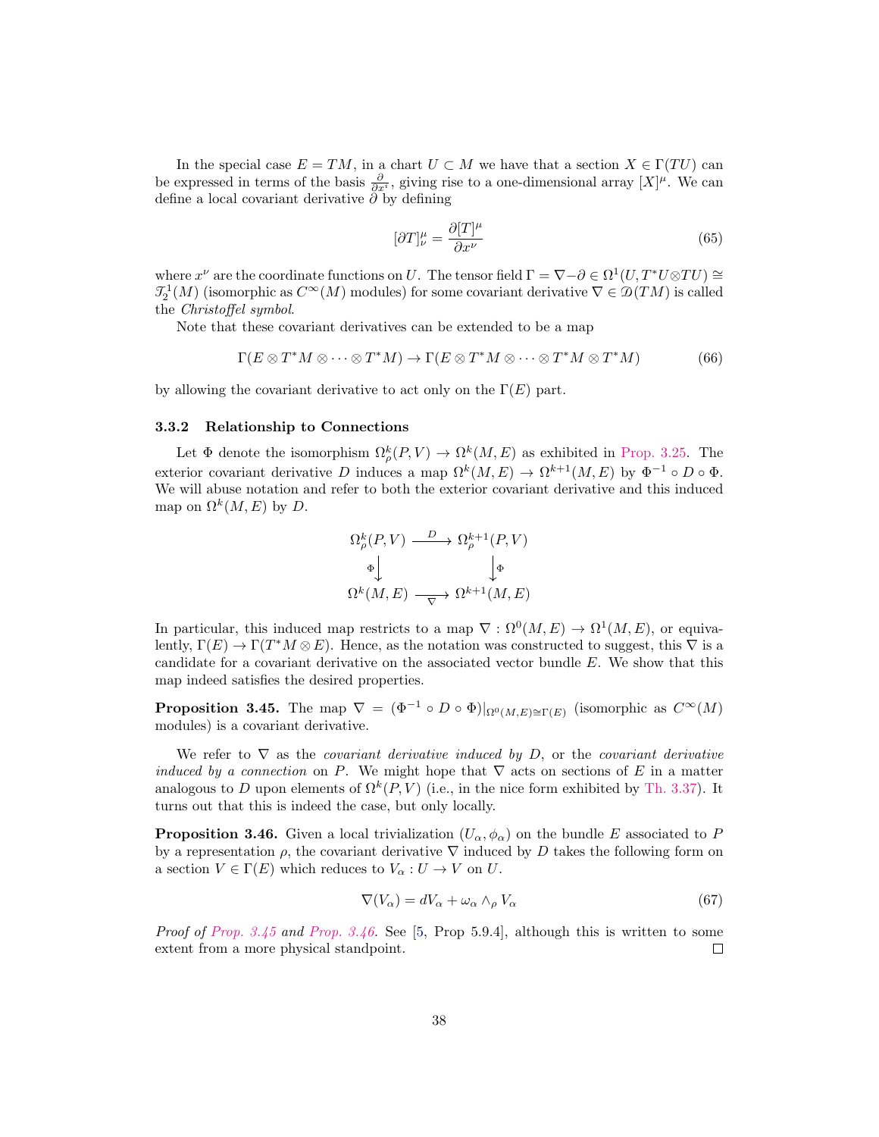In the special case  $E = TM$ , in a chart  $U \subset M$  we have that a section  $X \in \Gamma(TU)$  can be expressed in terms of the basis  $\frac{\partial}{\partial x^i}$ , giving rise to a one-dimensional array  $[X]^\mu$ . We can define a local covariant derivative  $\tilde{\partial}$  by defining

$$
[\partial T]_{\nu}^{\mu} = \frac{\partial [T]^{\mu}}{\partial x^{\nu}} \tag{65}
$$

where  $x^{\nu}$  are the coordinate functions on U. The tensor field  $\Gamma = \nabla - \partial \in \Omega^1(U, T^*U \otimes TU) \cong$  $\mathcal{I}_2^1(M)$  (isomorphic as  $C^{\infty}(M)$  modules) for some covariant derivative  $\nabla \in \mathcal{D}(TM)$  is called the Christoffel symbol.

Note that these covariant derivatives can be extended to be a map

$$
\Gamma(E \otimes T^*M \otimes \cdots \otimes T^*M) \to \Gamma(E \otimes T^*M \otimes \cdots \otimes T^*M \otimes T^*M) \tag{66}
$$

by allowing the covariant derivative to act only on the  $\Gamma(E)$  part.

#### <span id="page-37-0"></span>3.3.2 Relationship to Connections

Let  $\Phi$  denote the isomorphism  $\Omega_{\rho}^{k}(P,V) \to \Omega^{k}(M,E)$  as exhibited in [Prop. 3.25.](#page-23-0) The exterior covariant derivative D induces a map  $\Omega^k(M, E) \to \Omega^{k+1}(M, E)$  by  $\Phi^{-1} \circ D \circ \Phi$ . We will abuse notation and refer to both the exterior covariant derivative and this induced map on  $\Omega^k(M, E)$  by D.

$$
\Omega_{\rho}^{k}(P,V) \xrightarrow{D} \Omega_{\rho}^{k+1}(P,V)
$$

$$
\Phi \downarrow \qquad \qquad \downarrow \Phi
$$

$$
\Omega^{k}(M,E) \longrightarrow \Omega^{k+1}(M,E)
$$

In particular, this induced map restricts to a map  $\nabla : \Omega^0(M, E) \to \Omega^1(M, E)$ , or equivalently,  $\Gamma(E) \to \Gamma(T^*M \otimes E)$ . Hence, as the notation was constructed to suggest, this  $\nabla$  is a candidate for a covariant derivative on the associated vector bundle E. We show that this map indeed satisfies the desired properties.

<span id="page-37-1"></span>**Proposition 3.45.** The map  $\nabla = (\Phi^{-1} \circ D \circ \Phi)|_{\Omega^0(M,E) \cong \Gamma(E)}$  (isomorphic as  $C^{\infty}(M)$ ) modules) is a covariant derivative.

We refer to  $\nabla$  as the *covariant derivative induced by D*, or the *covariant derivative* induced by a connection on P. We might hope that  $\nabla$  acts on sections of E in a matter analogous to D upon elements of  $\Omega^k(P, V)$  (i.e., in the nice form exhibited by [Th. 3.37\)](#page-32-1). It turns out that this is indeed the case, but only locally.

<span id="page-37-2"></span>**Proposition 3.46.** Given a local trivialization  $(U_\alpha, \phi_\alpha)$  on the bundle E associated to P by a representation  $\rho$ , the covariant derivative  $\nabla$  induced by D takes the following form on a section  $V \in \Gamma(E)$  which reduces to  $V_\alpha: U \to V$  on U.

$$
\nabla(V_{\alpha}) = dV_{\alpha} + \omega_{\alpha} \wedge_{\rho} V_{\alpha} \tag{67}
$$

*Proof of Prop.* 3.45 and [Prop. 3.46.](#page-37-2) See [\[5,](#page-52-8) Prop 5.9.4], although this is written to some extent from a more physical standpoint.  $\Box$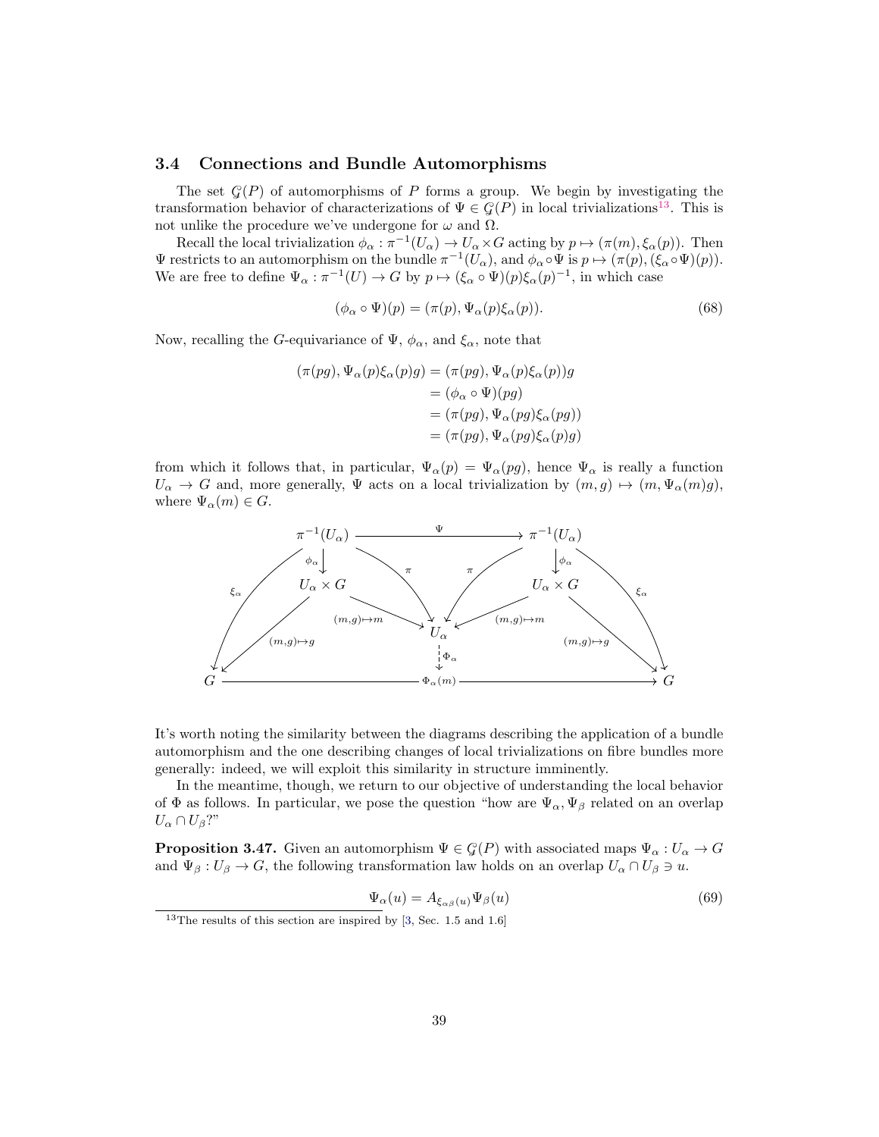#### <span id="page-38-0"></span>3.4 Connections and Bundle Automorphisms

The set  $\mathcal{G}(P)$  of automorphisms of P forms a group. We begin by investigating the transformation behavior of characterizations of  $\Psi \in \mathcal{G}(P)$  in local trivializations<sup>[13](#page-38-1)</sup>. This is not unlike the procedure we've undergone for  $ω$  and  $Ω$ .

Recall the local trivialization  $\phi_{\alpha} : \pi^{-1}(U_{\alpha}) \to U_{\alpha} \times G$  acting by  $p \mapsto (\pi(m), \xi_{\alpha}(p))$ . Then  $\Psi$  restricts to an automorphism on the bundle  $\pi^{-1}(U_\alpha)$ , and  $\phi_\alpha \circ \Psi$  is  $p \mapsto (\pi(p),(\xi_\alpha \circ \Psi)(p)).$ We are free to define  $\Psi_{\alpha} : \pi^{-1}(U) \to G$  by  $p \mapsto (\xi_{\alpha} \circ \Psi)(p) \xi_{\alpha}(p)^{-1}$ , in which case

<span id="page-38-3"></span>
$$
(\phi_{\alpha} \circ \Psi)(p) = (\pi(p), \Psi_{\alpha}(p)\xi_{\alpha}(p)). \tag{68}
$$

Now, recalling the G-equivariance of  $\Psi$ ,  $\phi_{\alpha}$ , and  $\xi_{\alpha}$ , note that

$$
(\pi(pg), \Psi_{\alpha}(p)\xi_{\alpha}(p)g) = (\pi(pg), \Psi_{\alpha}(p)\xi_{\alpha}(p))g
$$
  

$$
= (\phi_{\alpha} \circ \Psi)(pg)
$$
  

$$
= (\pi(pg), \Psi_{\alpha}(pg)\xi_{\alpha}(pg))
$$
  

$$
= (\pi(pg), \Psi_{\alpha}(pg)\xi_{\alpha}(p)g)
$$

from which it follows that, in particular,  $\Psi_{\alpha}(p) = \Psi_{\alpha}(pg)$ , hence  $\Psi_{\alpha}$  is really a function  $U_{\alpha} \to G$  and, more generally,  $\Psi$  acts on a local trivialization by  $(m, g) \mapsto (m, \Psi_{\alpha}(m)g),$ where  $\Psi_{\alpha}(m) \in G$ .



It's worth noting the similarity between the diagrams describing the application of a bundle automorphism and the one describing changes of local trivializations on fibre bundles more generally: indeed, we will exploit this similarity in structure imminently.

In the meantime, though, we return to our objective of understanding the local behavior of  $\Phi$  as follows. In particular, we pose the question "how are  $\Psi_{\alpha}$ ,  $\Psi_{\beta}$  related on an overlap  $U_{\alpha} \cap U_{\beta}$ ?"

<span id="page-38-2"></span>**Proposition 3.47.** Given an automorphism  $\Psi \in \mathcal{G}(P)$  with associated maps  $\Psi_{\alpha}: U_{\alpha} \to G$ and  $\Psi_{\beta}: U_{\beta} \to G$ , the following transformation law holds on an overlap  $U_{\alpha} \cap U_{\beta} \ni u$ .

$$
\Psi_{\alpha}(u) = A_{\xi_{\alpha\beta}(u)} \Psi_{\beta}(u) \tag{69}
$$

<span id="page-38-1"></span> $13$ The results of this section are inspired by [\[3,](#page-52-7) Sec. 1.5 and 1.6]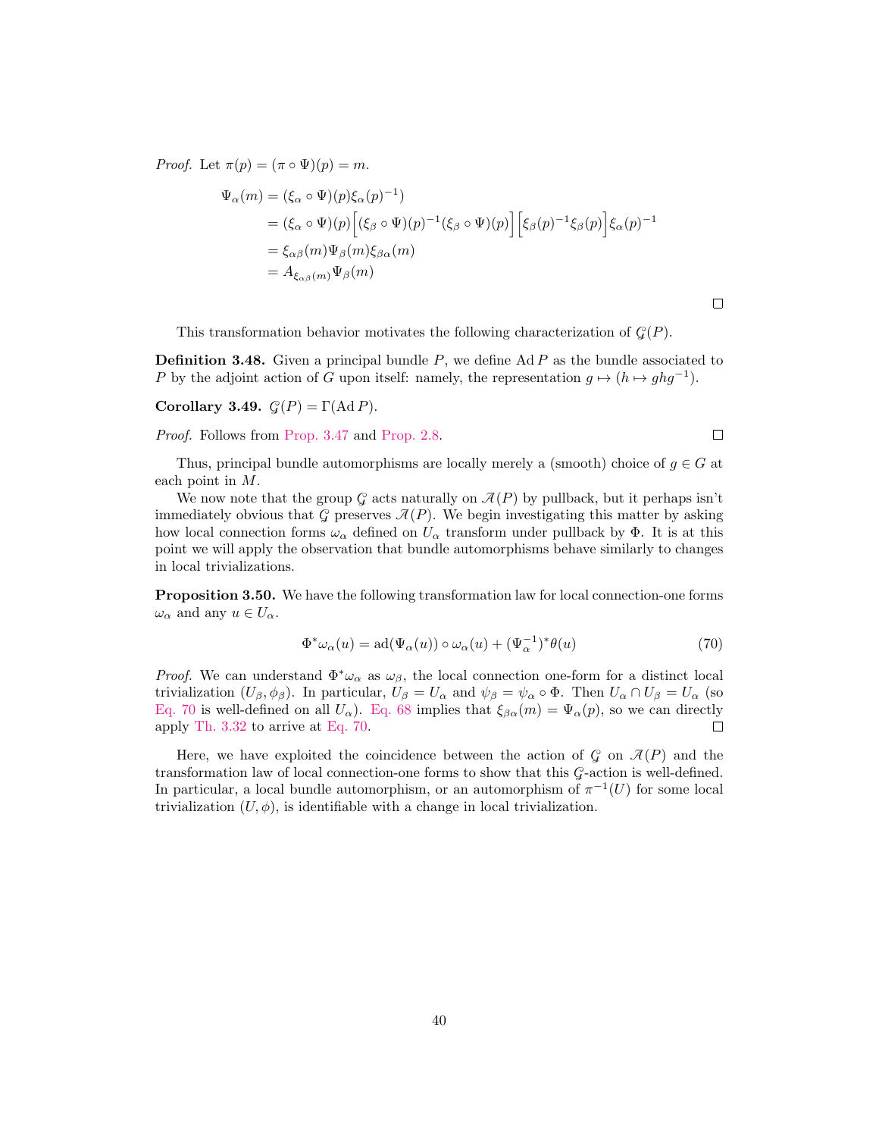*Proof.* Let  $\pi(p) = (\pi \circ \Psi)(p) = m$ .

$$
\Psi_{\alpha}(m) = (\xi_{\alpha} \circ \Psi)(p)\xi_{\alpha}(p)^{-1})
$$
\n
$$
= (\xi_{\alpha} \circ \Psi)(p) \Big[ (\xi_{\beta} \circ \Psi)(p)^{-1} (\xi_{\beta} \circ \Psi)(p) \Big] \Big[ \xi_{\beta}(p)^{-1} \xi_{\beta}(p) \Big] \xi_{\alpha}(p)^{-1}
$$
\n
$$
= \xi_{\alpha\beta}(m)\Psi_{\beta}(m)\xi_{\beta\alpha}(m)
$$
\n
$$
= A_{\xi_{\alpha\beta}(m)}\Psi_{\beta}(m)
$$

This transformation behavior motivates the following characterization of  $\mathcal{G}(P)$ .

**Definition 3.48.** Given a principal bundle  $P$ , we define Ad  $P$  as the bundle associated to P by the adjoint action of G upon itself: namely, the representation  $g \mapsto (h \mapsto ghg^{-1})$ .

Corollary 3.49.  $\mathcal{G}(P) = \Gamma(\text{Ad }P)$ .

Proof. Follows from [Prop. 3.47](#page-38-2) and [Prop. 2.8.](#page-6-0)

 $\Box$ 

 $\Box$ 

Thus, principal bundle automorphisms are locally merely a (smooth) choice of  $g \in G$  at each point in M.

We now note that the group  $\mathcal G$  acts naturally on  $\mathcal I(P)$  by pullback, but it perhaps isn't immediately obvious that G preserves  $\mathcal{J}(P)$ . We begin investigating this matter by asking how local connection forms  $\omega_{\alpha}$  defined on  $U_{\alpha}$  transform under pullback by  $\Phi$ . It is at this point we will apply the observation that bundle automorphisms behave similarly to changes in local trivializations.

Proposition 3.50. We have the following transformation law for local connection-one forms  $\omega_{\alpha}$  and any  $u \in U_{\alpha}$ .

<span id="page-39-0"></span>
$$
\Phi^* \omega_\alpha(u) = \mathrm{ad}(\Psi_\alpha(u)) \circ \omega_\alpha(u) + (\Psi_\alpha^{-1})^* \theta(u) \tag{70}
$$

*Proof.* We can understand  $\Phi^*\omega_\alpha$  as  $\omega_\beta$ , the local connection one-form for a distinct local trivialization  $(U_\beta, \phi_\beta)$ . In particular,  $U_\beta = U_\alpha$  and  $\psi_\beta = \psi_\alpha \circ \Phi$ . Then  $U_\alpha \cap U_\beta = U_\alpha$  (so [Eq. 70](#page-39-0) is well-defined on all  $U_{\alpha}$ ). [Eq. 68](#page-38-3) implies that  $\xi_{\beta\alpha}(m) = \Psi_{\alpha}(p)$ , so we can directly apply [Th. 3.32](#page-26-3) to arrive at [Eq. 70.](#page-39-0)  $\Box$ 

Here, we have exploited the coincidence between the action of  $G$  on  $\mathcal{A}(P)$  and the transformation law of local connection-one forms to show that this G-action is well-defined. In particular, a local bundle automorphism, or an automorphism of  $\pi^{-1}(U)$  for some local trivialization  $(U, \phi)$ , is identifiable with a change in local trivialization.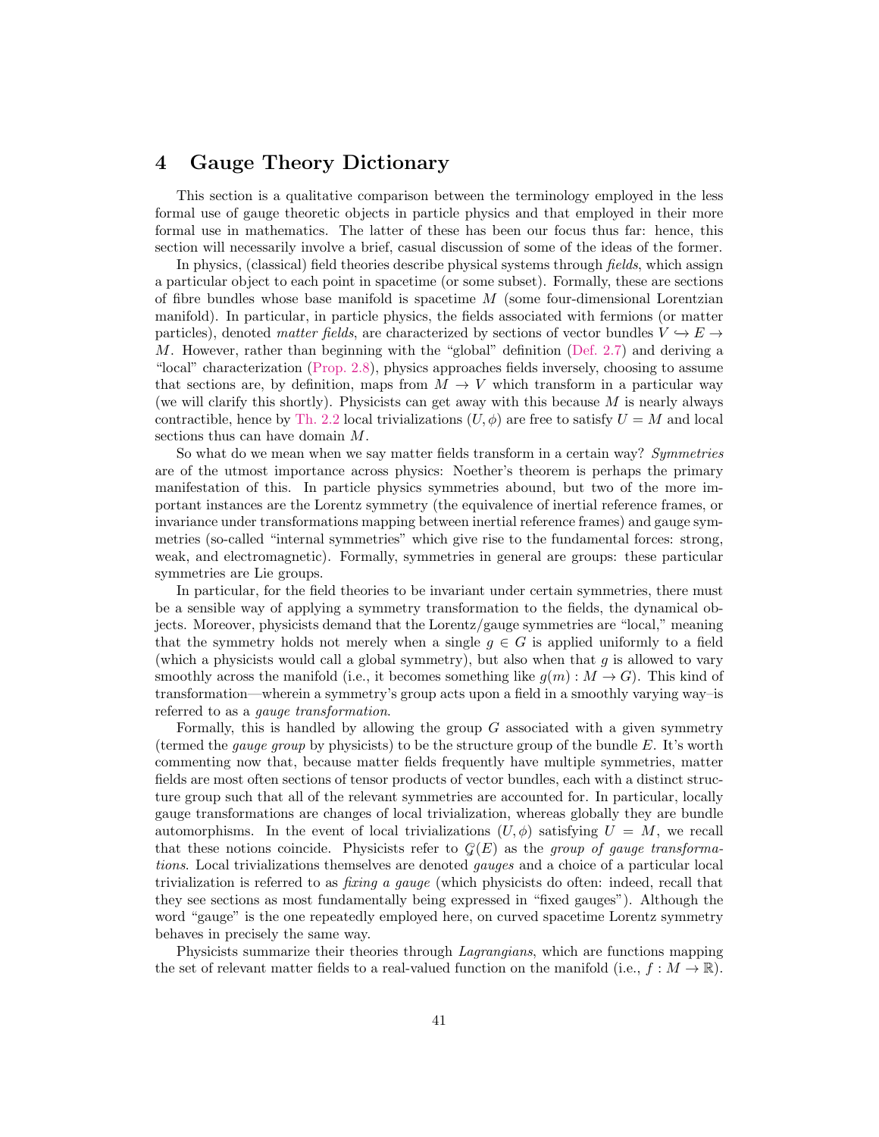## <span id="page-40-0"></span>4 Gauge Theory Dictionary

This section is a qualitative comparison between the terminology employed in the less formal use of gauge theoretic objects in particle physics and that employed in their more formal use in mathematics. The latter of these has been our focus thus far: hence, this section will necessarily involve a brief, casual discussion of some of the ideas of the former.

In physics, (classical) field theories describe physical systems through *fields*, which assign a particular object to each point in spacetime (or some subset). Formally, these are sections of fibre bundles whose base manifold is spacetime  $M$  (some four-dimensional Lorentzian manifold). In particular, in particle physics, the fields associated with fermions (or matter particles), denoted matter fields, are characterized by sections of vector bundles  $V \hookrightarrow E \rightarrow$ M. However, rather than beginning with the "global" definition [\(Def. 2.7\)](#page-6-2) and deriving a "local" characterization [\(Prop. 2.8\)](#page-6-0), physics approaches fields inversely, choosing to assume that sections are, by definition, maps from  $M \to V$  which transform in a particular way (we will clarify this shortly). Physicists can get away with this because  $M$  is nearly always contractible, hence by [Th. 2.2](#page-4-3) local trivializations  $(U, \phi)$  are free to satisfy  $U = M$  and local sections thus can have domain M.

So what do we mean when we say matter fields transform in a certain way? Symmetries are of the utmost importance across physics: Noether's theorem is perhaps the primary manifestation of this. In particle physics symmetries abound, but two of the more important instances are the Lorentz symmetry (the equivalence of inertial reference frames, or invariance under transformations mapping between inertial reference frames) and gauge symmetries (so-called "internal symmetries" which give rise to the fundamental forces: strong, weak, and electromagnetic). Formally, symmetries in general are groups: these particular symmetries are Lie groups.

In particular, for the field theories to be invariant under certain symmetries, there must be a sensible way of applying a symmetry transformation to the fields, the dynamical objects. Moreover, physicists demand that the Lorentz/gauge symmetries are "local," meaning that the symmetry holds not merely when a single  $q \in G$  is applied uniformly to a field (which a physicists would call a global symmetry), but also when that  $q$  is allowed to vary smoothly across the manifold (i.e., it becomes something like  $g(m): M \to G$ ). This kind of transformation—wherein a symmetry's group acts upon a field in a smoothly varying way–is referred to as a *gauge transformation*.

Formally, this is handled by allowing the group  $G$  associated with a given symmetry (termed the *gauge group* by physicists) to be the structure group of the bundle  $E$ . It's worth commenting now that, because matter fields frequently have multiple symmetries, matter fields are most often sections of tensor products of vector bundles, each with a distinct structure group such that all of the relevant symmetries are accounted for. In particular, locally gauge transformations are changes of local trivialization, whereas globally they are bundle automorphisms. In the event of local trivializations  $(U, \phi)$  satisfying  $U = M$ , we recall that these notions coincide. Physicists refer to  $G(E)$  as the group of gauge transformations. Local trivializations themselves are denoted gauges and a choice of a particular local trivialization is referred to as fixing a gauge (which physicists do often: indeed, recall that they see sections as most fundamentally being expressed in "fixed gauges"). Although the word "gauge" is the one repeatedly employed here, on curved spacetime Lorentz symmetry behaves in precisely the same way.

Physicists summarize their theories through Lagrangians, which are functions mapping the set of relevant matter fields to a real-valued function on the manifold (i.e.,  $f : M \to \mathbb{R}$ ).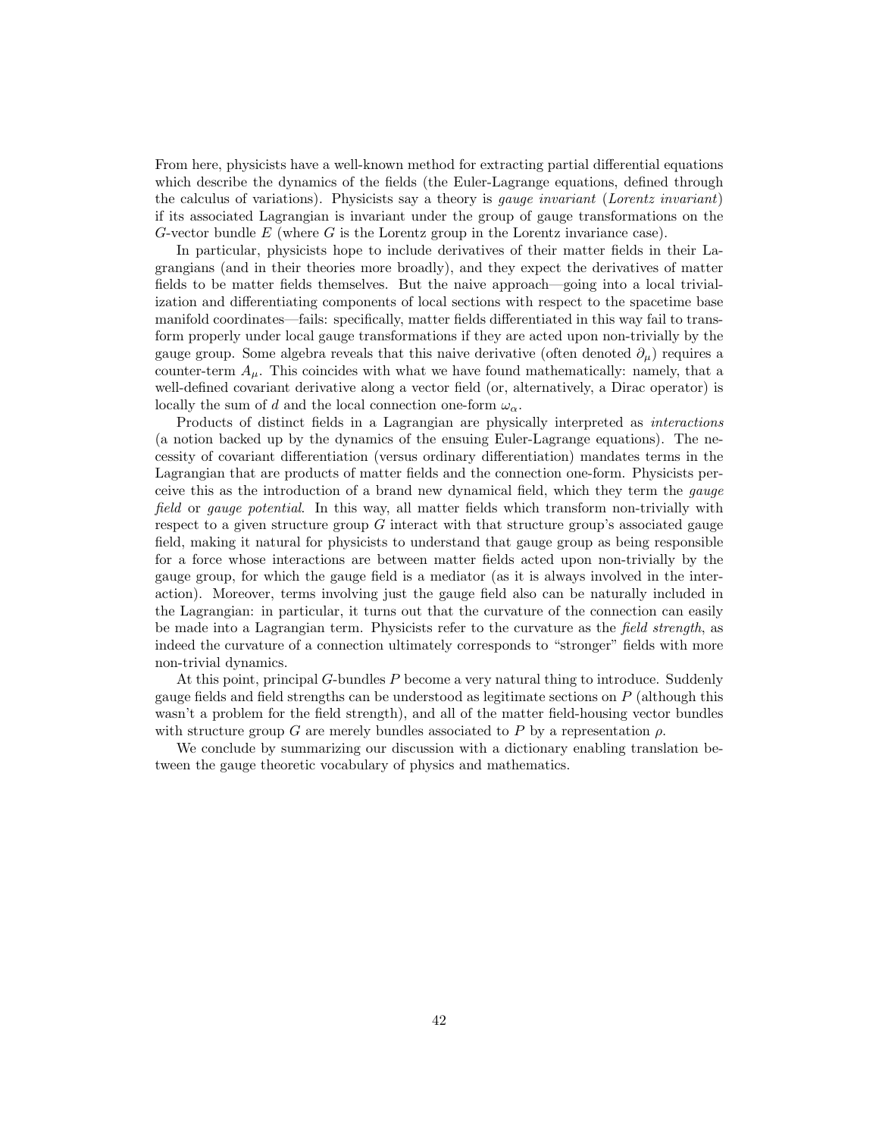From here, physicists have a well-known method for extracting partial differential equations which describe the dynamics of the fields (the Euler-Lagrange equations, defined through the calculus of variations). Physicists say a theory is *gauge invariant* (*Lorentz invariant*) if its associated Lagrangian is invariant under the group of gauge transformations on the G-vector bundle  $E$  (where  $G$  is the Lorentz group in the Lorentz invariance case).

In particular, physicists hope to include derivatives of their matter fields in their Lagrangians (and in their theories more broadly), and they expect the derivatives of matter fields to be matter fields themselves. But the naive approach—going into a local trivialization and differentiating components of local sections with respect to the spacetime base manifold coordinates—fails: specifically, matter fields differentiated in this way fail to transform properly under local gauge transformations if they are acted upon non-trivially by the gauge group. Some algebra reveals that this naive derivative (often denoted  $\partial_{\mu}$ ) requires a counter-term  $A_\mu$ . This coincides with what we have found mathematically: namely, that a well-defined covariant derivative along a vector field (or, alternatively, a Dirac operator) is locally the sum of d and the local connection one-form  $\omega_{\alpha}$ .

Products of distinct fields in a Lagrangian are physically interpreted as interactions (a notion backed up by the dynamics of the ensuing Euler-Lagrange equations). The necessity of covariant differentiation (versus ordinary differentiation) mandates terms in the Lagrangian that are products of matter fields and the connection one-form. Physicists perceive this as the introduction of a brand new dynamical field, which they term the gauge field or gauge potential. In this way, all matter fields which transform non-trivially with respect to a given structure group  $G$  interact with that structure group's associated gauge field, making it natural for physicists to understand that gauge group as being responsible for a force whose interactions are between matter fields acted upon non-trivially by the gauge group, for which the gauge field is a mediator (as it is always involved in the interaction). Moreover, terms involving just the gauge field also can be naturally included in the Lagrangian: in particular, it turns out that the curvature of the connection can easily be made into a Lagrangian term. Physicists refer to the curvature as the field strength, as indeed the curvature of a connection ultimately corresponds to "stronger" fields with more non-trivial dynamics.

At this point, principal G-bundles P become a very natural thing to introduce. Suddenly gauge fields and field strengths can be understood as legitimate sections on P (although this wasn't a problem for the field strength), and all of the matter field-housing vector bundles with structure group G are merely bundles associated to P by a representation  $\rho$ .

We conclude by summarizing our discussion with a dictionary enabling translation between the gauge theoretic vocabulary of physics and mathematics.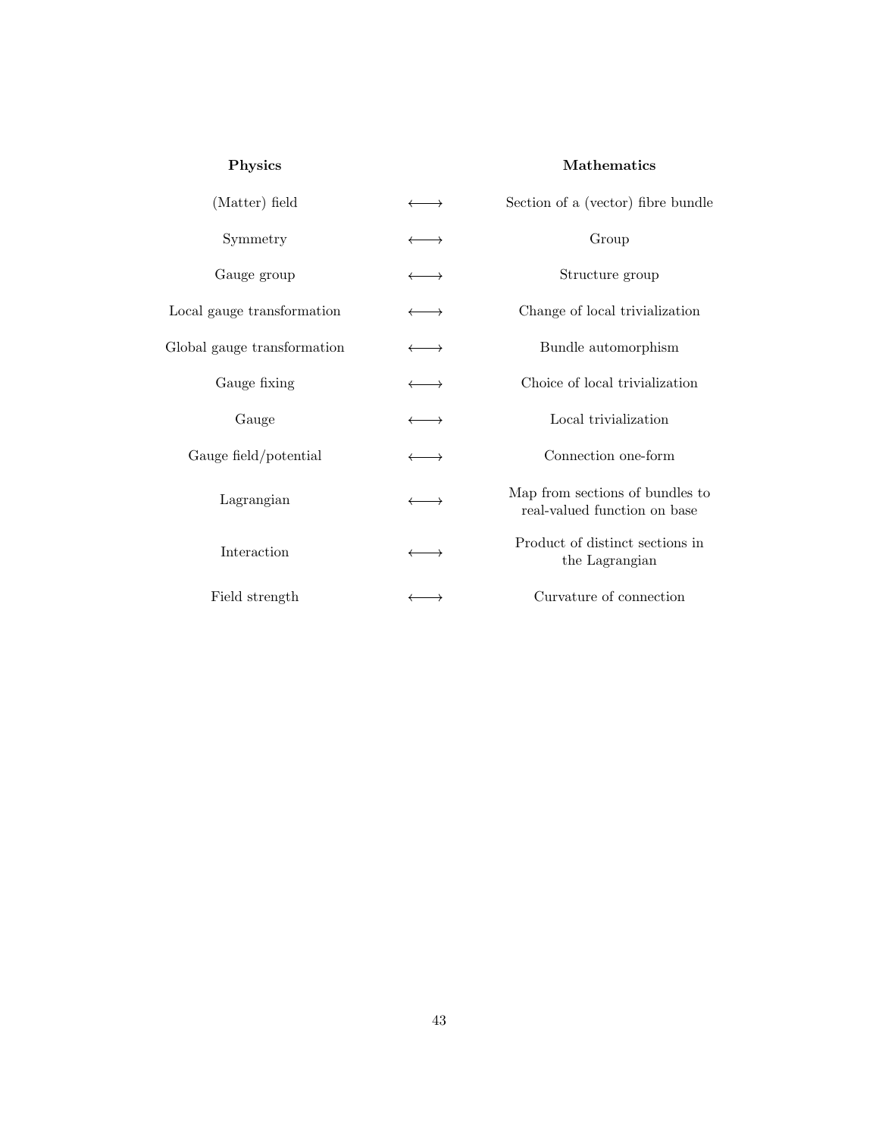## Physics Mathematics

| (Matter) field              | $\longrightarrow$     | Section of a (vector) fibre bundle                              |
|-----------------------------|-----------------------|-----------------------------------------------------------------|
| Symmetry                    | $\longleftrightarrow$ | Group                                                           |
| Gauge group                 | $\longrightarrow$     | Structure group                                                 |
| Local gauge transformation  | $\longrightarrow$     | Change of local trivialization                                  |
| Global gauge transformation | $\longleftrightarrow$ | Bundle automorphism                                             |
| Gauge fixing                | $\longleftrightarrow$ | Choice of local trivialization                                  |
| Gauge                       | $\longrightarrow$     | Local trivialization                                            |
| Gauge field/potential       | $\longleftrightarrow$ | Connection one-form                                             |
| Lagrangian                  | $\longleftrightarrow$ | Map from sections of bundles to<br>real-valued function on base |
| Interaction                 | $\longleftrightarrow$ | Product of distinct sections in<br>the Lagrangian               |
| Field strength              | $\longrightarrow$     | Curvature of connection                                         |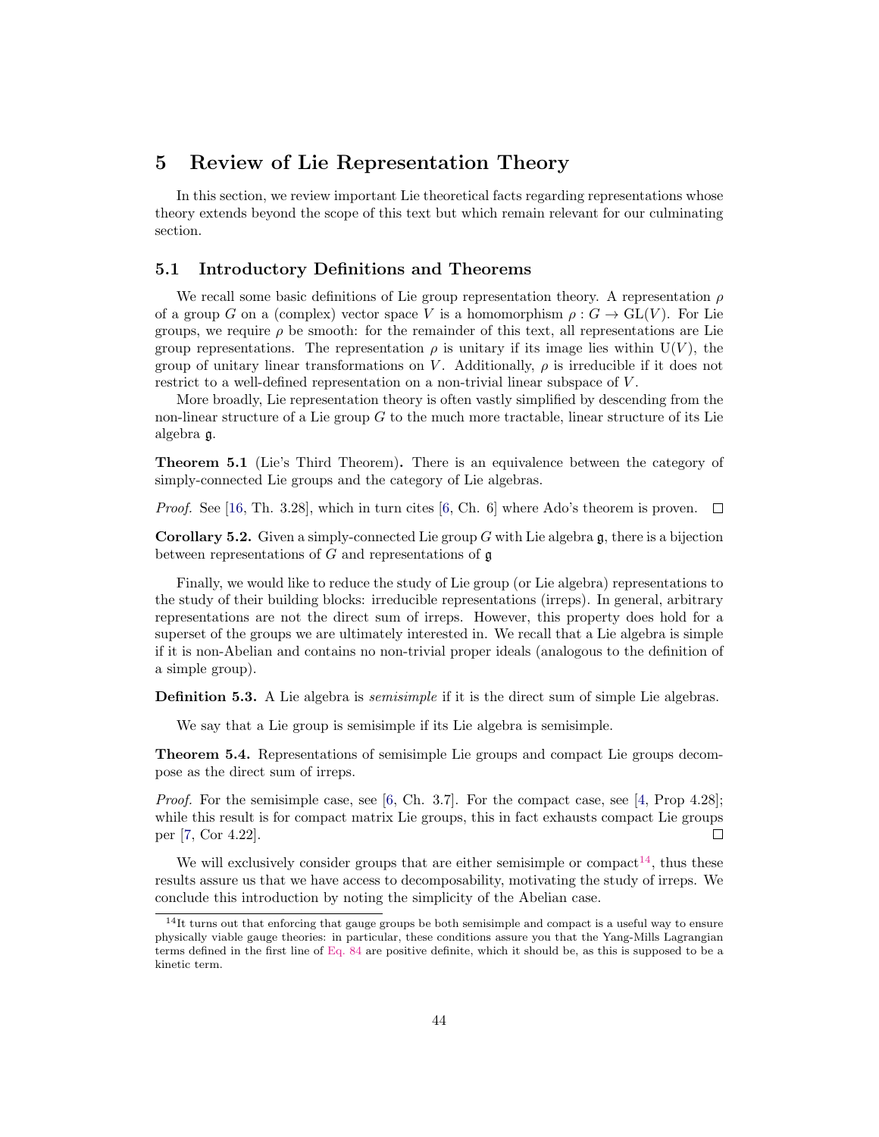## <span id="page-43-0"></span>5 Review of Lie Representation Theory

In this section, we review important Lie theoretical facts regarding representations whose theory extends beyond the scope of this text but which remain relevant for our culminating section.

## <span id="page-43-1"></span>5.1 Introductory Definitions and Theorems

We recall some basic definitions of Lie group representation theory. A representation  $\rho$ of a group G on a (complex) vector space V is a homomorphism  $\rho: G \to GL(V)$ . For Lie groups, we require  $\rho$  be smooth: for the remainder of this text, all representations are Lie group representations. The representation  $\rho$  is unitary if its image lies within U(V), the group of unitary linear transformations on V. Additionally,  $\rho$  is irreducible if it does not restrict to a well-defined representation on a non-trivial linear subspace of V.

More broadly, Lie representation theory is often vastly simplified by descending from the non-linear structure of a Lie group  $G$  to the much more tractable, linear structure of its Lie algebra g.

Theorem 5.1 (Lie's Third Theorem). There is an equivalence between the category of simply-connected Lie groups and the category of Lie algebras.

*Proof.* See [\[16,](#page-53-0) Th. 3.28], which in turn cites [\[6,](#page-52-9) Ch. 6] where Ado's theorem is proven.  $\square$ 

**Corollary 5.2.** Given a simply-connected Lie group G with Lie algebra  $\mathfrak{g}$ , there is a bijection between representations of  $G$  and representations of  $\mathfrak g$ 

Finally, we would like to reduce the study of Lie group (or Lie algebra) representations to the study of their building blocks: irreducible representations (irreps). In general, arbitrary representations are not the direct sum of irreps. However, this property does hold for a superset of the groups we are ultimately interested in. We recall that a Lie algebra is simple if it is non-Abelian and contains no non-trivial proper ideals (analogous to the definition of a simple group).

**Definition 5.3.** A Lie algebra is *semisimple* if it is the direct sum of simple Lie algebras.

We say that a Lie group is semisimple if its Lie algebra is semisimple.

Theorem 5.4. Representations of semisimple Lie groups and compact Lie groups decompose as the direct sum of irreps.

Proof. For the semisimple case, see [\[6,](#page-52-9) Ch. 3.7]. For the compact case, see [\[4,](#page-52-10) Prop 4.28]; while this result is for compact matrix Lie groups, this in fact exhausts compact Lie groups per [\[7,](#page-52-11) Cor 4.22].  $\Box$ 

We will exclusively consider groups that are either semisimple or compact<sup>[14](#page-43-2)</sup>, thus these results assure us that we have access to decomposability, motivating the study of irreps. We conclude this introduction by noting the simplicity of the Abelian case.

<span id="page-43-2"></span><sup>&</sup>lt;sup>14</sup>It turns out that enforcing that gauge groups be both semisimple and compact is a useful way to ensure physically viable gauge theories: in particular, these conditions assure you that the Yang-Mills Lagrangian terms defined in the first line of [Eq. 84](#page-51-1) are positive definite, which it should be, as this is supposed to be a kinetic term.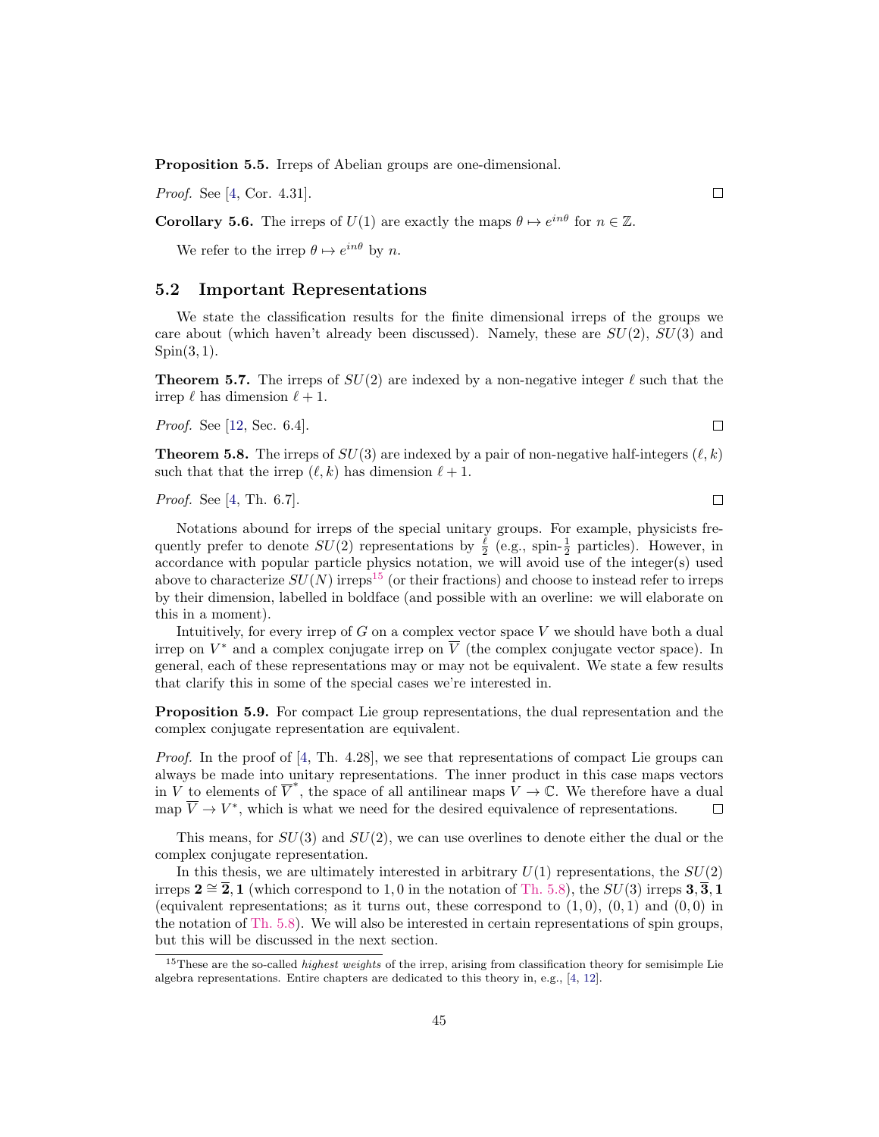Proposition 5.5. Irreps of Abelian groups are one-dimensional.

Proof. See [\[4,](#page-52-10) Cor. 4.31].

**Corollary 5.6.** The irreps of  $U(1)$  are exactly the maps  $\theta \mapsto e^{in\theta}$  for  $n \in \mathbb{Z}$ .

We refer to the irrep  $\theta \mapsto e^{in\theta}$  by n.

#### <span id="page-44-0"></span>5.2 Important Representations

We state the classification results for the finite dimensional irreps of the groups we care about (which haven't already been discussed). Namely, these are  $SU(2)$ ,  $SU(3)$  and  $Spin(3,1)$ .

**Theorem 5.7.** The irreps of  $SU(2)$  are indexed by a non-negative integer  $\ell$  such that the irrep  $\ell$  has dimension  $\ell + 1$ .

Proof. See [\[12,](#page-52-12) Sec. 6.4].

<span id="page-44-2"></span>**Theorem 5.8.** The irreps of  $SU(3)$  are indexed by a pair of non-negative half-integers  $(\ell, k)$ such that that the irrep  $(\ell, k)$  has dimension  $\ell + 1$ .

Proof. See [\[4,](#page-52-10) Th. 6.7].

Notations abound for irreps of the special unitary groups. For example, physicists frequently prefer to denote  $SU(2)$  representations by  $\frac{\ell}{2}$  (e.g., spin- $\frac{1}{2}$  particles). However, in accordance with popular particle physics notation, we will avoid use of the integer(s) used above to characterize  $SU(N)$  irreps<sup>[15](#page-44-1)</sup> (or their fractions) and choose to instead refer to irreps by their dimension, labelled in boldface (and possible with an overline: we will elaborate on this in a moment).

Intuitively, for every irrep of  $G$  on a complex vector space  $V$  we should have both a dual irrep on  $V^*$  and a complex conjugate irrep on  $\overline{V}$  (the complex conjugate vector space). In general, each of these representations may or may not be equivalent. We state a few results that clarify this in some of the special cases we're interested in.

Proposition 5.9. For compact Lie group representations, the dual representation and the complex conjugate representation are equivalent.

*Proof.* In the proof of  $[4, Th. 4.28]$ , we see that representations of compact Lie groups can always be made into unitary representations. The inner product in this case maps vectors in V to elements of  $\overline{V}^*$ , the space of all antilinear maps  $V \to \mathbb{C}$ . We therefore have a dual map  $\overline{V} \to V^*$ , which is what we need for the desired equivalence of representations. П

This means, for  $SU(3)$  and  $SU(2)$ , we can use overlines to denote either the dual or the complex conjugate representation.

In this thesis, we are ultimately interested in arbitrary  $U(1)$  representations, the  $SU(2)$ irreps  $2 \cong \overline{2}$ , 1 (which correspond to 1,0 in the notation of [Th. 5.8\)](#page-44-2), the  $SU(3)$  irreps  $3,\overline{3},1$ (equivalent representations; as it turns out, these correspond to  $(1,0)$ ,  $(0,1)$  and  $(0,0)$  in the notation of [Th. 5.8\)](#page-44-2). We will also be interested in certain representations of spin groups, but this will be discussed in the next section.

 $\Box$ 

 $\Box$ 

 $\Box$ 

<span id="page-44-1"></span><sup>&</sup>lt;sup>15</sup>These are the so-called *highest weights* of the irrep, arising from classification theory for semisimple Lie algebra representations. Entire chapters are dedicated to this theory in, e.g., [\[4,](#page-52-10) [12\]](#page-52-12).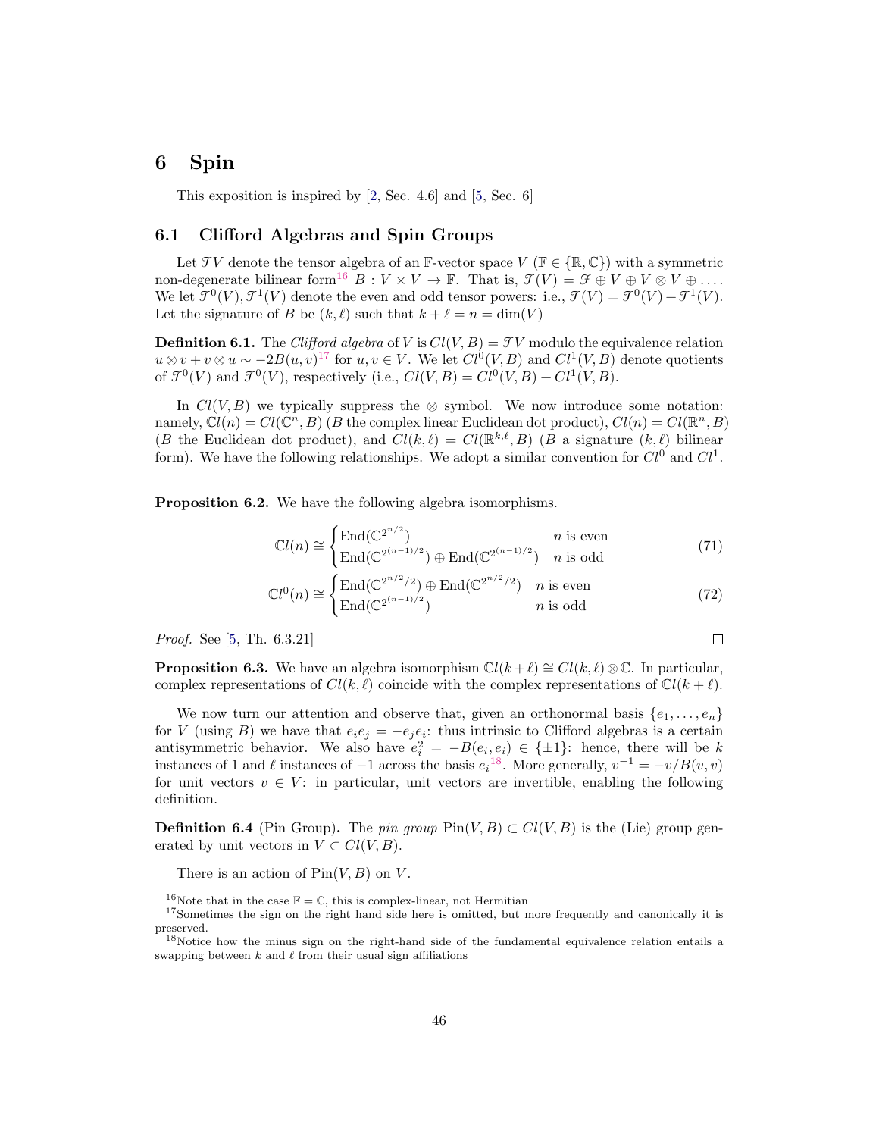## <span id="page-45-0"></span>6 Spin

This exposition is inspired by [\[2,](#page-52-13) Sec. 4.6] and [\[5,](#page-52-8) Sec. 6]

## <span id="page-45-1"></span>6.1 Clifford Algebras and Spin Groups

Let TV denote the tensor algebra of an F-vector space  $V$  ( $\mathbb{F} \in \{ \mathbb{R}, \mathbb{C} \}$ ) with a symmetric non-degenerate bilinear form<sup>[16](#page-45-2)</sup> B :  $V \times V \to \mathbb{F}$ . That is,  $\mathcal{T}(V) = \mathcal{F} \oplus V \oplus V \otimes V \oplus \ldots$ We let  $\mathcal{T}^0(V)$ ,  $\mathcal{T}^1(V)$  denote the even and odd tensor powers: i.e.,  $\mathcal{T}(V) = \mathcal{T}^0(V) + \mathcal{T}^1(V)$ . Let the signature of B be  $(k, \ell)$  such that  $k + \ell = n = \dim(V)$ 

**Definition 6.1.** The Clifford algebra of V is  $Cl(V, B) = TV$  modulo the equivalence relation  $u \otimes v + v \otimes u \sim -2B(u, v)^{17}$  $u \otimes v + v \otimes u \sim -2B(u, v)^{17}$  $u \otimes v + v \otimes u \sim -2B(u, v)^{17}$  for  $u, v \in V$ . We let  $Cl^0(V, B)$  and  $Cl^1(V, B)$  denote quotients of  $\mathcal{T}^0(V)$  and  $\mathcal{T}^0(V)$ , respectively (i.e.,  $Cl(V, B) = Cl^0(V, B) + Cl^1(V, B)$ .

In  $Cl(V, B)$  we typically suppress the ⊗ symbol. We now introduce some notation: namely,  $Cl(n) = Cl(\mathbb{C}^n, B)$  (B the complex linear Euclidean dot product),  $Cl(n) = Cl(\mathbb{R}^n, B)$ (B the Euclidean dot product), and  $Cl(k, \ell) = Cl(\mathbb{R}^{k,\ell}, B)$  (B a signature  $(k, \ell)$  bilinear form). We have the following relationships. We adopt a similar convention for  $Cl^0$  and  $Cl^1$ .

<span id="page-45-6"></span>Proposition 6.2. We have the following algebra isomorphisms.

$$
\mathbb{C}l(n) \cong \begin{cases} \text{End}(\mathbb{C}^{2^{n/2}}) & n \text{ is even} \\ \text{End}(\mathbb{C}^{2^{(n-1)/2}}) \oplus \text{End}(\mathbb{C}^{2^{(n-1)/2}}) & n \text{ is odd} \end{cases}
$$
(71)

$$
\mathbb{C}l^{0}(n) \cong \begin{cases} \text{End}(\mathbb{C}^{2^{n/2}/2}) \oplus \text{End}(\mathbb{C}^{2^{n/2}/2}) & n \text{ is even} \\ \text{End}(\mathbb{C}^{2^{(n-1)/2}}) & n \text{ is odd} \end{cases}
$$
(72)

 $\Box$ 

Proof. See [\[5,](#page-52-8) Th. 6.3.21]

<span id="page-45-7"></span>**Proposition 6.3.** We have an algebra isomorphism  $\mathbb{C}l(k+\ell) \cong \mathbb{C}l(k,\ell) \otimes \mathbb{C}$ . In particular, complex representations of  $Cl(k, \ell)$  coincide with the complex representations of  $Cl(k + \ell)$ .

We now turn our attention and observe that, given an orthonormal basis  $\{e_1, \ldots, e_n\}$ for V (using B) we have that  $e_i e_j = -e_j e_i$ : thus intrinsic to Clifford algebras is a certain antisymmetric behavior. We also have  $e_i^2 = -B(e_i, e_i) \in \{\pm 1\}$ : hence, there will be k instances of 1 and  $\ell$  instances of  $-1$  across the basis  $e_i^{18}$  $e_i^{18}$  $e_i^{18}$ . More generally,  $v^{-1} = -v/B(v, v)$ for unit vectors  $v \in V$ : in particular, unit vectors are invertible, enabling the following definition.

**Definition 6.4** (Pin Group). The pin group  $\text{Pin}(V, B) \subset Cl(V, B)$  is the (Lie) group generated by unit vectors in  $V \subset Cl(V, B)$ .

There is an action of  $Pin(V, B)$  on V.

<span id="page-45-5"></span><span id="page-45-3"></span><span id="page-45-2"></span> $^{16}\rm{Note}$  that in the case  $\mathbb{F}=\mathbb{C},$  this is complex-linear, not Hermitian

<sup>&</sup>lt;sup>17</sup>Sometimes the sign on the right hand side here is omitted, but more frequently and canonically it is preserved.

<span id="page-45-4"></span><sup>&</sup>lt;sup>18</sup>Notice how the minus sign on the right-hand side of the fundamental equivalence relation entails a swapping between  $k$  and  $\ell$  from their usual sign affiliations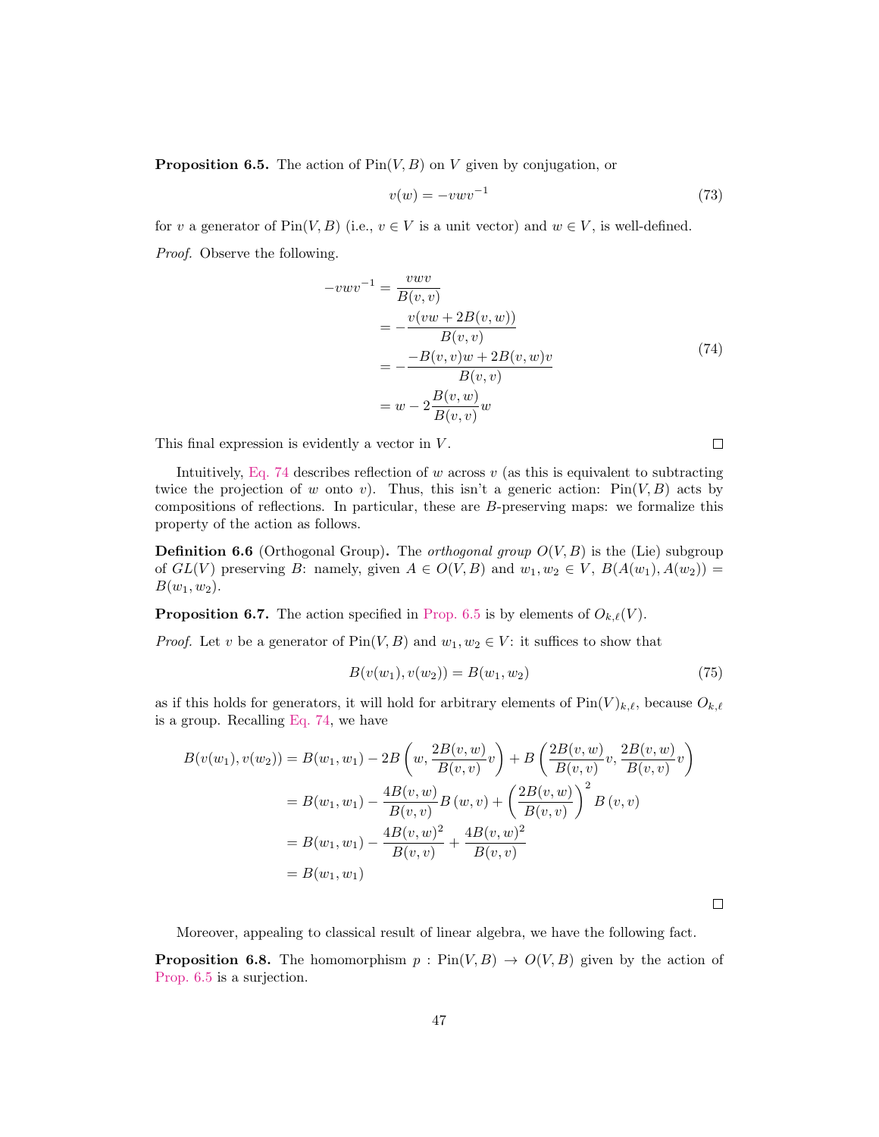**Proposition 6.5.** The action of  $\text{Pin}(V, B)$  on V given by conjugation, or

$$
v(w) = -vwv^{-1} \tag{73}
$$

for v a generator of  $\text{Pin}(V, B)$  (i.e.,  $v \in V$  is a unit vector) and  $w \in V$ , is well-defined. Proof. Observe the following.

<span id="page-46-0"></span>
$$
-vwv^{-1} = \frac{vwv}{B(v,v)}\n= -\frac{v(vw + 2B(v, w))}{B(v, v)}\n= -\frac{-B(v, v)w + 2B(v, w)v}{B(v, v)}\n= w - 2\frac{B(v, w)}{B(v, v)}w
$$
\n(74)

This final expression is evidently a vector in  $V$ .

Intuitively, [Eq. 74](#page-46-0) describes reflection of w across v (as this is equivalent to subtracting twice the projection of w onto v). Thus, this isn't a generic action:  $Pin(V, B)$  acts by compositions of reflections. In particular, these are B-preserving maps: we formalize this property of the action as follows.

**Definition 6.6** (Orthogonal Group). The *orthogonal group*  $O(V, B)$  is the (Lie) subgroup of  $GL(V)$  preserving B: namely, given  $A \in O(V, B)$  and  $w_1, w_2 \in V$ ,  $B(A(w_1), A(w_2)) =$  $B(w_1, w_2)$ .

**Proposition 6.7.** The action specified in [Prop. 6.5](#page-45-5) is by elements of  $O_{k,\ell}(V)$ .

*Proof.* Let v be a generator of  $Pin(V, B)$  and  $w_1, w_2 \in V$ : it suffices to show that

$$
B(v(w_1), v(w_2)) = B(w_1, w_2)
$$
\n(75)

as if this holds for generators, it will hold for arbitrary elements of  $\text{Pin}(V)_{k,\ell}$ , because  $O_{k,\ell}$ is a group. Recalling [Eq. 74,](#page-46-0) we have

$$
B(v(w_1), v(w_2)) = B(w_1, w_1) - 2B\left(w, \frac{2B(v, w)}{B(v, v)}v\right) + B\left(\frac{2B(v, w)}{B(v, v)}v, \frac{2B(v, w)}{B(v, v)}v\right)
$$
  
=  $B(w_1, w_1) - \frac{4B(v, w)}{B(v, v)}B(w, v) + \left(\frac{2B(v, w)}{B(v, v)}\right)^2 B(v, v)$   
=  $B(w_1, w_1) - \frac{4B(v, w)^2}{B(v, v)} + \frac{4B(v, w)^2}{B(v, v)}$   
=  $B(w_1, w_1)$ 

 $\Box$ 

Moreover, appealing to classical result of linear algebra, we have the following fact.

<span id="page-46-1"></span>**Proposition 6.8.** The homomorphism  $p : Pin(V, B) \rightarrow O(V, B)$  given by the action of [Prop. 6.5](#page-45-5) is a surjection.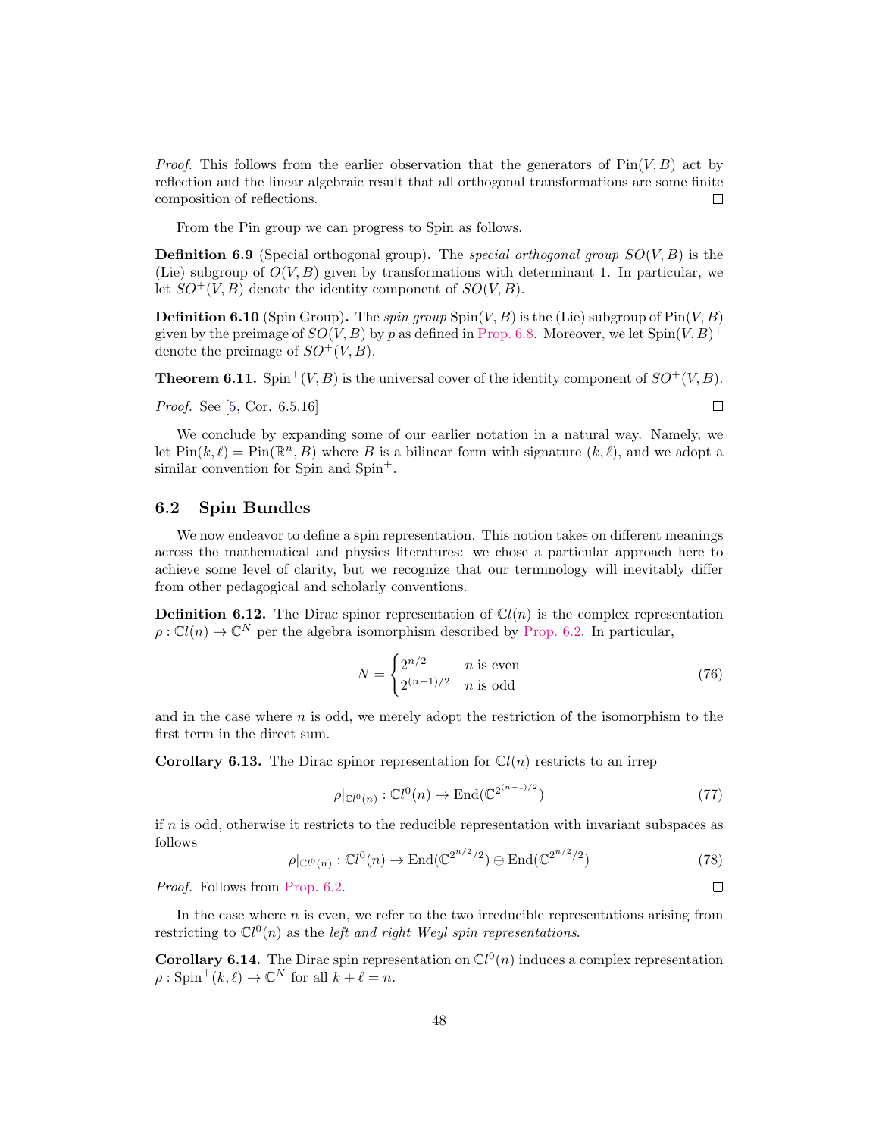*Proof.* This follows from the earlier observation that the generators of  $Pin(V, B)$  act by reflection and the linear algebraic result that all orthogonal transformations are some finite composition of reflections. □

From the Pin group we can progress to Spin as follows.

**Definition 6.9** (Special orthogonal group). The special orthogonal group  $SO(V, B)$  is the (Lie) subgroup of  $O(V, B)$  given by transformations with determinant 1. In particular, we let  $SO^+(V, B)$  denote the identity component of  $SO(V, B)$ .

**Definition 6.10** (Spin Group). The spin group  $\text{Spin}(V, B)$  is the (Lie) subgroup of  $\text{Pin}(V, B)$ given by the preimage of  $SO(V, B)$  by p as defined in [Prop. 6.8.](#page-46-1) Moreover, we let  $Spin(V, B)^+$ denote the preimage of  $SO^+(V, B)$ .

**Theorem 6.11.** Spin<sup>+</sup>(V, B) is the universal cover of the identity component of  $SO^+(V, B)$ .

*Proof.* See [\[5,](#page-52-8) Cor. 6.5.16]

We conclude by expanding some of our earlier notation in a natural way. Namely, we let  $\text{Pin}(k, \ell) = \text{Pin}(\mathbb{R}^n, B)$  where B is a bilinear form with signature  $(k, \ell)$ , and we adopt a similar convention for Spin and Spin<sup>+</sup>.

## <span id="page-47-0"></span>6.2 Spin Bundles

We now endeavor to define a spin representation. This notion takes on different meanings across the mathematical and physics literatures: we chose a particular approach here to achieve some level of clarity, but we recognize that our terminology will inevitably differ from other pedagogical and scholarly conventions.

**Definition 6.12.** The Dirac spinor representation of  $Cl(n)$  is the complex representation  $\rho: \mathbb{C}^l(n) \to \mathbb{C}^N$  per the algebra isomorphism described by [Prop. 6.2.](#page-45-6) In particular,

$$
N = \begin{cases} 2^{n/2} & n \text{ is even} \\ 2^{(n-1)/2} & n \text{ is odd} \end{cases} \tag{76}
$$

and in the case where  $n$  is odd, we merely adopt the restriction of the isomorphism to the first term in the direct sum.

**Corollary 6.13.** The Dirac spinor representation for  $\mathbb{C}l(n)$  restricts to an irrep

$$
\rho|_{\mathbb{C}l^0(n)} : \mathbb{C}l^0(n) \to \text{End}(\mathbb{C}2^{(n-1)/2})
$$
\n
$$
(77)
$$

if  $n$  is odd, otherwise it restricts to the reducible representation with invariant subspaces as follows

$$
\rho|_{\mathbb{C}l^0(n)} : \mathbb{C}l^0(n) \to \text{End}(\mathbb{C}2^{n/2}/2) \oplus \text{End}(\mathbb{C}2^{n/2}/2)
$$
\n(78)

Proof. Follows from [Prop. 6.2.](#page-45-6)

In the case where  $n$  is even, we refer to the two irreducible representations arising from restricting to  $\mathbb{C}l^0(n)$  as the *left and right Weyl spin representations*.

**Corollary 6.14.** The Dirac spin representation on  $\mathbb{C}l^0(n)$  induces a complex representation  $\rho: \text{Spin}^+(k, \ell) \to \mathbb{C}^N \text{ for all } k+\ell = n.$ 

$$
\Box
$$

 $\Box$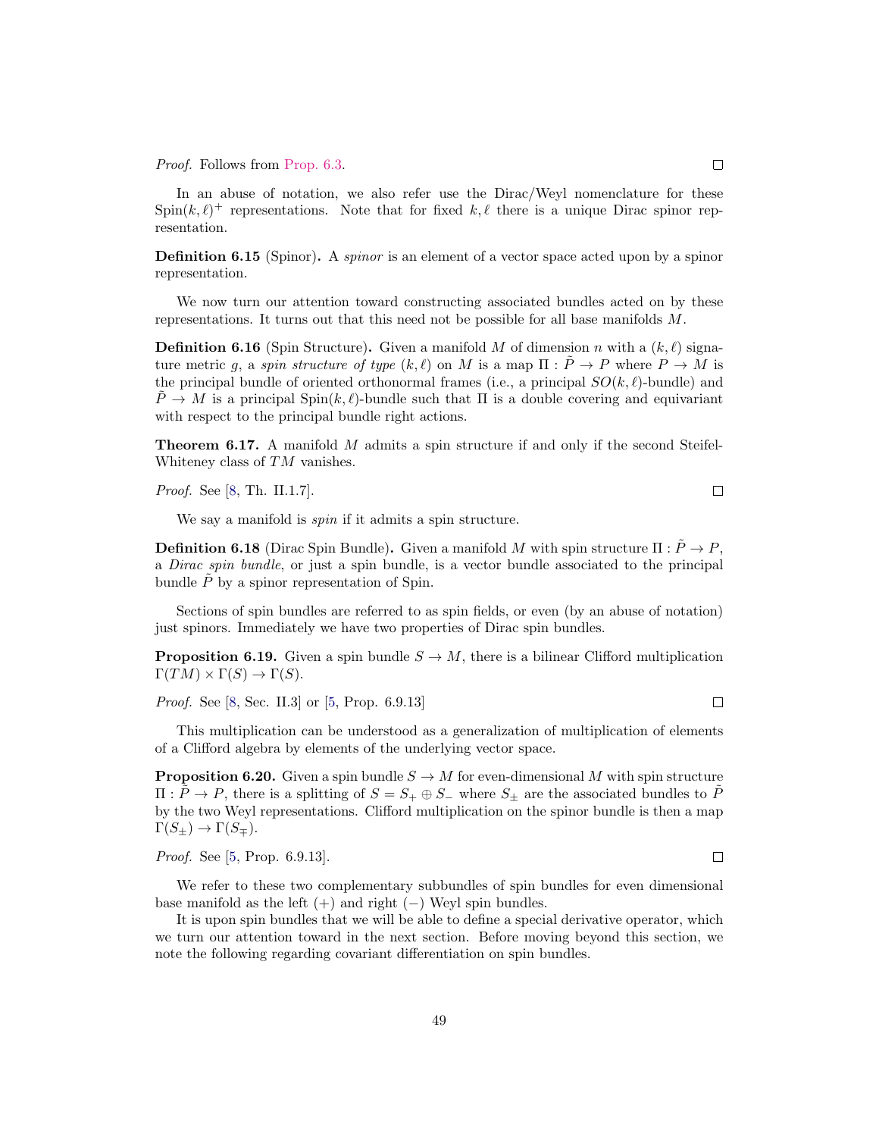Proof. Follows from [Prop. 6.3.](#page-45-7)

In an abuse of notation, we also refer use the Dirac/Weyl nomenclature for these  $\text{Spin}(k,\ell)^+$  representations. Note that for fixed k,  $\ell$  there is a unique Dirac spinor representation.

**Definition 6.15** (Spinor). A *spinor* is an element of a vector space acted upon by a spinor representation.

We now turn our attention toward constructing associated bundles acted on by these representations. It turns out that this need not be possible for all base manifolds M.

**Definition 6.16** (Spin Structure). Given a manifold M of dimension n with a  $(k, l)$  signature metric q, a spin structure of type  $(k, \ell)$  on M is a map  $\Pi : \tilde{P} \to P$  where  $P \to M$  is the principal bundle of oriented orthonormal frames (i.e., a principal  $SO(k, \ell)$ -bundle) and  $\hat{P} \to M$  is a principal Spin $(k, \ell)$ -bundle such that  $\Pi$  is a double covering and equivariant with respect to the principal bundle right actions.

**Theorem 6.17.** A manifold M admits a spin structure if and only if the second Steifel-Whiteney class of TM vanishes.

Proof. See [\[8,](#page-52-14) Th. II.1.7].

We say a manifold is *spin* if it admits a spin structure.

**Definition 6.18** (Dirac Spin Bundle). Given a manifold M with spin structure  $\Pi : \tilde{P} \to P$ . a Dirac spin bundle, or just a spin bundle, is a vector bundle associated to the principal bundle  $\tilde{P}$  by a spinor representation of Spin.

Sections of spin bundles are referred to as spin fields, or even (by an abuse of notation) just spinors. Immediately we have two properties of Dirac spin bundles.

**Proposition 6.19.** Given a spin bundle  $S \to M$ , there is a bilinear Clifford multiplication  $\Gamma(TM) \times \Gamma(S) \rightarrow \Gamma(S)$ .

Proof. See [\[8,](#page-52-14) Sec. II.3] or [\[5,](#page-52-8) Prop. 6.9.13]

This multiplication can be understood as a generalization of multiplication of elements of a Clifford algebra by elements of the underlying vector space.

**Proposition 6.20.** Given a spin bundle  $S \to M$  for even-dimensional M with spin structure  $\Pi: P \to P$ , there is a splitting of  $S = S_+ \oplus S_-$  where  $S_{\pm}$  are the associated bundles to P by the two Weyl representations. Clifford multiplication on the spinor bundle is then a map  $\Gamma(S_{\pm}) \to \Gamma(S_{\mp}).$ 

Proof. See [\[5,](#page-52-8) Prop. 6.9.13].

We refer to these two complementary subbundles of spin bundles for even dimensional base manifold as the left  $(+)$  and right  $(-)$  Weyl spin bundles.

It is upon spin bundles that we will be able to define a special derivative operator, which we turn our attention toward in the next section. Before moving beyond this section, we note the following regarding covariant differentiation on spin bundles.

 $\Box$ 

 $\Box$ 

 $\Box$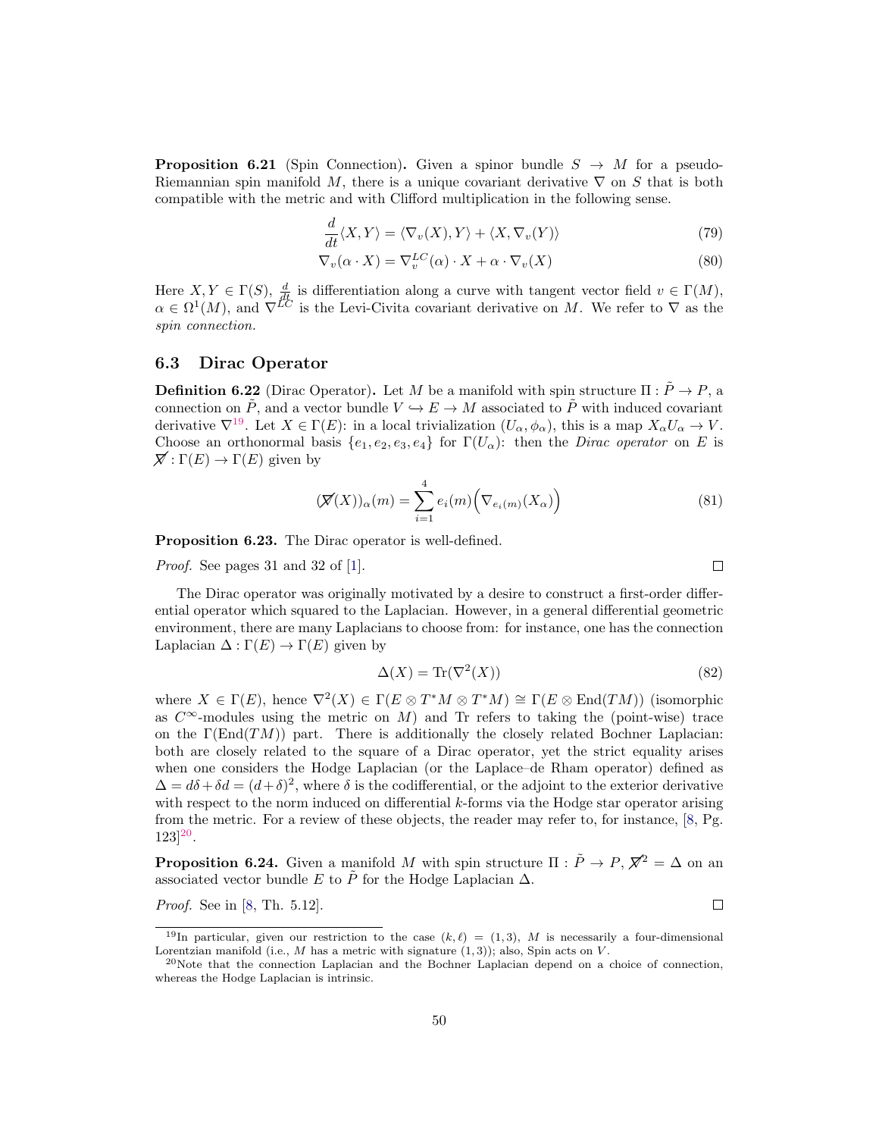**Proposition 6.21** (Spin Connection). Given a spinor bundle  $S \rightarrow M$  for a pseudo-Riemannian spin manifold M, there is a unique covariant derivative  $\nabla$  on S that is both compatible with the metric and with Clifford multiplication in the following sense.

$$
\frac{d}{dt}\langle X,Y\rangle = \langle \nabla_v(X),Y\rangle + \langle X,\nabla_v(Y)\rangle
$$
\n(79)

$$
\nabla_v(\alpha \cdot X) = \nabla_v^{LC}(\alpha) \cdot X + \alpha \cdot \nabla_v(X)
$$
\n(80)

Here  $X, Y \in \Gamma(S)$ ,  $\frac{d}{dt}$  is differentiation along a curve with tangent vector field  $v \in \Gamma(M)$ ,  $\alpha \in \Omega^1(M)$ , and  $\nabla^{LC}$  is the Levi-Civita covariant derivative on M. We refer to  $\nabla$  as the spin connection.

#### <span id="page-49-0"></span>6.3 Dirac Operator

**Definition 6.22** (Dirac Operator). Let M be a manifold with spin structure  $\Pi : \tilde{P} \to P$ , a connection on  $\tilde{P}$ , and a vector bundle  $V \hookrightarrow E \to M$  associated to  $\tilde{P}$  with induced covariant derivative  $\nabla^{19}$  $\nabla^{19}$  $\nabla^{19}$ . Let  $X \in \Gamma(E)$ : in a local trivialization  $(U_{\alpha}, \phi_{\alpha})$ , this is a map  $X_{\alpha}U_{\alpha} \to V$ . Choose an orthonormal basis  $\{e_1, e_2, e_3, e_4\}$  for  $\Gamma(U_\alpha)$ : then the *Dirac operator* on E is  $\overline{X}: \Gamma(E) \to \Gamma(E)$  given by

<span id="page-49-3"></span>
$$
(\nabla(X))_{\alpha}(m) = \sum_{i=1}^{4} e_i(m) (\nabla_{e_i(m)}(X_{\alpha}))
$$
\n(81)

Proposition 6.23. The Dirac operator is well-defined.

Proof. See pages 31 and 32 of [\[1\]](#page-52-15).

The Dirac operator was originally motivated by a desire to construct a first-order differential operator which squared to the Laplacian. However, in a general differential geometric environment, there are many Laplacians to choose from: for instance, one has the connection Laplacian  $\Delta : \Gamma(E) \to \Gamma(E)$  given by

$$
\Delta(X) = \text{Tr}(\nabla^2(X))\tag{82}
$$

 $\Box$ 

 $\Box$ 

where  $X \in \Gamma(E)$ , hence  $\nabla^2(X) \in \Gamma(E \otimes T^*M \otimes T^*M) \cong \Gamma(E \otimes \text{End}(TM))$  (isomorphic as  $C^{\infty}$ -modules using the metric on M) and Tr refers to taking the (point-wise) trace on the  $\Gamma(\text{End}(TM))$  part. There is additionally the closely related Bochner Laplacian: both are closely related to the square of a Dirac operator, yet the strict equality arises when one considers the Hodge Laplacian (or the Laplace–de Rham operator) defined as  $\Delta = d\delta + \delta d = (d+\delta)^2$ , where  $\delta$  is the codifferential, or the adjoint to the exterior derivative with respect to the norm induced on differential  $k$ -forms via the Hodge star operator arising from the metric. For a review of these objects, the reader may refer to, for instance, [\[8,](#page-52-14) Pg.  $123|^{20}$  $123|^{20}$  $123|^{20}$ .

**Proposition 6.24.** Given a manifold M with spin structure  $\Pi : \tilde{P} \to P$ ,  $\mathbb{Z}^2 = \Delta$  on an associated vector bundle E to  $\tilde{P}$  for the Hodge Laplacian  $\Delta$ .

Proof. See in [\[8,](#page-52-14) Th. 5.12].

<span id="page-49-1"></span><sup>&</sup>lt;sup>19</sup>In particular, given our restriction to the case  $(k, l) = (1, 3)$ , M is necessarily a four-dimensional

Lorentzian manifold (i.e.,  $M$  has a metric with signature  $(1, 3)$ ); also, Spin acts on  $V$ .

<span id="page-49-2"></span> $^{20}$ Note that the connection Laplacian and the Bochner Laplacian depend on a choice of connection, whereas the Hodge Laplacian is intrinsic.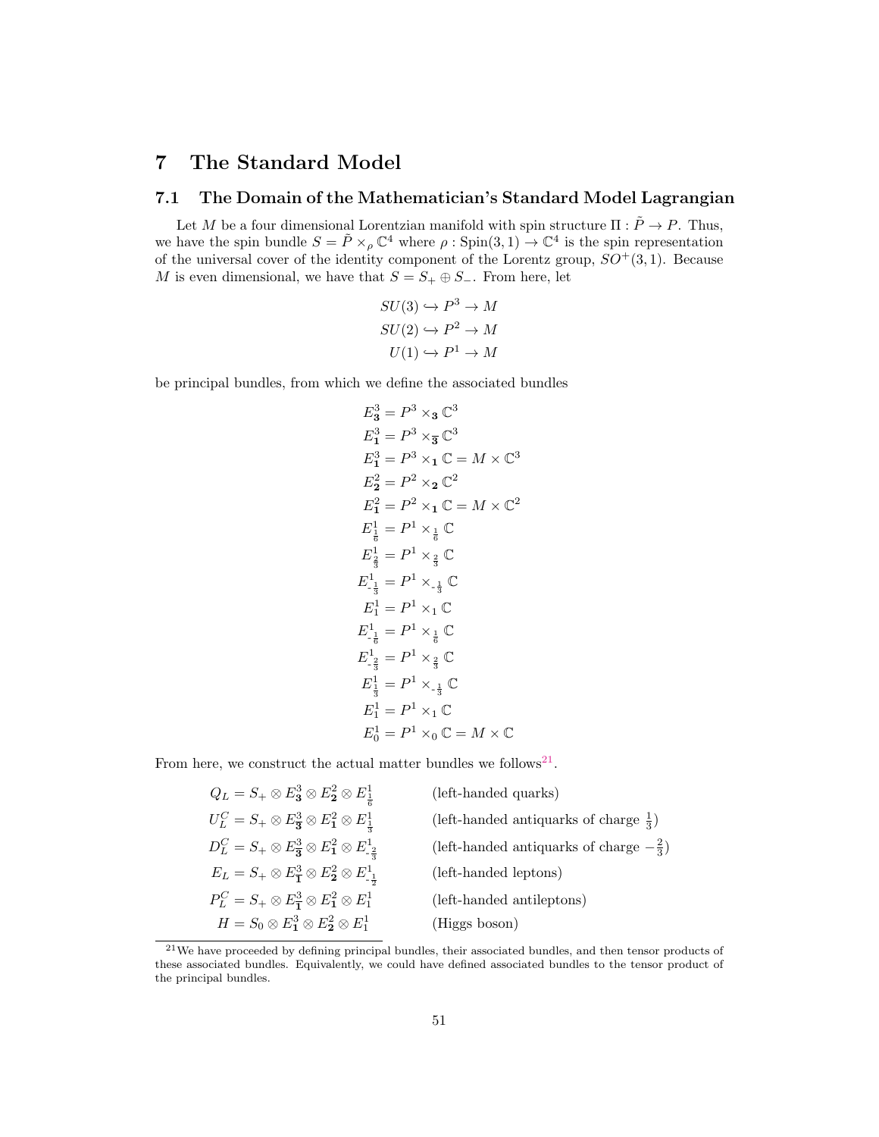# <span id="page-50-0"></span>7 The Standard Model

## <span id="page-50-1"></span>7.1 The Domain of the Mathematician's Standard Model Lagrangian

Let M be a four dimensional Lorentzian manifold with spin structure  $\Pi : \tilde{P} \to P$ . Thus, we have the spin bundle  $S = \tilde{P} \times_{\rho} \mathbb{C}^4$  where  $\rho : Spin(3,1) \to \mathbb{C}^4$  is the spin representation of the universal cover of the identity component of the Lorentz group,  $SO^+(3,1)$ . Because M is even dimensional, we have that  $S = S_+ \oplus S_-$ . From here, let

$$
SU(3) \hookrightarrow P^3 \to M
$$

$$
SU(2) \hookrightarrow P^2 \to M
$$

$$
U(1) \hookrightarrow P^1 \to M
$$

be principal bundles, from which we define the associated bundles

$$
E_3^3 = P^3 \times_3 \mathbb{C}^3
$$
  
\n
$$
E_1^3 = P^3 \times_3 \mathbb{C}^3
$$
  
\n
$$
E_1^3 = P^3 \times_1 \mathbb{C} = M \times \mathbb{C}^3
$$
  
\n
$$
E_2^2 = P^2 \times_2 \mathbb{C}^2
$$
  
\n
$$
E_1^2 = P^2 \times_1 \mathbb{C} = M \times \mathbb{C}^2
$$
  
\n
$$
E_1^1 = P^1 \times \frac{1}{6} \mathbb{C}
$$
  
\n
$$
E_{\frac{1}{3}}^1 = P^1 \times \frac{1}{3} \mathbb{C}
$$
  
\n
$$
E_{1}^1 = P^1 \times_1 \mathbb{C}
$$
  
\n
$$
E_{-\frac{1}{6}}^1 = P^1 \times_1 \mathbb{C}
$$
  
\n
$$
E_{-\frac{1}{3}}^1 = P^1 \times \frac{1}{6} \mathbb{C}
$$
  
\n
$$
E_{-\frac{1}{3}}^1 = P^1 \times \frac{1}{6} \mathbb{C}
$$
  
\n
$$
E_{1}^1 = P^1 \times \frac{1}{6} \mathbb{C}
$$
  
\n
$$
E_1^1 = P^1 \times_1 \mathbb{C}
$$
  
\n
$$
E_1^1 = P^1 \times_1 \mathbb{C}
$$
  
\n
$$
E_0^1 = P^1 \times_0 \mathbb{C} = M \times \mathbb{C}
$$

From here, we construct the actual matter bundles we follows<sup>[21](#page-50-2)</sup>.

| (left-handed quarks)                               |
|----------------------------------------------------|
| (left-handed antiquarks of charge $\frac{1}{3}$ )  |
| (left-handed antiquarks of charge $-\frac{2}{3}$ ) |
| (left-handed leptons)                              |
| (left-handed antileptons)                          |
| (Higgs boson)                                      |
|                                                    |

<span id="page-50-2"></span><sup>&</sup>lt;sup>21</sup>We have proceeded by defining principal bundles, their associated bundles, and then tensor products of these associated bundles. Equivalently, we could have defined associated bundles to the tensor product of the principal bundles.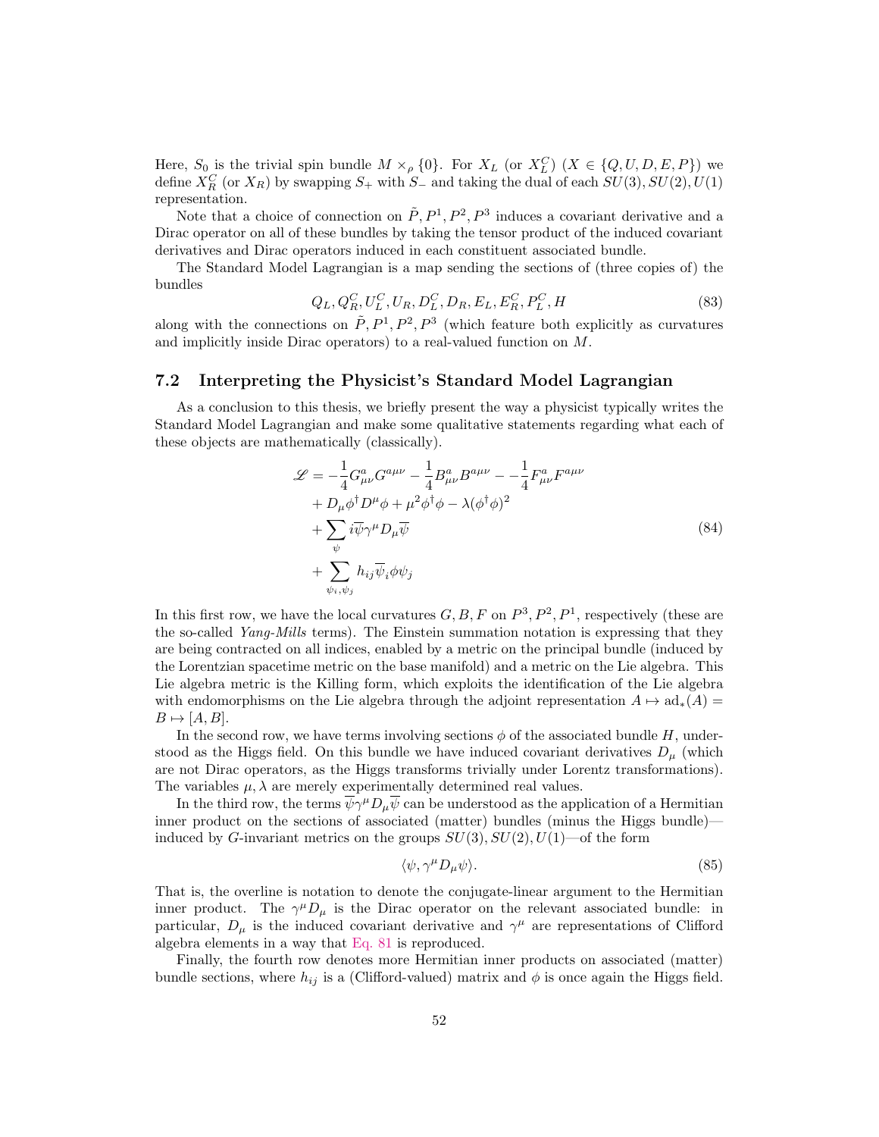Here,  $S_0$  is the trivial spin bundle  $M \times_{\rho} \{0\}$ . For  $X_L$  (or  $X_L^C$ )  $(X \in \{Q, U, D, E, P\})$  we define  $X_R^C$  (or  $X_R$ ) by swapping  $S_+$  with  $S_-$  and taking the dual of each  $SU(3)$ ,  $SU(2)$ ,  $U(1)$ representation.

Note that a choice of connection on  $\tilde{P}$ ,  $P^1$ ,  $P^2$ ,  $P^3$  induces a covariant derivative and a Dirac operator on all of these bundles by taking the tensor product of the induced covariant derivatives and Dirac operators induced in each constituent associated bundle.

The Standard Model Lagrangian is a map sending the sections of (three copies of) the bundles

$$
Q_L, Q_R^C, U_L^C, U_R, D_L^C, D_R, E_L, E_R^C, P_L^C, H \tag{83}
$$

along with the connections on  $\tilde{P}$ ,  $P^1$ ,  $P^2$ ,  $P^3$  (which feature both explicitly as curvatures and implicitly inside Dirac operators) to a real-valued function on M.

## <span id="page-51-0"></span>7.2 Interpreting the Physicist's Standard Model Lagrangian

As a conclusion to this thesis, we briefly present the way a physicist typically writes the Standard Model Lagrangian and make some qualitative statements regarding what each of these objects are mathematically (classically).

<span id="page-51-1"></span>
$$
\mathcal{L} = -\frac{1}{4} G_{\mu\nu}^a G^{a\mu\nu} - \frac{1}{4} B_{\mu\nu}^a B^{a\mu\nu} - \frac{1}{4} F_{\mu\nu}^a F^{a\mu\nu} + D_{\mu} \phi^{\dagger} D^{\mu} \phi + \mu^2 \phi^{\dagger} \phi - \lambda (\phi^{\dagger} \phi)^2 + \sum_{\psi} i \overline{\psi} \gamma^{\mu} D_{\mu} \overline{\psi} + \sum_{\psi_i, \psi_j} h_{ij} \overline{\psi}_i \phi \psi_j
$$
\n(84)

In this first row, we have the local curvatures  $G, B, F$  on  $P^3, P^2, P^1$ , respectively (these are the so-called Yang-Mills terms). The Einstein summation notation is expressing that they are being contracted on all indices, enabled by a metric on the principal bundle (induced by the Lorentzian spacetime metric on the base manifold) and a metric on the Lie algebra. This Lie algebra metric is the Killing form, which exploits the identification of the Lie algebra with endomorphisms on the Lie algebra through the adjoint representation  $A \mapsto ad_*(A)$  $B \mapsto [A, B].$ 

In the second row, we have terms involving sections  $\phi$  of the associated bundle H, understood as the Higgs field. On this bundle we have induced covariant derivatives  $D_{\mu}$  (which are not Dirac operators, as the Higgs transforms trivially under Lorentz transformations). The variables  $\mu$ ,  $\lambda$  are merely experimentally determined real values.

In the third row, the terms  $\overline{\psi}\gamma^{\mu}D_{\mu}\overline{\psi}$  can be understood as the application of a Hermitian inner product on the sections of associated (matter) bundles (minus the Higgs bundle) induced by G-invariant metrics on the groups  $SU(3)$ ,  $SU(2)$ ,  $U(1)$ —of the form

$$
\langle \psi, \gamma^{\mu} D_{\mu} \psi \rangle. \tag{85}
$$

That is, the overline is notation to denote the conjugate-linear argument to the Hermitian inner product. The  $\gamma^{\mu}D_{\mu}$  is the Dirac operator on the relevant associated bundle: in particular,  $D_{\mu}$  is the induced covariant derivative and  $\gamma^{\mu}$  are representations of Clifford algebra elements in a way that [Eq. 81](#page-49-3) is reproduced.

Finally, the fourth row denotes more Hermitian inner products on associated (matter) bundle sections, where  $h_{ij}$  is a (Clifford-valued) matrix and  $\phi$  is once again the Higgs field.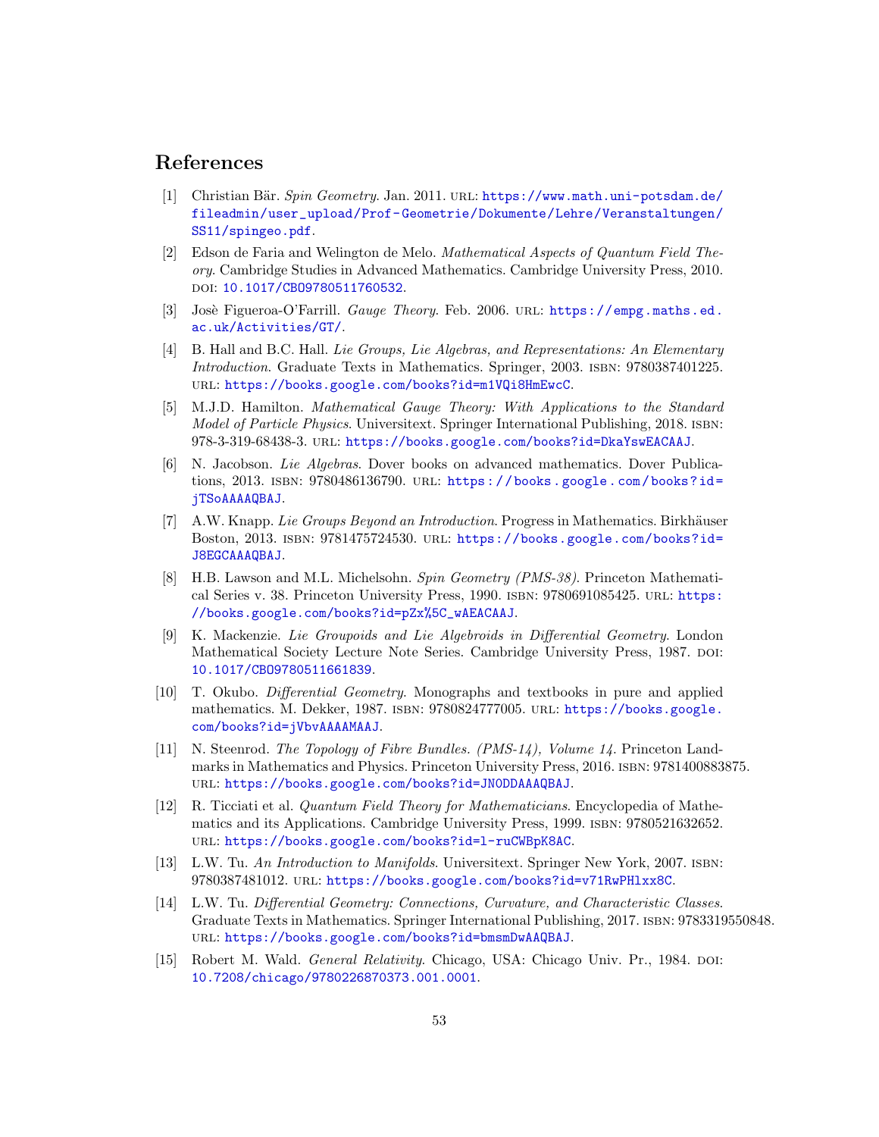## <span id="page-52-0"></span>References

- <span id="page-52-15"></span>[1] Christian Bär. Spin Geometry. Jan. 2011. URL: [https://www.math.uni-potsdam.de/](https://www.math.uni-potsdam.de/fileadmin/user_upload/Prof-Geometrie/Dokumente/Lehre/Veranstaltungen/SS11/spingeo.pdf) [fileadmin/user\\_upload/Prof- Geometrie/Dokumente/Lehre/Veranstaltungen/](https://www.math.uni-potsdam.de/fileadmin/user_upload/Prof-Geometrie/Dokumente/Lehre/Veranstaltungen/SS11/spingeo.pdf) [SS11/spingeo.pdf](https://www.math.uni-potsdam.de/fileadmin/user_upload/Prof-Geometrie/Dokumente/Lehre/Veranstaltungen/SS11/spingeo.pdf).
- <span id="page-52-13"></span>[2] Edson de Faria and Welington de Melo. Mathematical Aspects of Quantum Field Theory. Cambridge Studies in Advanced Mathematics. Cambridge University Press, 2010. DOI: 10.1017/CB09780511760532.
- <span id="page-52-7"></span>[3] Josè Figueroa-O'Farrill. *Gauge Theory*. Feb. 2006. URL: [https://empg.maths.ed.](https://empg.maths.ed.ac.uk/Activities/GT/) [ac.uk/Activities/GT/](https://empg.maths.ed.ac.uk/Activities/GT/).
- <span id="page-52-10"></span>[4] B. Hall and B.C. Hall. Lie Groups, Lie Algebras, and Representations: An Elementary Introduction. Graduate Texts in Mathematics. Springer, 2003. isbn: 9780387401225. url: <https://books.google.com/books?id=m1VQi8HmEwcC>.
- <span id="page-52-8"></span>[5] M.J.D. Hamilton. Mathematical Gauge Theory: With Applications to the Standard Model of Particle Physics. Universitext. Springer International Publishing, 2018. isbn: 978-3-319-68438-3. url: <https://books.google.com/books?id=DkaYswEACAAJ>.
- <span id="page-52-9"></span>[6] N. Jacobson. Lie Algebras. Dover books on advanced mathematics. Dover Publications, 2013. ISBN: 9780486136790. URL: https://books.google.com/books?id= [jTSoAAAAQBAJ](https://books.google.com/books?id=jTSoAAAAQBAJ).
- <span id="page-52-11"></span>[7] A.W. Knapp. Lie Groups Beyond an Introduction. Progress in Mathematics. Birkhäuser Boston, 2013. isbn: 9781475724530. url: [https://books.google.com/books?id=](https://books.google.com/books?id=J8EGCAAAQBAJ) [J8EGCAAAQBAJ](https://books.google.com/books?id=J8EGCAAAQBAJ).
- <span id="page-52-14"></span>[8] H.B. Lawson and M.L. Michelsohn. Spin Geometry (PMS-38). Princeton Mathematical Series v. 38. Princeton University Press, 1990. isbn: 9780691085425. url: [https:](https://books.google.com/books?id=pZx%5C_wAEACAAJ) [//books.google.com/books?id=pZx%5C\\_wAEACAAJ](https://books.google.com/books?id=pZx%5C_wAEACAAJ).
- <span id="page-52-3"></span>[9] K. Mackenzie. Lie Groupoids and Lie Algebroids in Differential Geometry. London Mathematical Society Lecture Note Series. Cambridge University Press, 1987. DOI: [10.1017/CBO9780511661839](https://doi.org/10.1017/CBO9780511661839).
- <span id="page-52-2"></span>[10] T. Okubo. Differential Geometry. Monographs and textbooks in pure and applied mathematics. M. Dekker, 1987. isbn: 9780824777005. url: [https://books.google.](https://books.google.com/books?id=jVbvAAAAMAAJ) [com/books?id=jVbvAAAAMAAJ](https://books.google.com/books?id=jVbvAAAAMAAJ).
- <span id="page-52-1"></span>[11] N. Steenrod. The Topology of Fibre Bundles. (PMS-14), Volume 14. Princeton Landmarks in Mathematics and Physics. Princeton University Press, 2016. isbn: 9781400883875. url: <https://books.google.com/books?id=JN0DDAAAQBAJ>.
- <span id="page-52-12"></span>[12] R. Ticciati et al. Quantum Field Theory for Mathematicians. Encyclopedia of Mathematics and its Applications. Cambridge University Press, 1999. ISBN: 9780521632652. url: <https://books.google.com/books?id=l-ruCWBpK8AC>.
- <span id="page-52-5"></span>[13] L.W. Tu. An Introduction to Manifolds. Universitext. Springer New York, 2007. isbn: 9780387481012. url: <https://books.google.com/books?id=v71RwPHlxx8C>.
- <span id="page-52-6"></span>[14] L.W. Tu. Differential Geometry: Connections, Curvature, and Characteristic Classes. Graduate Texts in Mathematics. Springer International Publishing, 2017. isbn: 9783319550848. url: <https://books.google.com/books?id=bmsmDwAAQBAJ>.
- <span id="page-52-4"></span>[15] Robert M. Wald. *General Relativity*. Chicago, USA: Chicago Univ. Pr., 1984. doi: [10.7208/chicago/9780226870373.001.0001](https://doi.org/10.7208/chicago/9780226870373.001.0001).